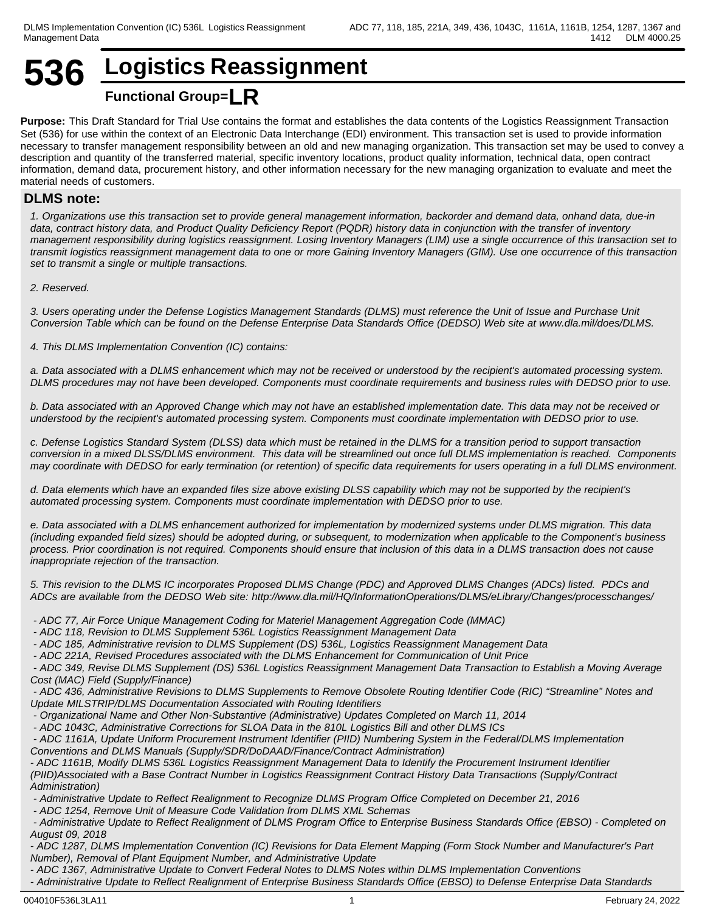## **536 Logistics Reassignment Functional Group=LR**

**Purpose:** This Draft Standard for Trial Use contains the format and establishes the data contents of the Logistics Reassignment Transaction Set (536) for use within the context of an Electronic Data Interchange (EDI) environment. This transaction set is used to provide information necessary to transfer management responsibility between an old and new managing organization. This transaction set may be used to convey a description and quantity of the transferred material, specific inventory locations, product quality information, technical data, open contract information, demand data, procurement history, and other information necessary for the new managing organization to evaluate and meet the material needs of customers.

## **DLMS note:**

*1. Organizations use this transaction set to provide general management information, backorder and demand data, onhand data, due-in data, contract history data, and Product Quality Deficiency Report (PQDR) history data in conjunction with the transfer of inventory management responsibility during logistics reassignment. Losing Inventory Managers (LIM) use a single occurrence of this transaction set to transmit logistics reassignment management data to one or more Gaining Inventory Managers (GIM). Use one occurrence of this transaction set to transmit a single or multiple transactions.*

*2. Reserved.*

*3. Users operating under the Defense Logistics Management Standards (DLMS) must reference the Unit of Issue and Purchase Unit Conversion Table which can be found on the Defense Enterprise Data Standards Office (DEDSO) Web site at www.dla.mil/does/DLMS.*

*4. This DLMS Implementation Convention (IC) contains:*

*a. Data associated with a DLMS enhancement which may not be received or understood by the recipient's automated processing system. DLMS procedures may not have been developed. Components must coordinate requirements and business rules with DEDSO prior to use.*

*b. Data associated with an Approved Change which may not have an established implementation date. This data may not be received or understood by the recipient's automated processing system. Components must coordinate implementation with DEDSO prior to use.*

*c. Defense Logistics Standard System (DLSS) data which must be retained in the DLMS for a transition period to support transaction conversion in a mixed DLSS/DLMS environment. This data will be streamlined out once full DLMS implementation is reached. Components may coordinate with DEDSO for early termination (or retention) of specific data requirements for users operating in a full DLMS environment.*

*d. Data elements which have an expanded files size above existing DLSS capability which may not be supported by the recipient's automated processing system. Components must coordinate implementation with DEDSO prior to use.*

*e. Data associated with a DLMS enhancement authorized for implementation by modernized systems under DLMS migration. This data (including expanded field sizes) should be adopted during, or subsequent, to modernization when applicable to the Component's business process. Prior coordination is not required. Components should ensure that inclusion of this data in a DLMS transaction does not cause inappropriate rejection of the transaction.*

*5. This revision to the DLMS IC incorporates Proposed DLMS Change (PDC) and Approved DLMS Changes (ADCs) listed. PDCs and ADCs are available from the DEDSO Web site: http://www.dla.mil/HQ/InformationOperations/DLMS/eLibrary/Changes/processchanges/* 

- *ADC 77, Air Force Unique Management Coding for Materiel Management Aggregation Code (MMAC)*
- *ADC 118, Revision to DLMS Supplement 536L Logistics Reassignment Management Data*
- *ADC 185, Administrative revision to DLMS Supplement (DS) 536L, Logistics Reassignment Management Data*
- *ADC 221A, Revised Procedures associated with the DLMS Enhancement for Communication of Unit Price*

 *- ADC 349, Revise DLMS Supplement (DS) 536L Logistics Reassignment Management Data Transaction to Establish a Moving Average Cost (MAC) Field (Supply/Finance)*

 *- ADC 436, Administrative Revisions to DLMS Supplements to Remove Obsolete Routing Identifier Code (RIC) "Streamline" Notes and Update MILSTRIP/DLMS Documentation Associated with Routing Identifiers*

- *Organizational Name and Other Non-Substantive (Administrative) Updates Completed on March 11, 2014*
- *ADC 1043C, Administrative Corrections for SLOA Data in the 810L Logistics Bill and other DLMS ICs*

 *- ADC 1161A, Update Uniform Procurement Instrument Identifier (PIID) Numbering System in the Federal/DLMS Implementation Conventions and DLMS Manuals (Supply/SDR/DoDAAD/Finance/Contract Administration)*

*- ADC 1161B, Modify DLMS 536L Logistics Reassignment Management Data to Identify the Procurement Instrument Identifier (PIID)Associated with a Base Contract Number in Logistics Reassignment Contract History Data Transactions (Supply/Contract Administration)*

 *- Administrative Update to Reflect Realignment to Recognize DLMS Program Office Completed on December 21, 2016*

- *ADC 1254, Remove Unit of Measure Code Validation from DLMS XML Schemas*
- *Administrative Update to Reflect Realignment of DLMS Program Office to Enterprise Business Standards Office (EBSO) Completed on August 09, 2018*

*- ADC 1287, DLMS Implementation Convention (IC) Revisions for Data Element Mapping (Form Stock Number and Manufacturer's Part Number), Removal of Plant Equipment Number, and Administrative Update*

*- ADC 1367, Administrative Update to Convert Federal Notes to DLMS Notes within DLMS Implementation Conventions*

*- Administrative Update to Reflect Realignment of Enterprise Business Standards Office (EBSO) to Defense Enterprise Data Standards*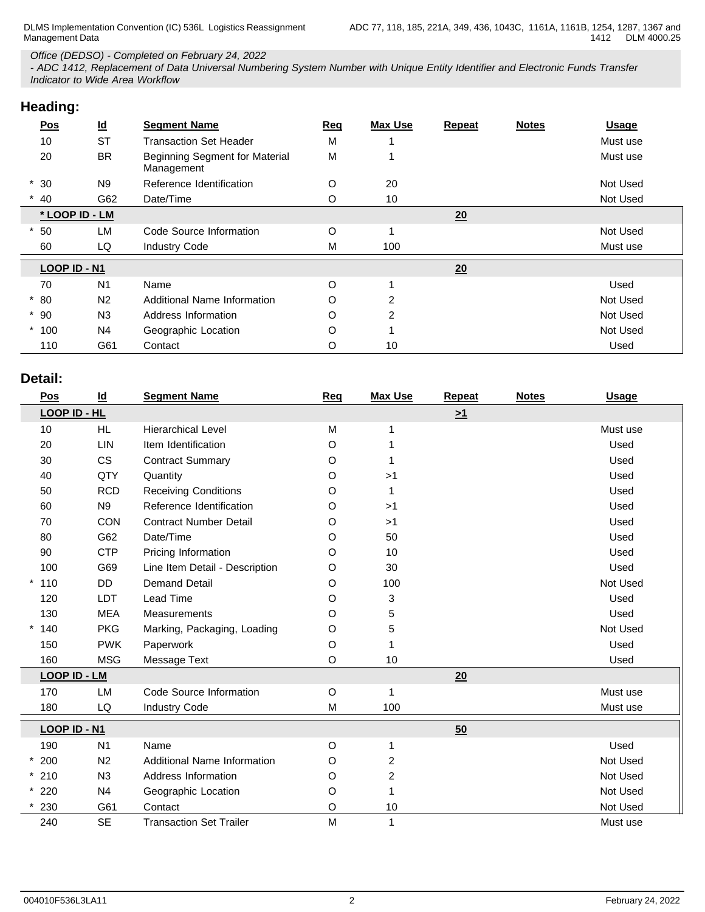### *Office (DEDSO) - Completed on February 24, 2022*

*- ADC 1412, Replacement of Data Universal Numbering System Number with Unique Entity Identifier and Electronic Funds Transfer Indicator to Wide Area Workflow*

| Heading: |  |
|----------|--|
|          |  |

| ັ              |                           |                                              |     |                |               |              |              |
|----------------|---------------------------|----------------------------------------------|-----|----------------|---------------|--------------|--------------|
| <b>Pos</b>     | $\underline{\mathsf{Id}}$ | <b>Segment Name</b>                          | Req | <b>Max Use</b> | <b>Repeat</b> | <b>Notes</b> | <b>Usage</b> |
| 10             | <b>ST</b>                 | <b>Transaction Set Header</b>                | M   |                |               |              | Must use     |
| 20             | <b>BR</b>                 | Beginning Segment for Material<br>Management | M   |                |               |              | Must use     |
| $*30$          | N <sub>9</sub>            | Reference Identification                     | O   | 20             |               |              | Not Used     |
| $*$ 40         | G62                       | Date/Time                                    | O   | 10             |               |              | Not Used     |
| * LOOP ID - LM |                           |                                              |     |                | 20            |              |              |
| 50             | <b>LM</b>                 | Code Source Information                      | O   |                |               |              | Not Used     |
| 60             | LQ                        | <b>Industry Code</b>                         | M   | 100            |               |              | Must use     |
| LOOP ID - N1   |                           |                                              |     |                | 20            |              |              |
| 70             | N <sub>1</sub>            | Name                                         | O   |                |               |              | Used         |
| $*80$          | N <sub>2</sub>            | Additional Name Information                  | O   | 2              |               |              | Not Used     |
| $*90$          | N <sub>3</sub>            | Address Information                          | O   | $\overline{2}$ |               |              | Not Used     |
| $*100$         | N4                        | Geographic Location                          | O   |                |               |              | Not Used     |
| 110            | G61                       | Contact                                      | O   | 10             |               |              | Used         |

## **Detail:**

| $\underline{\mathsf{Pos}}$ | $\underline{\mathsf{Id}}$ | <b>Segment Name</b>                | <b>Req</b> | <b>Max Use</b>          | Repeat   | <b>Notes</b> | <b>Usage</b> |
|----------------------------|---------------------------|------------------------------------|------------|-------------------------|----------|--------------|--------------|
| LOOP ID - HL               |                           |                                    |            |                         | $\geq 1$ |              |              |
| 10                         | HL.                       | <b>Hierarchical Level</b>          | M          |                         |          |              | Must use     |
| 20                         | LIN                       | Item Identification                | O          |                         |          |              | Used         |
| 30                         | <b>CS</b>                 | <b>Contract Summary</b>            | O          |                         |          |              | Used         |
| 40                         | QTY                       | Quantity                           | O          | >1                      |          |              | Used         |
| 50                         | <b>RCD</b>                | <b>Receiving Conditions</b>        | O          |                         |          |              | Used         |
| 60                         | N9                        | Reference Identification           | O          | >1                      |          |              | Used         |
| 70                         | CON                       | <b>Contract Number Detail</b>      | O          | >1                      |          |              | Used         |
| 80                         | G62                       | Date/Time                          | O          | 50                      |          |              | Used         |
| 90                         | <b>CTP</b>                | Pricing Information                | O          | 10                      |          |              | Used         |
| 100                        | G69                       | Line Item Detail - Description     | O          | 30                      |          |              | Used         |
| $*110$                     | DD                        | <b>Demand Detail</b>               | O          | 100                     |          |              | Not Used     |
| 120                        | <b>LDT</b>                | Lead Time                          | O          | 3                       |          |              | Used         |
| 130                        | <b>MEA</b>                | <b>Measurements</b>                | O          | 5                       |          |              | Used         |
| $*140$                     | <b>PKG</b>                | Marking, Packaging, Loading        | O          | 5                       |          |              | Not Used     |
| 150                        | <b>PWK</b>                | Paperwork                          | O          |                         |          |              | Used         |
| 160                        | <b>MSG</b>                | Message Text                       | $\circ$    | 10                      |          |              | Used         |
| <b>LOOP ID - LM</b>        |                           |                                    |            |                         | 20       |              |              |
| 170                        | LM                        | Code Source Information            | $\circ$    |                         |          |              | Must use     |
| 180                        | LQ                        | <b>Industry Code</b>               | M          | 100                     |          |              | Must use     |
| LOOP ID - N1               |                           |                                    |            |                         | 50       |              |              |
| 190                        | N <sub>1</sub>            | Name                               | O          |                         |          |              | Used         |
| $*200$                     | N <sub>2</sub>            | <b>Additional Name Information</b> | O          | $\overline{c}$          |          |              | Not Used     |
| $*210$                     | N <sub>3</sub>            | Address Information                | O          | $\overline{\mathbf{c}}$ |          |              | Not Used     |
| $*220$                     | N <sub>4</sub>            | Geographic Location                | O          |                         |          |              | Not Used     |
| 230                        | G61                       | Contact                            | O          | 10                      |          |              | Not Used     |
| 240                        | <b>SE</b>                 | <b>Transaction Set Trailer</b>     | M          |                         |          |              | Must use     |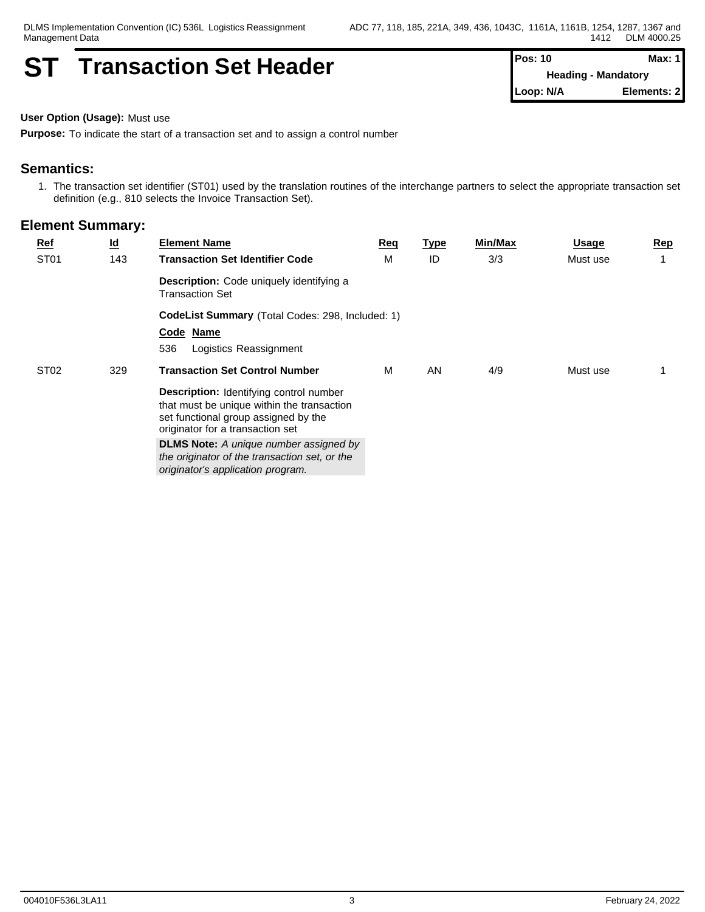## **ST Transaction Set Header Pos: 10 Max: 1 Max: 1**

**Heading - Mandatory Loop: N/A Elements: 2**

**User Option (Usage):** Must use

**Purpose:** To indicate the start of a transaction set and to assign a control number

## **Semantics:**

1. The transaction set identifier (ST01) used by the translation routines of the interchange partners to select the appropriate transaction set definition (e.g., 810 selects the Invoice Transaction Set).

| <b>Ref</b>       | $\underline{\mathsf{Id}}$ | <b>Element Name</b>                                                                                                                                                      | Req | <u>Type</u> | Min/Max | <b>Usage</b> | <u>Rep</u> |
|------------------|---------------------------|--------------------------------------------------------------------------------------------------------------------------------------------------------------------------|-----|-------------|---------|--------------|------------|
| ST <sub>01</sub> | 143                       | <b>Transaction Set Identifier Code</b>                                                                                                                                   | М   | ID          | 3/3     | Must use     |            |
|                  |                           | Description: Code uniquely identifying a<br><b>Transaction Set</b>                                                                                                       |     |             |         |              |            |
|                  |                           | CodeList Summary (Total Codes: 298, Included: 1)                                                                                                                         |     |             |         |              |            |
|                  |                           | Code Name                                                                                                                                                                |     |             |         |              |            |
|                  |                           | 536<br>Logistics Reassignment                                                                                                                                            |     |             |         |              |            |
| ST <sub>02</sub> | 329                       | <b>Transaction Set Control Number</b>                                                                                                                                    | M   | AN          | 4/9     | Must use     |            |
|                  |                           | <b>Description:</b> Identifying control number<br>that must be unique within the transaction<br>set functional group assigned by the<br>originator for a transaction set |     |             |         |              |            |
|                  |                           | <b>DLMS Note:</b> A unique number assigned by<br>the originator of the transaction set, or the<br>originator's application program.                                      |     |             |         |              |            |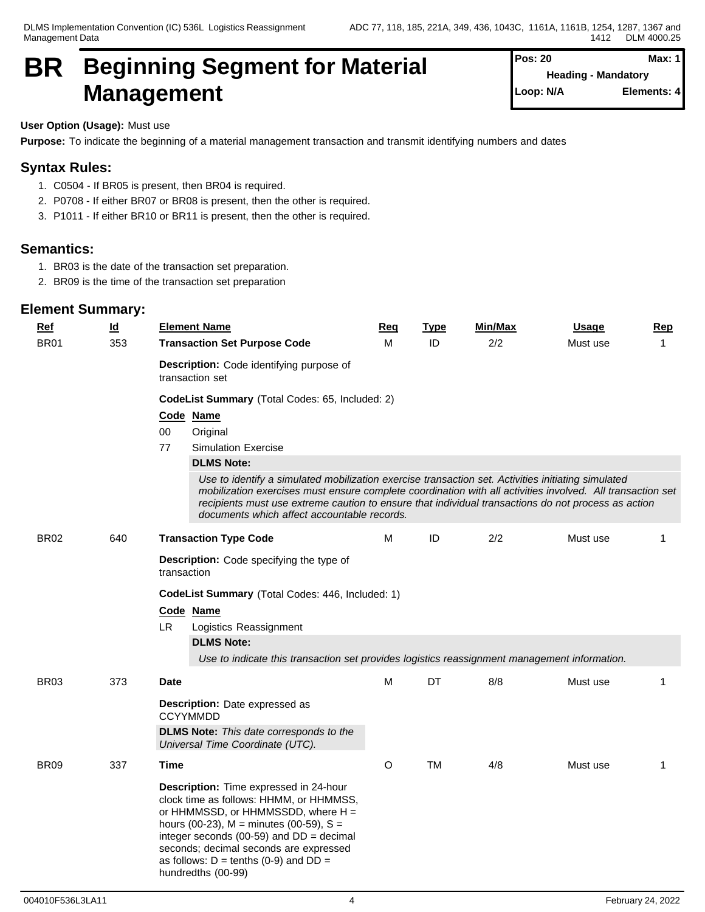## **BR Beginning Segment for Material Management**

| Pos: 20   |                            | Max: $1$    |
|-----------|----------------------------|-------------|
|           | <b>Heading - Mandatory</b> |             |
| Loop: N/A |                            | Elements: 4 |

## **User Option (Usage):** Must use

**Purpose:** To indicate the beginning of a material management transaction and transmit identifying numbers and dates

## **Syntax Rules:**

- 1. C0504 If BR05 is present, then BR04 is required.
- 2. P0708 If either BR07 or BR08 is present, then the other is required.
- 3. P1011 If either BR10 or BR11 is present, then the other is required.

## **Semantics:**

- 1. BR03 is the date of the transaction set preparation.
- 2. BR09 is the time of the transaction set preparation

| <b>Ref</b>       | $\underline{\mathsf{Id}}$ | <b>Element Name</b>                                                                                                                                                                                                                                                                                                                                                    | <b>Req</b> | <b>Type</b> | Min/Max | <b>Usage</b> | <b>Rep</b>   |  |  |  |  |  |  |
|------------------|---------------------------|------------------------------------------------------------------------------------------------------------------------------------------------------------------------------------------------------------------------------------------------------------------------------------------------------------------------------------------------------------------------|------------|-------------|---------|--------------|--------------|--|--|--|--|--|--|
| <b>BR01</b>      | 353                       | <b>Transaction Set Purpose Code</b>                                                                                                                                                                                                                                                                                                                                    | M          | ID          | 2/2     | Must use     | $\mathbf{1}$ |  |  |  |  |  |  |
|                  |                           | Description: Code identifying purpose of<br>transaction set                                                                                                                                                                                                                                                                                                            |            |             |         |              |              |  |  |  |  |  |  |
|                  |                           | CodeList Summary (Total Codes: 65, Included: 2)                                                                                                                                                                                                                                                                                                                        |            |             |         |              |              |  |  |  |  |  |  |
|                  |                           | Code Name                                                                                                                                                                                                                                                                                                                                                              |            |             |         |              |              |  |  |  |  |  |  |
|                  |                           | 00<br>Original<br>77<br><b>Simulation Exercise</b>                                                                                                                                                                                                                                                                                                                     |            |             |         |              |              |  |  |  |  |  |  |
|                  |                           | <b>DLMS Note:</b>                                                                                                                                                                                                                                                                                                                                                      |            |             |         |              |              |  |  |  |  |  |  |
|                  |                           | Use to identify a simulated mobilization exercise transaction set. Activities initiating simulated<br>mobilization exercises must ensure complete coordination with all activities involved. All transaction set<br>recipients must use extreme caution to ensure that individual transactions do not process as action<br>documents which affect accountable records. |            |             |         |              |              |  |  |  |  |  |  |
| <b>BR02</b>      | 640                       | <b>Transaction Type Code</b>                                                                                                                                                                                                                                                                                                                                           | M          | ID          | 2/2     | Must use     | $\mathbf{1}$ |  |  |  |  |  |  |
|                  |                           | Description: Code specifying the type of<br>transaction                                                                                                                                                                                                                                                                                                                |            |             |         |              |              |  |  |  |  |  |  |
|                  |                           | CodeList Summary (Total Codes: 446, Included: 1)                                                                                                                                                                                                                                                                                                                       |            |             |         |              |              |  |  |  |  |  |  |
|                  |                           | Code Name                                                                                                                                                                                                                                                                                                                                                              |            |             |         |              |              |  |  |  |  |  |  |
|                  |                           | LR.<br>Logistics Reassignment                                                                                                                                                                                                                                                                                                                                          |            |             |         |              |              |  |  |  |  |  |  |
|                  |                           | <b>DLMS Note:</b>                                                                                                                                                                                                                                                                                                                                                      |            |             |         |              |              |  |  |  |  |  |  |
|                  |                           | Use to indicate this transaction set provides logistics reassignment management information.                                                                                                                                                                                                                                                                           |            |             |         |              |              |  |  |  |  |  |  |
| BR <sub>03</sub> | 373                       | <b>Date</b>                                                                                                                                                                                                                                                                                                                                                            | M          | DT          | 8/8     | Must use     | 1            |  |  |  |  |  |  |
|                  |                           | <b>Description:</b> Date expressed as<br><b>CCYYMMDD</b>                                                                                                                                                                                                                                                                                                               |            |             |         |              |              |  |  |  |  |  |  |
|                  |                           | <b>DLMS Note:</b> This date corresponds to the<br>Universal Time Coordinate (UTC).                                                                                                                                                                                                                                                                                     |            |             |         |              |              |  |  |  |  |  |  |
| <b>BR09</b>      | 337                       | Time                                                                                                                                                                                                                                                                                                                                                                   | O          | TM          | 4/8     | Must use     | 1            |  |  |  |  |  |  |
|                  |                           | Description: Time expressed in 24-hour<br>clock time as follows: HHMM, or HHMMSS,<br>or HHMMSSD, or HHMMSSDD, where H =<br>hours (00-23), $M =$ minutes (00-59), $S =$<br>integer seconds (00-59) and $DD = decimal$<br>seconds; decimal seconds are expressed<br>as follows: $D = \text{tenths}$ (0-9) and $DD =$<br>hundredths (00-99)                               |            |             |         |              |              |  |  |  |  |  |  |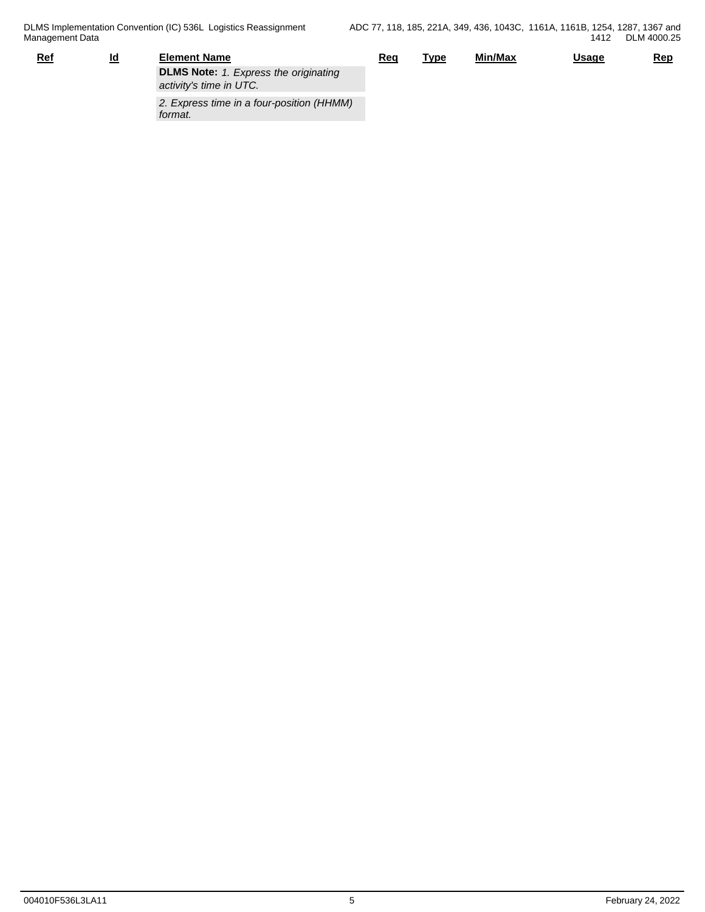| Ref | ld | <b>Element Name</b>                                                     | Reg | Type | Min/Max | <u>Usage</u> | <u>Rep</u> |
|-----|----|-------------------------------------------------------------------------|-----|------|---------|--------------|------------|
|     |    | <b>DLMS Note:</b> 1. Express the originating<br>activity's time in UTC. |     |      |         |              |            |
|     |    | 2. Express time in a four-position (HHMM)<br>format.                    |     |      |         |              |            |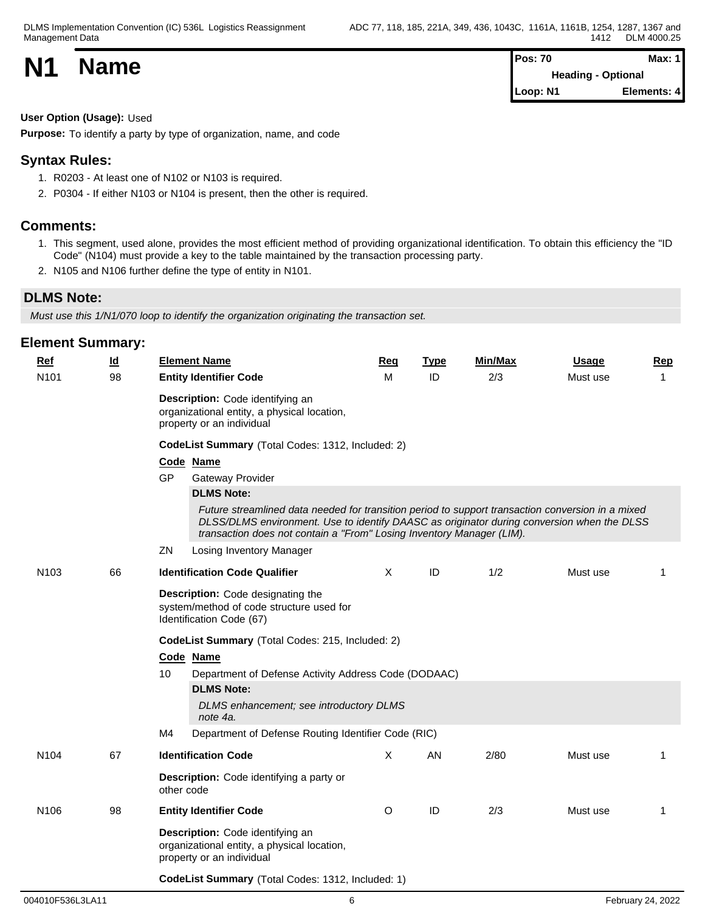| <b>N1</b> | <b>Name</b> | <b>Pos: 70</b>            | Max: 1      |
|-----------|-------------|---------------------------|-------------|
|           |             | <b>Heading - Optional</b> |             |
|           |             | Loop: N1                  | Elements: 4 |

### **User Option (Usage):** Used

**Purpose:** To identify a party by type of organization, name, and code

## **Syntax Rules:**

- 1. R0203 At least one of N102 or N103 is required.
- 2. P0304 If either N103 or N104 is present, then the other is required.

## **Comments:**

- 1. This segment, used alone, provides the most efficient method of providing organizational identification. To obtain this efficiency the "ID Code" (N104) must provide a key to the table maintained by the transaction processing party.
- 2. N105 and N106 further define the type of entity in N101.

## **DLMS Note:**

*Must use this 1/N1/070 loop to identify the organization originating the transaction set.*

| Ref              | <u>ld</u> | <b>Element Name</b>                                                                                          | Req                                                                                                                                                                                                                                                                      | <b>Type</b> | <b>Min/Max</b> | <b>Usage</b> | <b>Rep</b>  |  |  |  |  |  |  |
|------------------|-----------|--------------------------------------------------------------------------------------------------------------|--------------------------------------------------------------------------------------------------------------------------------------------------------------------------------------------------------------------------------------------------------------------------|-------------|----------------|--------------|-------------|--|--|--|--|--|--|
| N101             | 98        | <b>Entity Identifier Code</b>                                                                                | M                                                                                                                                                                                                                                                                        | ID          | 2/3            | Must use     | $\mathbf 1$ |  |  |  |  |  |  |
|                  |           | Description: Code identifying an<br>organizational entity, a physical location,<br>property or an individual |                                                                                                                                                                                                                                                                          |             |                |              |             |  |  |  |  |  |  |
|                  |           | CodeList Summary (Total Codes: 1312, Included: 2)                                                            |                                                                                                                                                                                                                                                                          |             |                |              |             |  |  |  |  |  |  |
|                  |           | Code Name                                                                                                    |                                                                                                                                                                                                                                                                          |             |                |              |             |  |  |  |  |  |  |
|                  |           | <b>GP</b><br>Gateway Provider                                                                                |                                                                                                                                                                                                                                                                          |             |                |              |             |  |  |  |  |  |  |
|                  |           | <b>DLMS Note:</b>                                                                                            |                                                                                                                                                                                                                                                                          |             |                |              |             |  |  |  |  |  |  |
|                  |           |                                                                                                              | Future streamlined data needed for transition period to support transaction conversion in a mixed<br>DLSS/DLMS environment. Use to identify DAASC as originator during conversion when the DLSS<br>transaction does not contain a "From" Losing Inventory Manager (LIM). |             |                |              |             |  |  |  |  |  |  |
|                  |           | ZN<br>Losing Inventory Manager                                                                               |                                                                                                                                                                                                                                                                          |             |                |              |             |  |  |  |  |  |  |
| N <sub>103</sub> | 66        | <b>Identification Code Qualifier</b>                                                                         | $\mathsf{X}$                                                                                                                                                                                                                                                             | ID          | 1/2            | Must use     | $\mathbf 1$ |  |  |  |  |  |  |
|                  |           | Description: Code designating the<br>system/method of code structure used for<br>Identification Code (67)    |                                                                                                                                                                                                                                                                          |             |                |              |             |  |  |  |  |  |  |
|                  |           | CodeList Summary (Total Codes: 215, Included: 2)                                                             |                                                                                                                                                                                                                                                                          |             |                |              |             |  |  |  |  |  |  |
|                  |           | Code Name                                                                                                    |                                                                                                                                                                                                                                                                          |             |                |              |             |  |  |  |  |  |  |
|                  |           | 10<br>Department of Defense Activity Address Code (DODAAC)                                                   |                                                                                                                                                                                                                                                                          |             |                |              |             |  |  |  |  |  |  |
|                  |           | <b>DLMS Note:</b>                                                                                            |                                                                                                                                                                                                                                                                          |             |                |              |             |  |  |  |  |  |  |
|                  |           | DLMS enhancement; see introductory DLMS<br>note 4a.                                                          |                                                                                                                                                                                                                                                                          |             |                |              |             |  |  |  |  |  |  |
|                  |           | Department of Defense Routing Identifier Code (RIC)<br>M4                                                    |                                                                                                                                                                                                                                                                          |             |                |              |             |  |  |  |  |  |  |
| N <sub>104</sub> | 67        | <b>Identification Code</b>                                                                                   | $\sf X$                                                                                                                                                                                                                                                                  | AN          | 2/80           | Must use     | 1           |  |  |  |  |  |  |
|                  |           | Description: Code identifying a party or<br>other code                                                       |                                                                                                                                                                                                                                                                          |             |                |              |             |  |  |  |  |  |  |
| N <sub>106</sub> | 98        | <b>Entity Identifier Code</b>                                                                                | O                                                                                                                                                                                                                                                                        | ID          | 2/3            | Must use     | 1           |  |  |  |  |  |  |
|                  |           | Description: Code identifying an<br>organizational entity, a physical location,<br>property or an individual |                                                                                                                                                                                                                                                                          |             |                |              |             |  |  |  |  |  |  |
|                  |           | CodeList Summary (Total Codes: 1312, Included: 1)                                                            |                                                                                                                                                                                                                                                                          |             |                |              |             |  |  |  |  |  |  |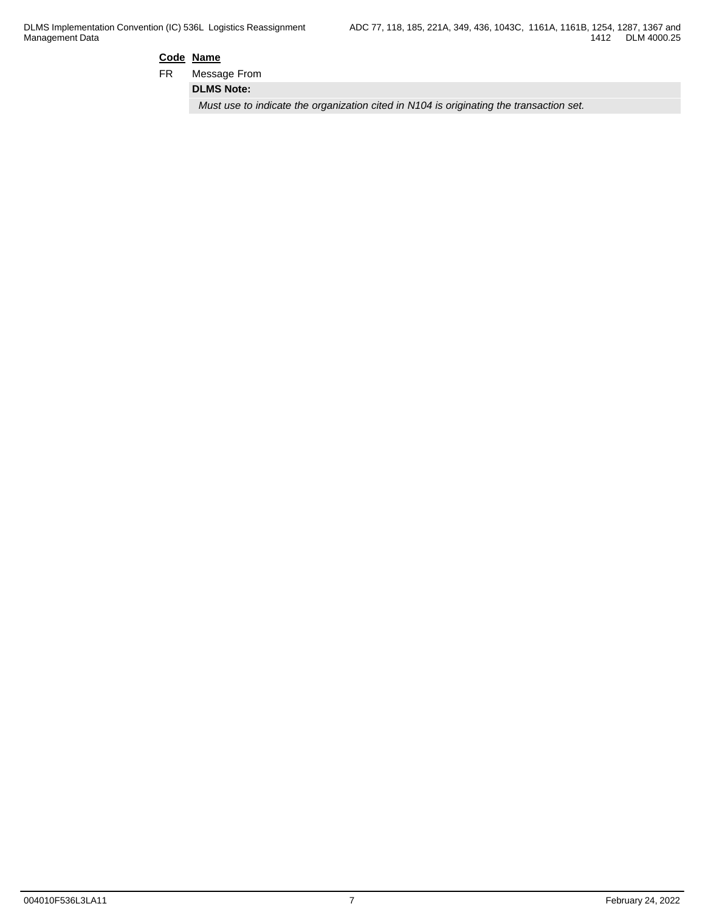## **Code Name**

FR Message From

**DLMS Note:**

*Must use to indicate the organization cited in N104 is originating the transaction set.*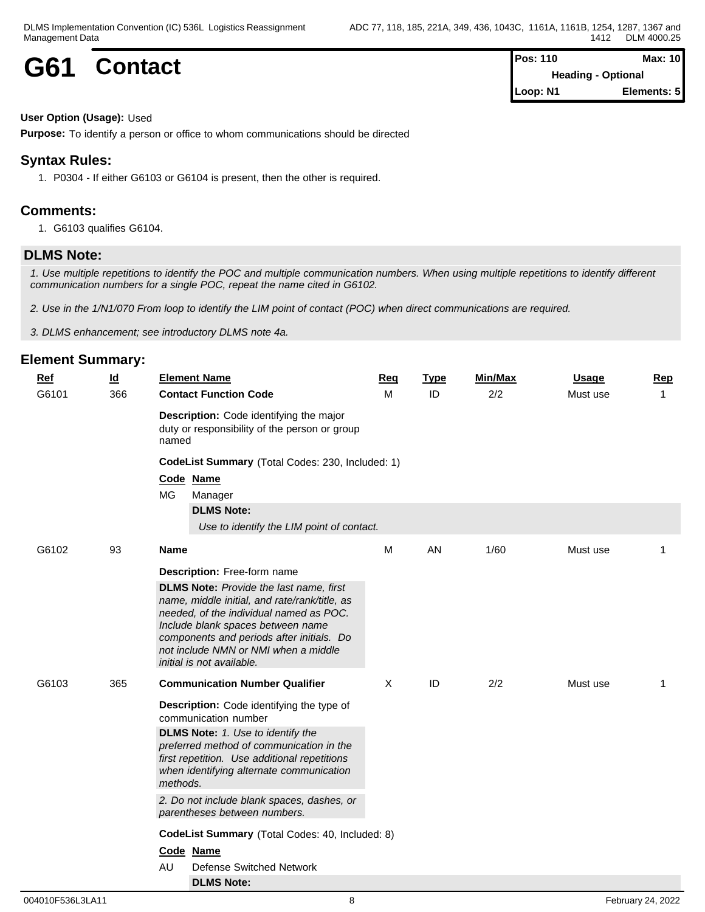| G61 |         | <b>Pos: 110</b>           | <b>Max: 10</b> |  |
|-----|---------|---------------------------|----------------|--|
|     | Contact | <b>Heading - Optional</b> |                |  |
|     |         | Loop: N1                  | Elements: 5    |  |

#### **User Option (Usage):** Used

**Purpose:** To identify a person or office to whom communications should be directed

## **Syntax Rules:**

1. P0304 - If either G6103 or G6104 is present, then the other is required.

## **Comments:**

1. G6103 qualifies G6104.

## **DLMS Note:**

*1. Use multiple repetitions to identify the POC and multiple communication numbers. When using multiple repetitions to identify different communication numbers for a single POC, repeat the name cited in G6102.*

*2. Use in the 1/N1/070 From loop to identify the LIM point of contact (POC) when direct communications are required.*

*3. DLMS enhancement; see introductory DLMS note 4a.*

| <b>Contact Function Code</b><br>ID<br>2/2<br>G6101<br>366<br>M<br>Must use<br>$\mathbf{1}$<br>Description: Code identifying the major<br>duty or responsibility of the person or group<br>named<br>CodeList Summary (Total Codes: 230, Included: 1)<br>Code Name<br><b>MG</b><br>Manager<br><b>DLMS Note:</b><br>Use to identify the LIM point of contact.<br>M<br>AN<br>1/60<br>G6102<br>93<br><b>Name</b><br>Must use<br>1<br>Description: Free-form name<br><b>DLMS Note:</b> Provide the last name, first<br>name, middle initial, and rate/rank/title, as<br>needed, of the individual named as POC.<br>Include blank spaces between name<br>components and periods after initials. Do<br>not include NMN or NMI when a middle<br>initial is not available.<br>X<br>2/2<br>G6103<br>365<br><b>Communication Number Qualifier</b><br>ID<br>Must use<br>1<br>Description: Code identifying the type of<br>communication number<br><b>DLMS Note:</b> 1. Use to identify the<br>preferred method of communication in the<br>first repetition. Use additional repetitions<br>when identifying alternate communication<br>methods.<br>2. Do not include blank spaces, dashes, or<br>parentheses between numbers.<br>CodeList Summary (Total Codes: 40, Included: 8)<br>Code Name<br>AU<br><b>Defense Switched Network</b> | <b>Ref</b> | $\underline{\mathsf{Id}}$ | <b>Element Name</b> | <b>Req</b> | <b>Type</b> | <b>Min/Max</b> | <b>Usage</b> | <b>Rep</b> |
|--------------------------------------------------------------------------------------------------------------------------------------------------------------------------------------------------------------------------------------------------------------------------------------------------------------------------------------------------------------------------------------------------------------------------------------------------------------------------------------------------------------------------------------------------------------------------------------------------------------------------------------------------------------------------------------------------------------------------------------------------------------------------------------------------------------------------------------------------------------------------------------------------------------------------------------------------------------------------------------------------------------------------------------------------------------------------------------------------------------------------------------------------------------------------------------------------------------------------------------------------------------------------------------------------------------------------|------------|---------------------------|---------------------|------------|-------------|----------------|--------------|------------|
|                                                                                                                                                                                                                                                                                                                                                                                                                                                                                                                                                                                                                                                                                                                                                                                                                                                                                                                                                                                                                                                                                                                                                                                                                                                                                                                          |            |                           |                     |            |             |                |              |            |
|                                                                                                                                                                                                                                                                                                                                                                                                                                                                                                                                                                                                                                                                                                                                                                                                                                                                                                                                                                                                                                                                                                                                                                                                                                                                                                                          |            |                           |                     |            |             |                |              |            |
|                                                                                                                                                                                                                                                                                                                                                                                                                                                                                                                                                                                                                                                                                                                                                                                                                                                                                                                                                                                                                                                                                                                                                                                                                                                                                                                          |            |                           |                     |            |             |                |              |            |
| <b>DLMS Note:</b>                                                                                                                                                                                                                                                                                                                                                                                                                                                                                                                                                                                                                                                                                                                                                                                                                                                                                                                                                                                                                                                                                                                                                                                                                                                                                                        |            |                           |                     |            |             |                |              |            |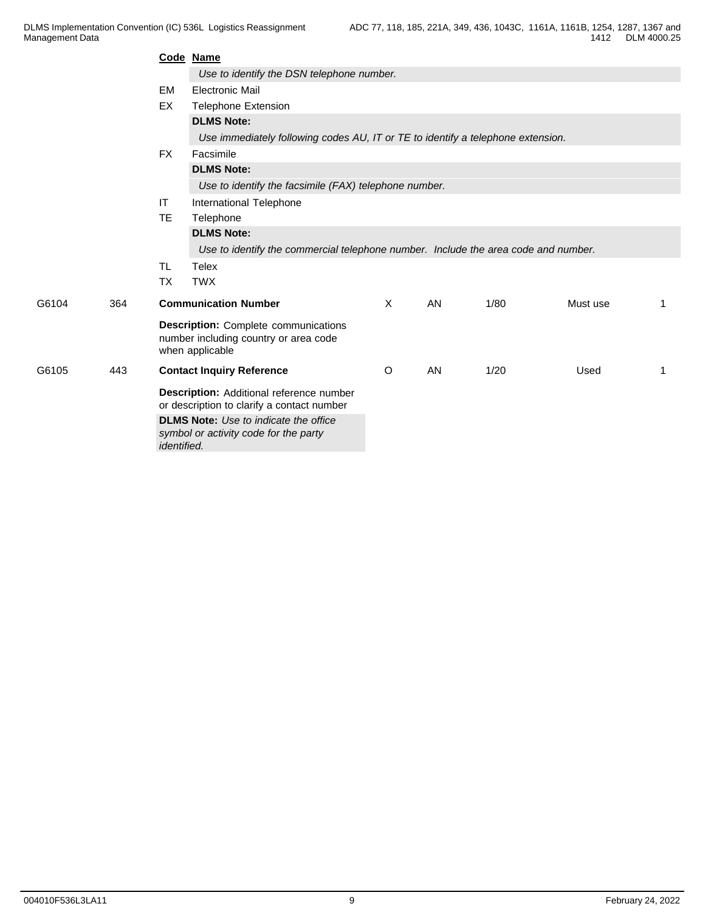|       |     |                    | Code Name                                                                                               |              |    |      |          |    |  |  |  |  |
|-------|-----|--------------------|---------------------------------------------------------------------------------------------------------|--------------|----|------|----------|----|--|--|--|--|
|       |     |                    | Use to identify the DSN telephone number.                                                               |              |    |      |          |    |  |  |  |  |
|       |     | <b>EM</b>          | <b>Electronic Mail</b>                                                                                  |              |    |      |          |    |  |  |  |  |
|       |     | EX                 | <b>Telephone Extension</b>                                                                              |              |    |      |          |    |  |  |  |  |
|       |     |                    | <b>DLMS Note:</b>                                                                                       |              |    |      |          |    |  |  |  |  |
|       |     |                    | Use immediately following codes AU, IT or TE to identify a telephone extension.                         |              |    |      |          |    |  |  |  |  |
|       |     | <b>FX</b>          | Facsimile                                                                                               |              |    |      |          |    |  |  |  |  |
|       |     |                    | <b>DLMS Note:</b>                                                                                       |              |    |      |          |    |  |  |  |  |
|       |     |                    | Use to identify the facsimile (FAX) telephone number.                                                   |              |    |      |          |    |  |  |  |  |
|       |     | IT                 | International Telephone                                                                                 |              |    |      |          |    |  |  |  |  |
|       |     | <b>TE</b>          | Telephone                                                                                               |              |    |      |          |    |  |  |  |  |
|       |     |                    | <b>DLMS Note:</b>                                                                                       |              |    |      |          |    |  |  |  |  |
|       |     |                    | Use to identify the commercial telephone number. Include the area code and number.                      |              |    |      |          |    |  |  |  |  |
|       |     | TL                 | <b>Telex</b>                                                                                            |              |    |      |          |    |  |  |  |  |
|       |     | <b>TX</b>          | <b>TWX</b>                                                                                              |              |    |      |          |    |  |  |  |  |
| G6104 | 364 |                    | <b>Communication Number</b>                                                                             | $\mathsf{X}$ | AN | 1/80 | Must use | -1 |  |  |  |  |
|       |     |                    | <b>Description:</b> Complete communications<br>number including country or area code<br>when applicable |              |    |      |          |    |  |  |  |  |
| G6105 | 443 |                    | <b>Contact Inquiry Reference</b>                                                                        | $\circ$      | AN | 1/20 | Used     | -1 |  |  |  |  |
|       |     |                    | Description: Additional reference number<br>or description to clarify a contact number                  |              |    |      |          |    |  |  |  |  |
|       |     | <i>identified.</i> | <b>DLMS Note:</b> Use to indicate the office<br>symbol or activity code for the party                   |              |    |      |          |    |  |  |  |  |
|       |     |                    |                                                                                                         |              |    |      |          |    |  |  |  |  |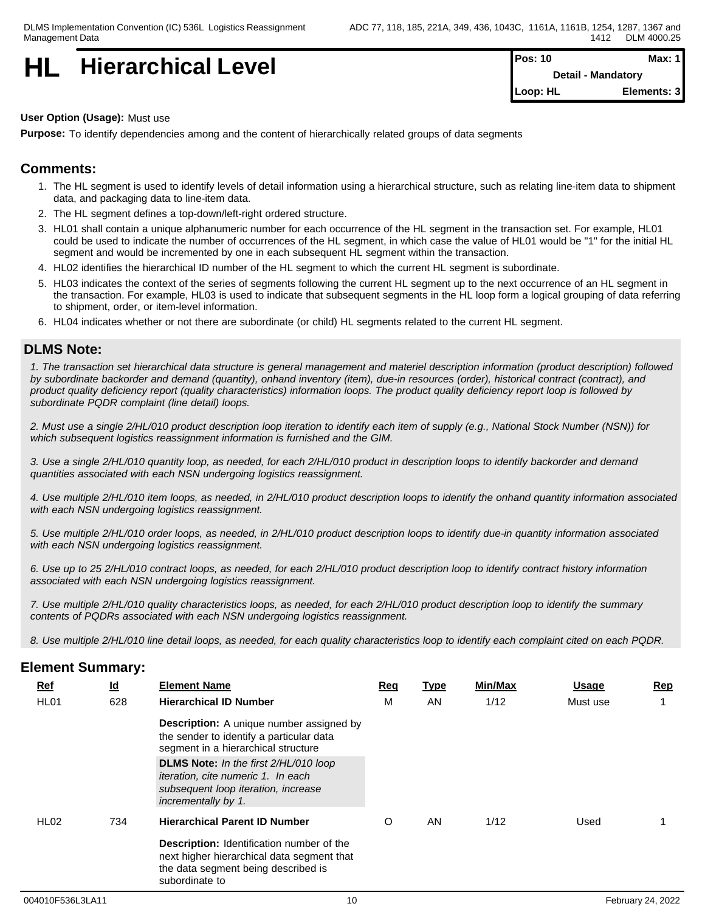| HL | <b>Hierarchical Level</b> | <b>Pos: 10</b>            | Max: 1 |  |
|----|---------------------------|---------------------------|--------|--|
|    |                           | <b>Detail - Mandatory</b> |        |  |

| Pos: 10  | Max: $1$                  |
|----------|---------------------------|
|          | <b>Detail - Mandatory</b> |
| Loop: HL | Elements: 3               |

#### **User Option (Usage):** Must use

**Purpose:** To identify dependencies among and the content of hierarchically related groups of data segments

## **Comments:**

- 1. The HL segment is used to identify levels of detail information using a hierarchical structure, such as relating line-item data to shipment data, and packaging data to line-item data.
- 2. The HL segment defines a top-down/left-right ordered structure.
- 3. HL01 shall contain a unique alphanumeric number for each occurrence of the HL segment in the transaction set. For example, HL01 could be used to indicate the number of occurrences of the HL segment, in which case the value of HL01 would be "1" for the initial HL segment and would be incremented by one in each subsequent HL segment within the transaction.
- 4. HL02 identifies the hierarchical ID number of the HL segment to which the current HL segment is subordinate.
- 5. HL03 indicates the context of the series of segments following the current HL segment up to the next occurrence of an HL segment in the transaction. For example, HL03 is used to indicate that subsequent segments in the HL loop form a logical grouping of data referring to shipment, order, or item-level information.
- 6. HL04 indicates whether or not there are subordinate (or child) HL segments related to the current HL segment.

## **DLMS Note:**

*1. The transaction set hierarchical data structure is general management and materiel description information (product description) followed by subordinate backorder and demand (quantity), onhand inventory (item), due-in resources (order), historical contract (contract), and product quality deficiency report (quality characteristics) information loops. The product quality deficiency report loop is followed by subordinate PQDR complaint (line detail) loops.*

*2. Must use a single 2/HL/010 product description loop iteration to identify each item of supply (e.g., National Stock Number (NSN)) for which subsequent logistics reassignment information is furnished and the GIM.*

*3. Use a single 2/HL/010 quantity loop, as needed, for each 2/HL/010 product in description loops to identify backorder and demand quantities associated with each NSN undergoing logistics reassignment.*

*4. Use multiple 2/HL/010 item loops, as needed, in 2/HL/010 product description loops to identify the onhand quantity information associated with each NSN undergoing logistics reassignment.*

*5. Use multiple 2/HL/010 order loops, as needed, in 2/HL/010 product description loops to identify due-in quantity information associated with each NSN undergoing logistics reassignment.*

*6. Use up to 25 2/HL/010 contract loops, as needed, for each 2/HL/010 product description loop to identify contract history information associated with each NSN undergoing logistics reassignment.*

*7. Use multiple 2/HL/010 quality characteristics loops, as needed, for each 2/HL/010 product description loop to identify the summary contents of PQDRs associated with each NSN undergoing logistics reassignment.*

*8. Use multiple 2/HL/010 line detail loops, as needed, for each quality characteristics loop to identify each complaint cited on each PQDR.*

| <b>Ref</b>       | $\underline{\mathsf{Id}}$ | <b>Element Name</b>                                                                                                                                                                                                                                                                    | <u>Req</u> | <u>Type</u> | Min/Max | <b>Usage</b> | <b>Rep</b> |
|------------------|---------------------------|----------------------------------------------------------------------------------------------------------------------------------------------------------------------------------------------------------------------------------------------------------------------------------------|------------|-------------|---------|--------------|------------|
| HL <sub>01</sub> | 628                       | <b>Hierarchical ID Number</b>                                                                                                                                                                                                                                                          | M          | AN          | 1/12    | Must use     |            |
|                  |                           | <b>Description:</b> A unique number assigned by<br>the sender to identify a particular data<br>segment in a hierarchical structure<br>DLMS Note: In the first 2/HL/010 loop<br><i>iteration, cite numeric 1. In each</i><br>subsequent loop iteration, increase<br>incrementally by 1. |            |             |         |              |            |
| HL <sub>02</sub> | 734                       | <b>Hierarchical Parent ID Number</b>                                                                                                                                                                                                                                                   |            | AN.         | 1/12    | Used         |            |
|                  |                           | <b>Description:</b> Identification number of the<br>next higher hierarchical data segment that<br>the data segment being described is<br>subordinate to                                                                                                                                |            |             |         |              |            |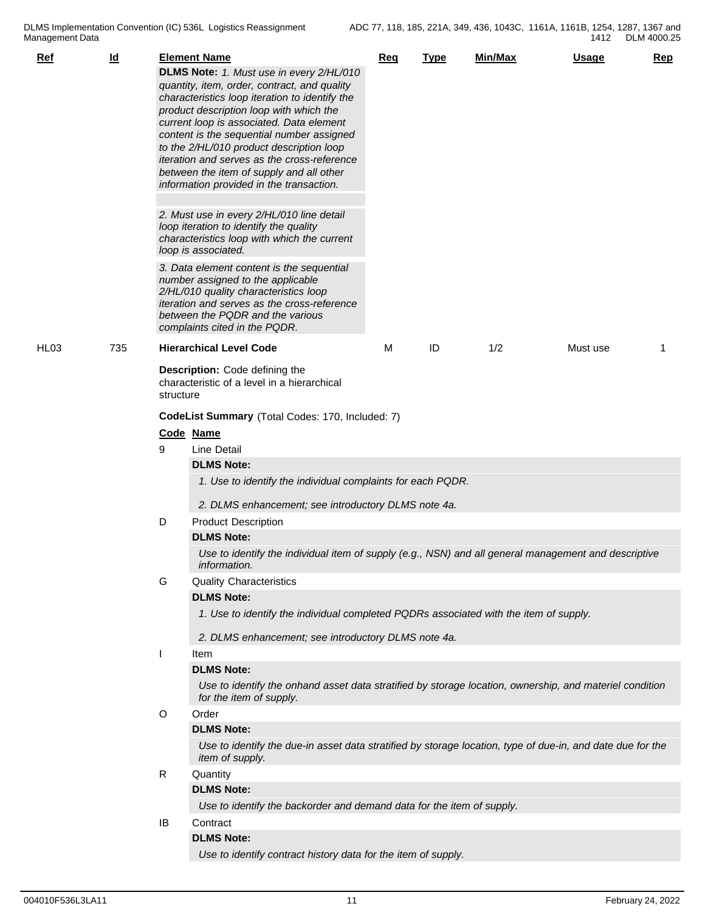| $Ref$            | $\underline{\mathsf{Id}}$ |           | <b>Element Name</b><br>DLMS Note: 1. Must use in every 2/HL/010<br>quantity, item, order, contract, and quality<br>characteristics loop iteration to identify the<br>product description loop with which the<br>current loop is associated. Data element<br>content is the sequential number assigned<br>to the 2/HL/010 product description loop<br>iteration and serves as the cross-reference<br>between the item of supply and all other<br>information provided in the transaction. | Req | <b>Type</b> | Min/Max | Usage    | <b>Rep</b> |  |  |  |
|------------------|---------------------------|-----------|------------------------------------------------------------------------------------------------------------------------------------------------------------------------------------------------------------------------------------------------------------------------------------------------------------------------------------------------------------------------------------------------------------------------------------------------------------------------------------------|-----|-------------|---------|----------|------------|--|--|--|
|                  |                           |           | 2. Must use in every 2/HL/010 line detail<br>loop iteration to identify the quality<br>characteristics loop with which the current<br>loop is associated.<br>3. Data element content is the sequential<br>number assigned to the applicable                                                                                                                                                                                                                                              |     |             |         |          |            |  |  |  |
|                  |                           |           | 2/HL/010 quality characteristics loop<br>iteration and serves as the cross-reference<br>between the PQDR and the various<br>complaints cited in the PQDR.                                                                                                                                                                                                                                                                                                                                |     |             |         |          |            |  |  |  |
| HL <sub>03</sub> | 735                       |           | <b>Hierarchical Level Code</b>                                                                                                                                                                                                                                                                                                                                                                                                                                                           | м   | ID          | 1/2     | Must use | 1          |  |  |  |
|                  |                           | structure | Description: Code defining the<br>characteristic of a level in a hierarchical                                                                                                                                                                                                                                                                                                                                                                                                            |     |             |         |          |            |  |  |  |
|                  |                           |           | CodeList Summary (Total Codes: 170, Included: 7)                                                                                                                                                                                                                                                                                                                                                                                                                                         |     |             |         |          |            |  |  |  |
|                  |                           |           | Code Name                                                                                                                                                                                                                                                                                                                                                                                                                                                                                |     |             |         |          |            |  |  |  |
|                  |                           | 9         | <b>Line Detail</b>                                                                                                                                                                                                                                                                                                                                                                                                                                                                       |     |             |         |          |            |  |  |  |
|                  |                           |           | <b>DLMS Note:</b>                                                                                                                                                                                                                                                                                                                                                                                                                                                                        |     |             |         |          |            |  |  |  |
|                  |                           |           | 1. Use to identify the individual complaints for each PQDR.                                                                                                                                                                                                                                                                                                                                                                                                                              |     |             |         |          |            |  |  |  |
|                  |                           |           | 2. DLMS enhancement; see introductory DLMS note 4a.                                                                                                                                                                                                                                                                                                                                                                                                                                      |     |             |         |          |            |  |  |  |
|                  |                           | D         | <b>Product Description</b>                                                                                                                                                                                                                                                                                                                                                                                                                                                               |     |             |         |          |            |  |  |  |
|                  |                           |           | <b>DLMS Note:</b>                                                                                                                                                                                                                                                                                                                                                                                                                                                                        |     |             |         |          |            |  |  |  |
|                  |                           |           | Use to identify the individual item of supply (e.g., NSN) and all general management and descriptive<br>information.                                                                                                                                                                                                                                                                                                                                                                     |     |             |         |          |            |  |  |  |
|                  |                           | G         | <b>Quality Characteristics</b>                                                                                                                                                                                                                                                                                                                                                                                                                                                           |     |             |         |          |            |  |  |  |
|                  |                           |           | <b>DLMS Note:</b>                                                                                                                                                                                                                                                                                                                                                                                                                                                                        |     |             |         |          |            |  |  |  |
|                  |                           |           | 1. Use to identify the individual completed PQDRs associated with the item of supply.                                                                                                                                                                                                                                                                                                                                                                                                    |     |             |         |          |            |  |  |  |
|                  |                           |           | 2. DLMS enhancement; see introductory DLMS note 4a.                                                                                                                                                                                                                                                                                                                                                                                                                                      |     |             |         |          |            |  |  |  |
|                  |                           |           | Item                                                                                                                                                                                                                                                                                                                                                                                                                                                                                     |     |             |         |          |            |  |  |  |
|                  |                           |           | <b>DLMS Note:</b>                                                                                                                                                                                                                                                                                                                                                                                                                                                                        |     |             |         |          |            |  |  |  |
|                  |                           |           | Use to identify the onhand asset data stratified by storage location, ownership, and materiel condition<br>for the item of supply.                                                                                                                                                                                                                                                                                                                                                       |     |             |         |          |            |  |  |  |
|                  |                           | $\circ$   | Order                                                                                                                                                                                                                                                                                                                                                                                                                                                                                    |     |             |         |          |            |  |  |  |
|                  |                           |           | <b>DLMS Note:</b>                                                                                                                                                                                                                                                                                                                                                                                                                                                                        |     |             |         |          |            |  |  |  |
|                  |                           |           | Use to identify the due-in asset data stratified by storage location, type of due-in, and date due for the<br>item of supply.                                                                                                                                                                                                                                                                                                                                                            |     |             |         |          |            |  |  |  |
|                  |                           | R         | Quantity                                                                                                                                                                                                                                                                                                                                                                                                                                                                                 |     |             |         |          |            |  |  |  |
|                  |                           |           | <b>DLMS Note:</b>                                                                                                                                                                                                                                                                                                                                                                                                                                                                        |     |             |         |          |            |  |  |  |
|                  |                           |           | Use to identify the backorder and demand data for the item of supply.                                                                                                                                                                                                                                                                                                                                                                                                                    |     |             |         |          |            |  |  |  |
|                  |                           | IB        | Contract                                                                                                                                                                                                                                                                                                                                                                                                                                                                                 |     |             |         |          |            |  |  |  |
|                  |                           |           | <b>DLMS Note:</b><br>Use to identify contract history data for the item of supply.                                                                                                                                                                                                                                                                                                                                                                                                       |     |             |         |          |            |  |  |  |
|                  |                           |           |                                                                                                                                                                                                                                                                                                                                                                                                                                                                                          |     |             |         |          |            |  |  |  |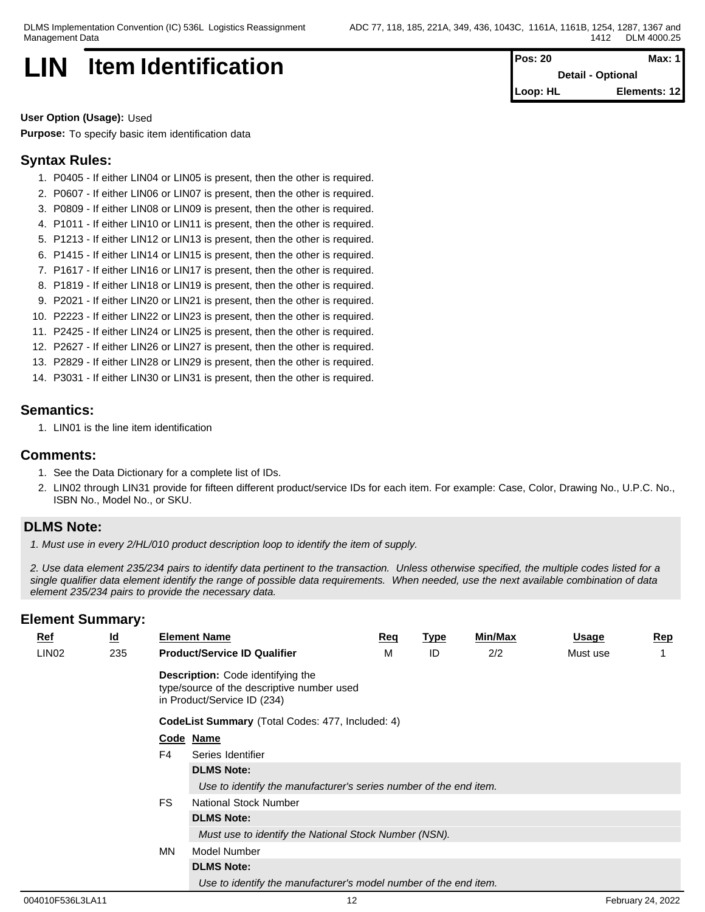## **LIN** Item Identification **Pos: 20 Max: 1 Pos: 20 Max: 1**

**Detail - Optional Loop: HL Elements: 12**

**User Option (Usage):** Used

**Purpose:** To specify basic item identification data

## **Syntax Rules:**

- 1. P0405 If either LIN04 or LIN05 is present, then the other is required.
- 2. P0607 If either LIN06 or LIN07 is present, then the other is required.
- 3. P0809 If either LIN08 or LIN09 is present, then the other is required.
- 4. P1011 If either LIN10 or LIN11 is present, then the other is required.
- 5. P1213 If either LIN12 or LIN13 is present, then the other is required.
- 6. P1415 If either LIN14 or LIN15 is present, then the other is required.
- 7. P1617 If either LIN16 or LIN17 is present, then the other is required.
- 8. P1819 If either LIN18 or LIN19 is present, then the other is required.
- 9. P2021 If either LIN20 or LIN21 is present, then the other is required.
- 10. P2223 If either LIN22 or LIN23 is present, then the other is required.
- 11. P2425 If either LIN24 or LIN25 is present, then the other is required.
- 12. P2627 If either LIN26 or LIN27 is present, then the other is required.
- 13. P2829 If either LIN28 or LIN29 is present, then the other is required.
- 14. P3031 If either LIN30 or LIN31 is present, then the other is required.

## **Semantics:**

1. LIN01 is the line item identification

### **Comments:**

- 1. See the Data Dictionary for a complete list of IDs.
- 2. LIN02 through LIN31 provide for fifteen different product/service IDs for each item. For example: Case, Color, Drawing No., U.P.C. No., ISBN No., Model No., or SKU.

## **DLMS Note:**

*1. Must use in every 2/HL/010 product description loop to identify the item of supply.*

*2. Use data element 235/234 pairs to identify data pertinent to the transaction. Unless otherwise specified, the multiple codes listed for a single qualifier data element identify the range of possible data requirements. When needed, use the next available combination of data element 235/234 pairs to provide the necessary data.*

| $Ref$             | $\underline{\mathsf{Id}}$                        |                                                       | <b>Element Name</b>                                                                                                   | Req | <u>Type</u> | <b>Min/Max</b> | <u>Usage</u> | Rep |  |  |  |  |  |
|-------------------|--------------------------------------------------|-------------------------------------------------------|-----------------------------------------------------------------------------------------------------------------------|-----|-------------|----------------|--------------|-----|--|--|--|--|--|
| LIN <sub>02</sub> | 235                                              |                                                       | <b>Product/Service ID Qualifier</b>                                                                                   | М   | ID          | 2/2            | Must use     |     |  |  |  |  |  |
|                   |                                                  |                                                       | <b>Description:</b> Code identifying the<br>type/source of the descriptive number used<br>in Product/Service ID (234) |     |             |                |              |     |  |  |  |  |  |
|                   | CodeList Summary (Total Codes: 477, Included: 4) |                                                       |                                                                                                                       |     |             |                |              |     |  |  |  |  |  |
|                   |                                                  |                                                       | Code Name                                                                                                             |     |             |                |              |     |  |  |  |  |  |
|                   |                                                  | F4                                                    | Series Identifier                                                                                                     |     |             |                |              |     |  |  |  |  |  |
|                   |                                                  |                                                       | <b>DLMS Note:</b>                                                                                                     |     |             |                |              |     |  |  |  |  |  |
|                   |                                                  |                                                       | Use to identify the manufacturer's series number of the end item.                                                     |     |             |                |              |     |  |  |  |  |  |
|                   |                                                  | <b>FS</b>                                             | <b>National Stock Number</b>                                                                                          |     |             |                |              |     |  |  |  |  |  |
|                   |                                                  |                                                       | <b>DLMS Note:</b>                                                                                                     |     |             |                |              |     |  |  |  |  |  |
|                   |                                                  | Must use to identify the National Stock Number (NSN). |                                                                                                                       |     |             |                |              |     |  |  |  |  |  |
|                   |                                                  | MN                                                    | Model Number                                                                                                          |     |             |                |              |     |  |  |  |  |  |
|                   |                                                  |                                                       | <b>DLMS Note:</b>                                                                                                     |     |             |                |              |     |  |  |  |  |  |
|                   |                                                  |                                                       | Use to identify the manufacturer's model number of the end item.                                                      |     |             |                |              |     |  |  |  |  |  |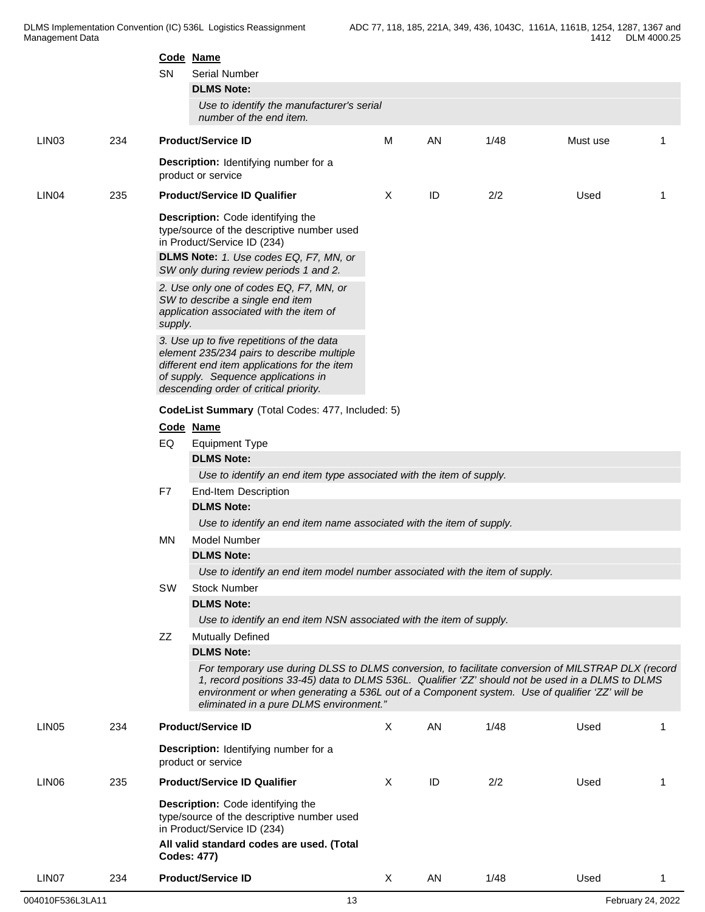|                   |     | <b>SN</b> | Code Name<br><b>Serial Number</b><br><b>DLMS Note:</b><br>Use to identify the manufacturer's serial<br>number of the end item.                                                                                                                                                                                                                       |              |    |      |          |                |
|-------------------|-----|-----------|------------------------------------------------------------------------------------------------------------------------------------------------------------------------------------------------------------------------------------------------------------------------------------------------------------------------------------------------------|--------------|----|------|----------|----------------|
| LIN <sub>03</sub> | 234 |           | <b>Product/Service ID</b>                                                                                                                                                                                                                                                                                                                            | М            | AN | 1/48 | Must use | 1              |
|                   |     |           | Description: Identifying number for a<br>product or service                                                                                                                                                                                                                                                                                          |              |    |      |          |                |
| LIN <sub>04</sub> | 235 |           | <b>Product/Service ID Qualifier</b>                                                                                                                                                                                                                                                                                                                  | X            | ID | 2/2  | Used     | -1             |
|                   |     |           | Description: Code identifying the<br>type/source of the descriptive number used<br>in Product/Service ID (234)<br>DLMS Note: 1. Use codes EQ, F7, MN, or<br>SW only during review periods 1 and 2.<br>2. Use only one of codes EQ, F7, MN, or                                                                                                        |              |    |      |          |                |
|                   |     | supply.   | SW to describe a single end item<br>application associated with the item of                                                                                                                                                                                                                                                                          |              |    |      |          |                |
|                   |     |           | 3. Use up to five repetitions of the data<br>element 235/234 pairs to describe multiple<br>different end item applications for the item<br>of supply. Sequence applications in<br>descending order of critical priority.                                                                                                                             |              |    |      |          |                |
|                   |     |           | CodeList Summary (Total Codes: 477, Included: 5)                                                                                                                                                                                                                                                                                                     |              |    |      |          |                |
|                   |     |           | Code Name                                                                                                                                                                                                                                                                                                                                            |              |    |      |          |                |
|                   |     | EQ        | <b>Equipment Type</b>                                                                                                                                                                                                                                                                                                                                |              |    |      |          |                |
|                   |     |           | <b>DLMS Note:</b>                                                                                                                                                                                                                                                                                                                                    |              |    |      |          |                |
|                   |     |           | Use to identify an end item type associated with the item of supply.                                                                                                                                                                                                                                                                                 |              |    |      |          |                |
|                   |     | F7        | <b>End-Item Description</b><br><b>DLMS Note:</b>                                                                                                                                                                                                                                                                                                     |              |    |      |          |                |
|                   |     |           | Use to identify an end item name associated with the item of supply.                                                                                                                                                                                                                                                                                 |              |    |      |          |                |
|                   |     | <b>MN</b> | <b>Model Number</b>                                                                                                                                                                                                                                                                                                                                  |              |    |      |          |                |
|                   |     |           | <b>DLMS Note:</b>                                                                                                                                                                                                                                                                                                                                    |              |    |      |          |                |
|                   |     |           | Use to identify an end item model number associated with the item of supply.                                                                                                                                                                                                                                                                         |              |    |      |          |                |
|                   |     | SW        | <b>Stock Number</b>                                                                                                                                                                                                                                                                                                                                  |              |    |      |          |                |
|                   |     |           | <b>DLMS Note:</b>                                                                                                                                                                                                                                                                                                                                    |              |    |      |          |                |
|                   |     |           | Use to identify an end item NSN associated with the item of supply.                                                                                                                                                                                                                                                                                  |              |    |      |          |                |
|                   |     | ZZ        | <b>Mutually Defined</b>                                                                                                                                                                                                                                                                                                                              |              |    |      |          |                |
|                   |     |           | <b>DLMS Note:</b>                                                                                                                                                                                                                                                                                                                                    |              |    |      |          |                |
|                   |     |           | For temporary use during DLSS to DLMS conversion, to facilitate conversion of MILSTRAP DLX (record<br>1, record positions 33-45) data to DLMS 536L. Qualifier 'ZZ' should not be used in a DLMS to DLMS<br>environment or when generating a 536L out of a Component system. Use of qualifier 'ZZ' will be<br>eliminated in a pure DLMS environment." |              |    |      |          |                |
| LIN <sub>05</sub> | 234 |           | <b>Product/Service ID</b>                                                                                                                                                                                                                                                                                                                            | $\mathsf{X}$ | AN | 1/48 | Used     | 1              |
|                   |     |           | <b>Description:</b> Identifying number for a<br>product or service                                                                                                                                                                                                                                                                                   |              |    |      |          |                |
| LIN06             | 235 |           | <b>Product/Service ID Qualifier</b>                                                                                                                                                                                                                                                                                                                  | $\times$     | ID | 2/2  | Used     | -1             |
|                   |     |           | Description: Code identifying the<br>type/source of the descriptive number used<br>in Product/Service ID (234)<br>All valid standard codes are used. (Total<br><b>Codes: 477)</b>                                                                                                                                                                    |              |    |      |          |                |
| LIN07             | 234 |           | <b>Product/Service ID</b>                                                                                                                                                                                                                                                                                                                            | $\mathsf{X}$ | AN | 1/48 | Used     | $\overline{1}$ |
|                   |     |           |                                                                                                                                                                                                                                                                                                                                                      |              |    |      |          |                |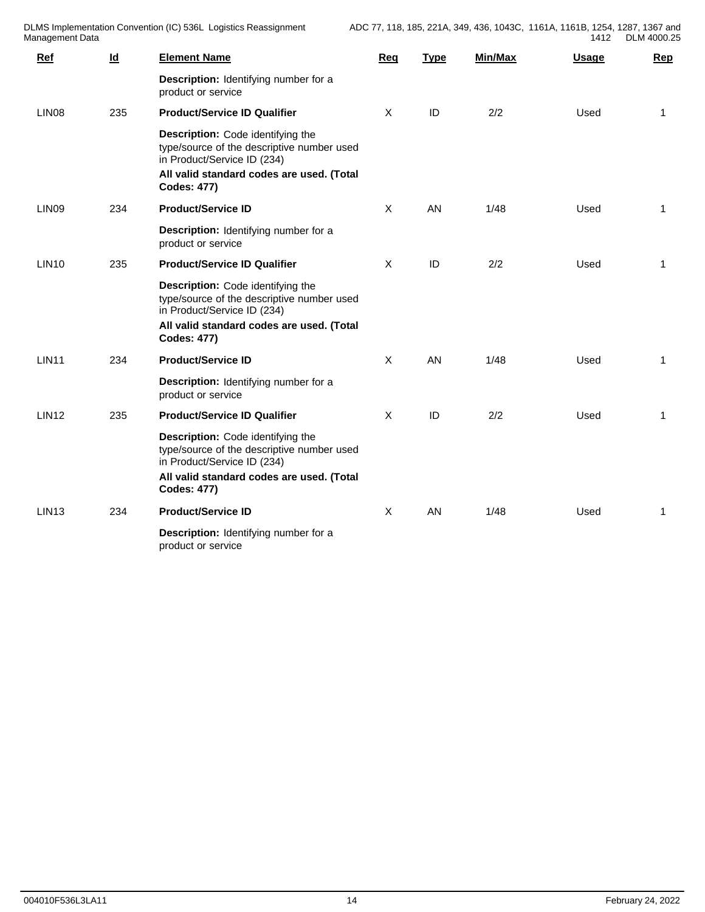| Aanagement Data   |                           |                                                                                                                                                                                   |              |             |         | 1412         | DLM 4000.25  |
|-------------------|---------------------------|-----------------------------------------------------------------------------------------------------------------------------------------------------------------------------------|--------------|-------------|---------|--------------|--------------|
| <b>Ref</b>        | $\underline{\mathsf{Id}}$ | <b>Element Name</b>                                                                                                                                                               | Req          | <b>Type</b> | Min/Max | <b>Usage</b> | Rep          |
|                   |                           | Description: Identifying number for a<br>product or service                                                                                                                       |              |             |         |              |              |
| LIN <sub>08</sub> | 235                       | <b>Product/Service ID Qualifier</b>                                                                                                                                               | $\mathsf{X}$ | ID          | 2/2     | Used         | $\mathbf{1}$ |
|                   |                           | Description: Code identifying the<br>type/source of the descriptive number used<br>in Product/Service ID (234)<br>All valid standard codes are used. (Total                       |              |             |         |              |              |
|                   |                           | <b>Codes: 477)</b>                                                                                                                                                                |              |             |         |              |              |
| LIN09             | 234                       | <b>Product/Service ID</b>                                                                                                                                                         | $\mathsf{X}$ | AN          | 1/48    | Used         | $\mathbf{1}$ |
|                   |                           | Description: Identifying number for a<br>product or service                                                                                                                       |              |             |         |              |              |
| <b>LIN10</b>      | 235                       | <b>Product/Service ID Qualifier</b>                                                                                                                                               | $\mathsf{X}$ | ID          | 2/2     | Used         | $\mathbf{1}$ |
|                   |                           | Description: Code identifying the<br>type/source of the descriptive number used<br>in Product/Service ID (234)<br>All valid standard codes are used. (Total<br><b>Codes: 477)</b> |              |             |         |              |              |
| <b>LIN11</b>      | 234                       | <b>Product/Service ID</b>                                                                                                                                                         | $\mathsf{X}$ | AN          | 1/48    | Used         | $\mathbf{1}$ |
|                   |                           | Description: Identifying number for a<br>product or service                                                                                                                       |              |             |         |              |              |
| <b>LIN12</b>      | 235                       | <b>Product/Service ID Qualifier</b>                                                                                                                                               | $\mathsf{X}$ | ID          | 2/2     | Used         | 1            |
|                   |                           | Description: Code identifying the<br>type/source of the descriptive number used<br>in Product/Service ID (234)<br>All valid standard codes are used. (Total<br><b>Codes: 477)</b> |              |             |         |              |              |
| <b>LIN13</b>      | 234                       | <b>Product/Service ID</b>                                                                                                                                                         | $\mathsf{X}$ | AN          | 1/48    | Used         | $\mathbf{1}$ |
|                   |                           | Description: Identifying number for a<br>product or service                                                                                                                       |              |             |         |              |              |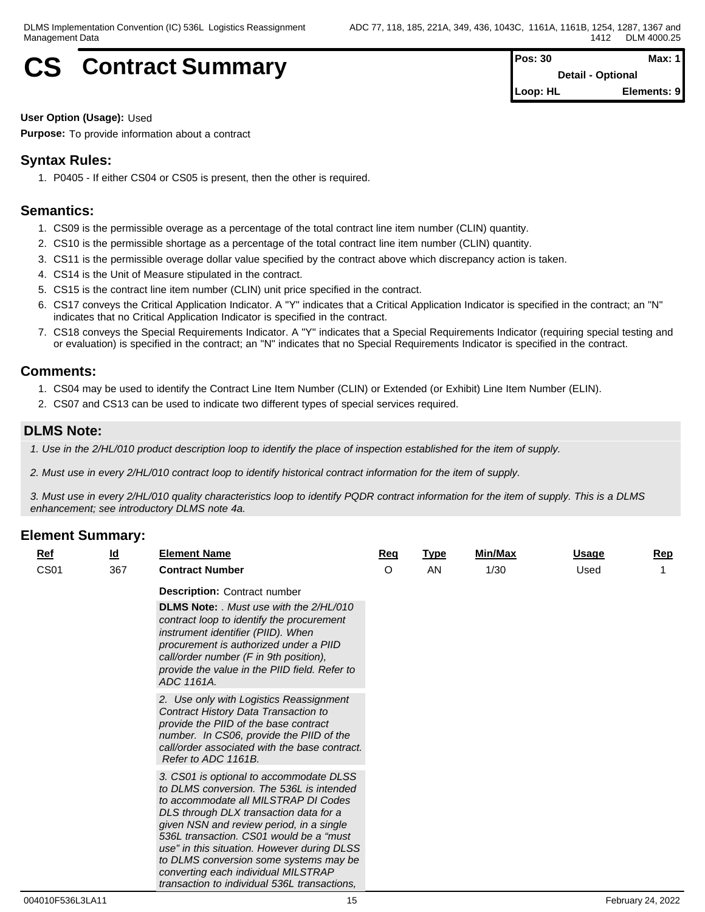## **CS** Contract Summary **Pos: 30 Pos: 30 Max: 1 Pos: 30 Max: 1**

**Detail - Optional Loop: HL Elements: 9**

**User Option (Usage):** Used

**Purpose:** To provide information about a contract

## **Syntax Rules:**

1. P0405 - If either CS04 or CS05 is present, then the other is required.

## **Semantics:**

- 1. CS09 is the permissible overage as a percentage of the total contract line item number (CLIN) quantity.
- 2. CS10 is the permissible shortage as a percentage of the total contract line item number (CLIN) quantity.
- 3. CS11 is the permissible overage dollar value specified by the contract above which discrepancy action is taken.
- 4. CS14 is the Unit of Measure stipulated in the contract.
- 5. CS15 is the contract line item number (CLIN) unit price specified in the contract.
- 6. CS17 conveys the Critical Application Indicator. A "Y" indicates that a Critical Application Indicator is specified in the contract; an "N" indicates that no Critical Application Indicator is specified in the contract.
- 7. CS18 conveys the Special Requirements Indicator. A "Y" indicates that a Special Requirements Indicator (requiring special testing and or evaluation) is specified in the contract; an "N" indicates that no Special Requirements Indicator is specified in the contract.

## **Comments:**

- 1. CS04 may be used to identify the Contract Line Item Number (CLIN) or Extended (or Exhibit) Line Item Number (ELIN).
- 2. CS07 and CS13 can be used to indicate two different types of special services required.

## **DLMS Note:**

*1. Use in the 2/HL/010 product description loop to identify the place of inspection established for the item of supply.*

*2. Must use in every 2/HL/010 contract loop to identify historical contract information for the item of supply.*

*3. Must use in every 2/HL/010 quality characteristics loop to identify PQDR contract information for the item of supply. This is a DLMS enhancement; see introductory DLMS note 4a.*

| $Ref$       | $\underline{\mathsf{Id}}$ | <b>Element Name</b>                                                                                                                                                                                                                                                                                                                                                                                                                          | Req     | <b>Type</b> | Min/Max | <b>Usage</b> | <u>Rep</u> |
|-------------|---------------------------|----------------------------------------------------------------------------------------------------------------------------------------------------------------------------------------------------------------------------------------------------------------------------------------------------------------------------------------------------------------------------------------------------------------------------------------------|---------|-------------|---------|--------------|------------|
| <b>CS01</b> | 367                       | <b>Contract Number</b>                                                                                                                                                                                                                                                                                                                                                                                                                       | $\circ$ | <b>AN</b>   | 1/30    | Used         |            |
|             |                           | <b>Description: Contract number</b>                                                                                                                                                                                                                                                                                                                                                                                                          |         |             |         |              |            |
|             |                           | <b>DLMS Note:</b> . Must use with the 2/HL/010<br>contract loop to identify the procurement<br>instrument identifier (PIID). When<br>procurement is authorized under a PIID<br>call/order number (F in 9th position),<br>provide the value in the PIID field. Refer to<br>ADC 1161A.                                                                                                                                                         |         |             |         |              |            |
|             |                           | 2. Use only with Logistics Reassignment<br>Contract History Data Transaction to<br>provide the PIID of the base contract<br>number. In CS06, provide the PIID of the<br>call/order associated with the base contract.<br>Refer to ADC 1161B.                                                                                                                                                                                                 |         |             |         |              |            |
|             |                           | 3. CS01 is optional to accommodate DLSS<br>to DLMS conversion. The 536L is intended<br>to accommodate all MILSTRAP DI Codes<br>DLS through DLX transaction data for a<br>given NSN and review period, in a single<br>536L transaction. CS01 would be a "must<br>use" in this situation. However during DLSS<br>to DLMS conversion some systems may be<br>converting each individual MILSTRAP<br>transaction to individual 536L transactions. |         |             |         |              |            |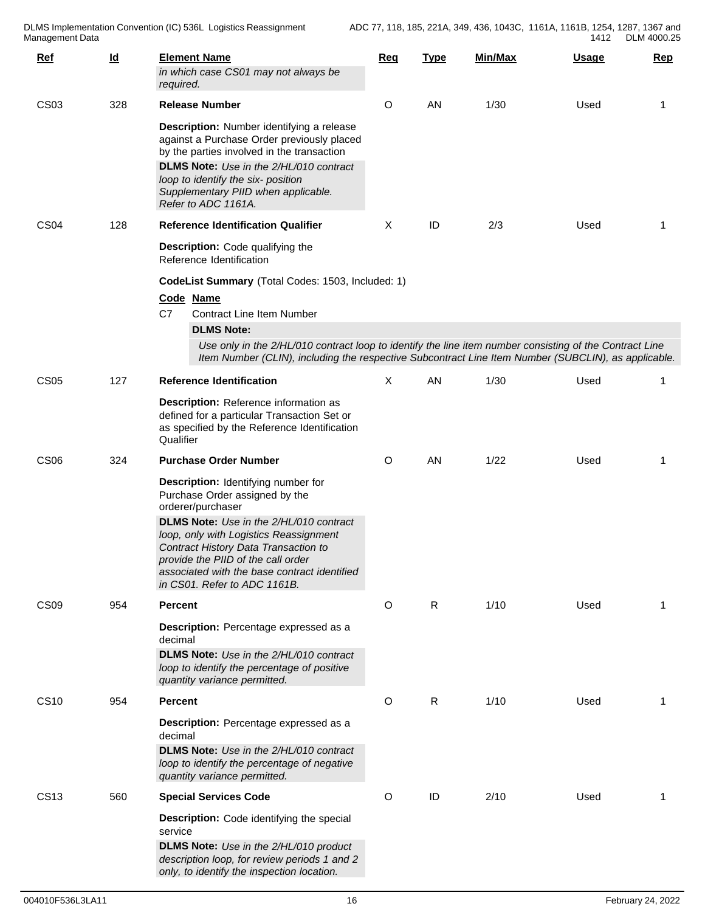| $Ref$            | $\underline{\mathsf{Id}}$ | <b>Element Name</b><br>in which case CS01 may not always be<br>required.                                                                                                                                                                                                                                                                                    | Req     | <b>Type</b> | Min/Max | <u>Usage</u> | <u>Rep</u> |  |  |  |  |  |
|------------------|---------------------------|-------------------------------------------------------------------------------------------------------------------------------------------------------------------------------------------------------------------------------------------------------------------------------------------------------------------------------------------------------------|---------|-------------|---------|--------------|------------|--|--|--|--|--|
| <b>CS03</b>      | 328                       | <b>Release Number</b>                                                                                                                                                                                                                                                                                                                                       | O       | AN          | 1/30    | Used         | -1         |  |  |  |  |  |
|                  |                           | Description: Number identifying a release<br>against a Purchase Order previously placed<br>by the parties involved in the transaction<br>DLMS Note: Use in the 2/HL/010 contract<br>loop to identify the six- position<br>Supplementary PIID when applicable.<br>Refer to ADC 1161A.                                                                        |         |             |         |              |            |  |  |  |  |  |
| CS <sub>04</sub> | 128                       | <b>Reference Identification Qualifier</b>                                                                                                                                                                                                                                                                                                                   | Χ       | ID          | 2/3     | Used         | 1          |  |  |  |  |  |
|                  |                           | Description: Code qualifying the<br>Reference Identification                                                                                                                                                                                                                                                                                                |         |             |         |              |            |  |  |  |  |  |
|                  |                           | CodeList Summary (Total Codes: 1503, Included: 1)                                                                                                                                                                                                                                                                                                           |         |             |         |              |            |  |  |  |  |  |
|                  |                           | Code Name<br>C7<br><b>Contract Line Item Number</b>                                                                                                                                                                                                                                                                                                         |         |             |         |              |            |  |  |  |  |  |
|                  |                           | <b>DLMS Note:</b><br>Use only in the 2/HL/010 contract loop to identify the line item number consisting of the Contract Line                                                                                                                                                                                                                                |         |             |         |              |            |  |  |  |  |  |
|                  |                           | Item Number (CLIN), including the respective Subcontract Line Item Number (SUBCLIN), as applicable.                                                                                                                                                                                                                                                         |         |             |         |              |            |  |  |  |  |  |
| <b>CS05</b>      | 127                       | <b>Reference Identification</b>                                                                                                                                                                                                                                                                                                                             | X       | AN          | 1/30    | Used         |            |  |  |  |  |  |
|                  |                           | Description: Reference information as<br>defined for a particular Transaction Set or<br>as specified by the Reference Identification<br>Qualifier                                                                                                                                                                                                           |         |             |         |              |            |  |  |  |  |  |
| CS <sub>06</sub> | 324                       | <b>Purchase Order Number</b>                                                                                                                                                                                                                                                                                                                                | $\circ$ | AN          | 1/22    | Used         | -1         |  |  |  |  |  |
|                  |                           | <b>Description:</b> Identifying number for<br>Purchase Order assigned by the<br>orderer/purchaser<br><b>DLMS Note:</b> Use in the 2/HL/010 contract<br>loop, only with Logistics Reassignment<br>Contract History Data Transaction to<br>provide the PIID of the call order<br>associated with the base contract identified<br>in CS01. Refer to ADC 1161B. |         |             |         |              |            |  |  |  |  |  |
| CS <sub>09</sub> | 954                       | <b>Percent</b>                                                                                                                                                                                                                                                                                                                                              | O       | R           | 1/10    | Used         | 1          |  |  |  |  |  |
|                  |                           | Description: Percentage expressed as a<br>decimal<br>DLMS Note: Use in the 2/HL/010 contract<br>loop to identify the percentage of positive<br>quantity variance permitted.                                                                                                                                                                                 |         |             |         |              |            |  |  |  |  |  |
| <b>CS10</b>      | 954                       | <b>Percent</b>                                                                                                                                                                                                                                                                                                                                              | O       | R           | 1/10    | Used         | 1          |  |  |  |  |  |
|                  |                           | Description: Percentage expressed as a<br>decimal<br>DLMS Note: Use in the 2/HL/010 contract<br>loop to identify the percentage of negative<br>quantity variance permitted.                                                                                                                                                                                 |         |             |         |              |            |  |  |  |  |  |
| <b>CS13</b>      | 560                       | <b>Special Services Code</b>                                                                                                                                                                                                                                                                                                                                | O       | ID          | 2/10    | Used         | 1          |  |  |  |  |  |
|                  |                           | Description: Code identifying the special<br>service<br>DLMS Note: Use in the 2/HL/010 product<br>description loop, for review periods 1 and 2<br>only, to identify the inspection location.                                                                                                                                                                |         |             |         |              |            |  |  |  |  |  |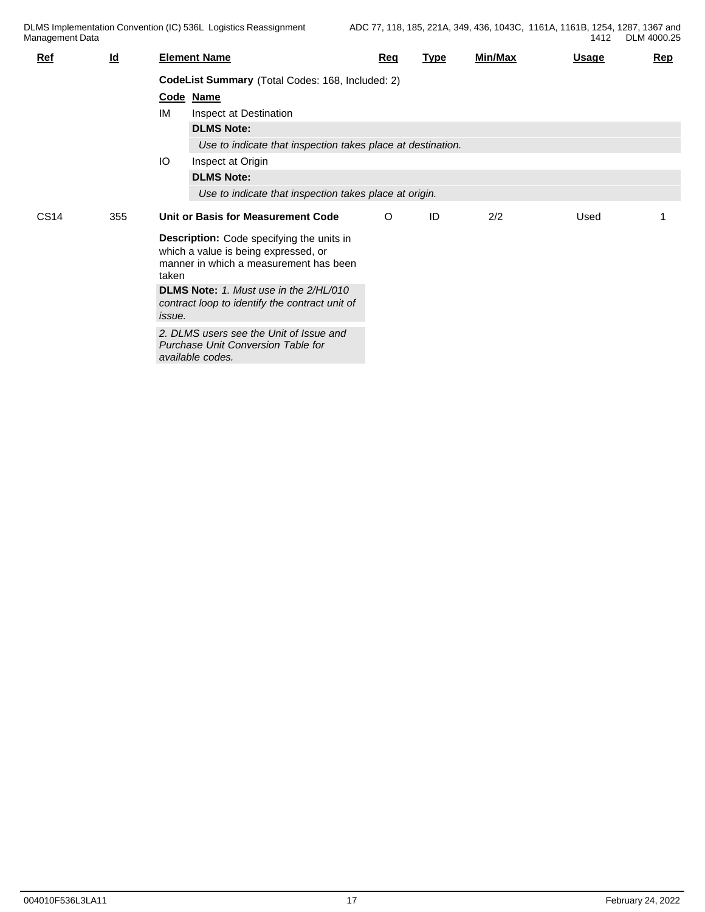| <u>Ref</u>  | $\underline{\mathsf{Id}}$ |                                                  | <b>Element Name</b>                                                                                                         | <b>Req</b> | Type | Min/Max | <u>Usage</u> | Rep |  |  |  |
|-------------|---------------------------|--------------------------------------------------|-----------------------------------------------------------------------------------------------------------------------------|------------|------|---------|--------------|-----|--|--|--|
|             |                           | CodeList Summary (Total Codes: 168, Included: 2) |                                                                                                                             |            |      |         |              |     |  |  |  |
|             |                           |                                                  | Code Name                                                                                                                   |            |      |         |              |     |  |  |  |
|             |                           | IM                                               | Inspect at Destination                                                                                                      |            |      |         |              |     |  |  |  |
|             |                           |                                                  | <b>DLMS Note:</b>                                                                                                           |            |      |         |              |     |  |  |  |
|             |                           |                                                  | Use to indicate that inspection takes place at destination.                                                                 |            |      |         |              |     |  |  |  |
|             |                           | IO                                               | Inspect at Origin                                                                                                           |            |      |         |              |     |  |  |  |
|             |                           |                                                  | <b>DLMS Note:</b>                                                                                                           |            |      |         |              |     |  |  |  |
|             |                           |                                                  | Use to indicate that inspection takes place at origin.                                                                      |            |      |         |              |     |  |  |  |
| <b>CS14</b> | 355                       |                                                  | Unit or Basis for Measurement Code                                                                                          | O          | ID   | 2/2     | Used         |     |  |  |  |
|             |                           | taken                                            | Description: Code specifying the units in<br>which a value is being expressed, or<br>manner in which a measurement has been |            |      |         |              |     |  |  |  |
|             |                           | <i>issue.</i>                                    | <b>DLMS Note:</b> 1. Must use in the 2/HL/010<br>contract loop to identify the contract unit of                             |            |      |         |              |     |  |  |  |
|             |                           |                                                  | 2. DLMS users see the Unit of Issue and<br>Purchase Unit Conversion Table for<br>available codes.                           |            |      |         |              |     |  |  |  |
|             |                           |                                                  |                                                                                                                             |            |      |         |              |     |  |  |  |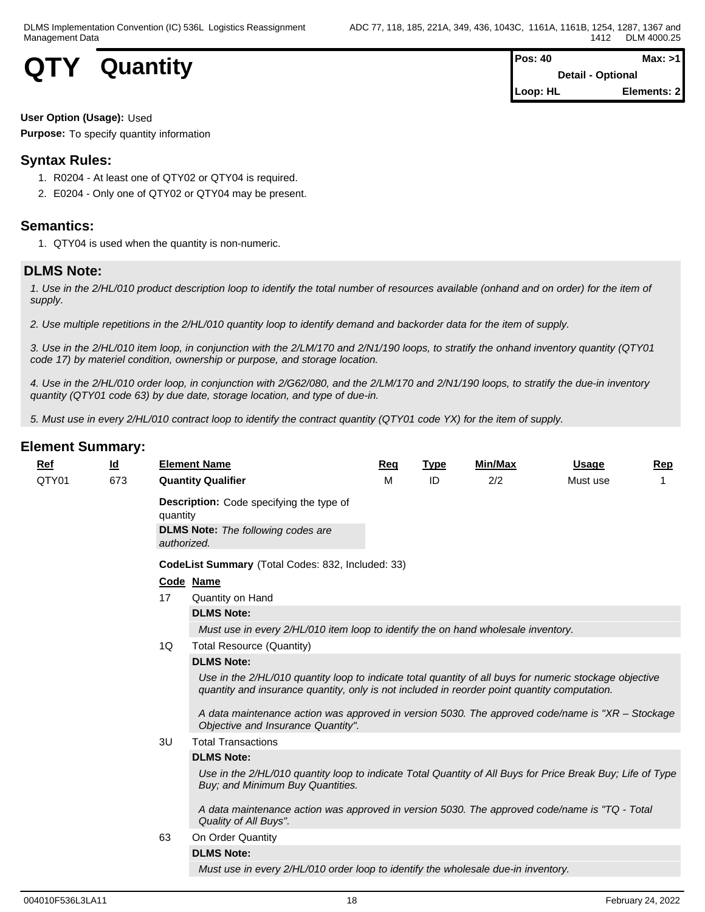

| $Pos: 40$ | Max: >1                  |  |
|-----------|--------------------------|--|
|           | <b>Detail - Optional</b> |  |
| Loop: HL  | Elements: 2              |  |

#### **User Option (Usage):** Used

**Purpose:** To specify quantity information

## **Syntax Rules:**

- 1. R0204 At least one of QTY02 or QTY04 is required.
- 2. E0204 Only one of QTY02 or QTY04 may be present.

## **Semantics:**

1. QTY04 is used when the quantity is non-numeric.

## **DLMS Note:**

*1. Use in the 2/HL/010 product description loop to identify the total number of resources available (onhand and on order) for the item of supply.*

*2. Use multiple repetitions in the 2/HL/010 quantity loop to identify demand and backorder data for the item of supply.*

*3. Use in the 2/HL/010 item loop, in conjunction with the 2/LM/170 and 2/N1/190 loops, to stratify the onhand inventory quantity (QTY01 code 17) by materiel condition, ownership or purpose, and storage location.*

*4. Use in the 2/HL/010 order loop, in conjunction with 2/G62/080, and the 2/LM/170 and 2/N1/190 loops, to stratify the due-in inventory quantity (QTY01 code 63) by due date, storage location, and type of due-in.*

*5. Must use in every 2/HL/010 contract loop to identify the contract quantity (QTY01 code YX) for the item of supply.*

| $Ref$ | <u>ld</u> |                                                   | <b>Element Name</b>                                                                                                                                                                                     | Reg | <b>Type</b> | Min/Max | <b>Usage</b> | Rep |  |  |  |  |
|-------|-----------|---------------------------------------------------|---------------------------------------------------------------------------------------------------------------------------------------------------------------------------------------------------------|-----|-------------|---------|--------------|-----|--|--|--|--|
| QTY01 | 673       |                                                   | <b>Quantity Qualifier</b>                                                                                                                                                                               | м   | ID          | 2/2     | Must use     |     |  |  |  |  |
|       |           | quantity<br>authorized.                           | Description: Code specifying the type of<br><b>DLMS Note:</b> The following codes are                                                                                                                   |     |             |         |              |     |  |  |  |  |
|       |           | CodeList Summary (Total Codes: 832, Included: 33) |                                                                                                                                                                                                         |     |             |         |              |     |  |  |  |  |
|       |           |                                                   | Code Name                                                                                                                                                                                               |     |             |         |              |     |  |  |  |  |
|       |           | 17                                                | Quantity on Hand                                                                                                                                                                                        |     |             |         |              |     |  |  |  |  |
|       |           |                                                   | <b>DLMS Note:</b>                                                                                                                                                                                       |     |             |         |              |     |  |  |  |  |
|       |           |                                                   | Must use in every 2/HL/010 item loop to identify the on hand wholesale inventory.                                                                                                                       |     |             |         |              |     |  |  |  |  |
|       |           | 1Q                                                | <b>Total Resource (Quantity)</b>                                                                                                                                                                        |     |             |         |              |     |  |  |  |  |
|       |           |                                                   | <b>DLMS Note:</b>                                                                                                                                                                                       |     |             |         |              |     |  |  |  |  |
|       |           |                                                   | Use in the 2/HL/010 quantity loop to indicate total quantity of all buys for numeric stockage objective<br>quantity and insurance quantity, only is not included in reorder point quantity computation. |     |             |         |              |     |  |  |  |  |
|       |           |                                                   | A data maintenance action was approved in version 5030. The approved code/name is "XR - Stockage<br>Objective and Insurance Quantity".                                                                  |     |             |         |              |     |  |  |  |  |
|       |           | 3U                                                | <b>Total Transactions</b>                                                                                                                                                                               |     |             |         |              |     |  |  |  |  |
|       |           |                                                   | <b>DLMS Note:</b>                                                                                                                                                                                       |     |             |         |              |     |  |  |  |  |
|       |           |                                                   | Use in the 2/HL/010 quantity loop to indicate Total Quantity of All Buys for Price Break Buy; Life of Type<br>Buy; and Minimum Buy Quantities.                                                          |     |             |         |              |     |  |  |  |  |
|       |           |                                                   | A data maintenance action was approved in version 5030. The approved code/name is "TQ - Total<br>Quality of All Buys".                                                                                  |     |             |         |              |     |  |  |  |  |
|       |           | 63                                                | On Order Quantity                                                                                                                                                                                       |     |             |         |              |     |  |  |  |  |
|       |           |                                                   | <b>DLMS Note:</b>                                                                                                                                                                                       |     |             |         |              |     |  |  |  |  |
|       |           |                                                   | Must use in every 2/HL/010 order loop to identify the wholesale due-in inventory.                                                                                                                       |     |             |         |              |     |  |  |  |  |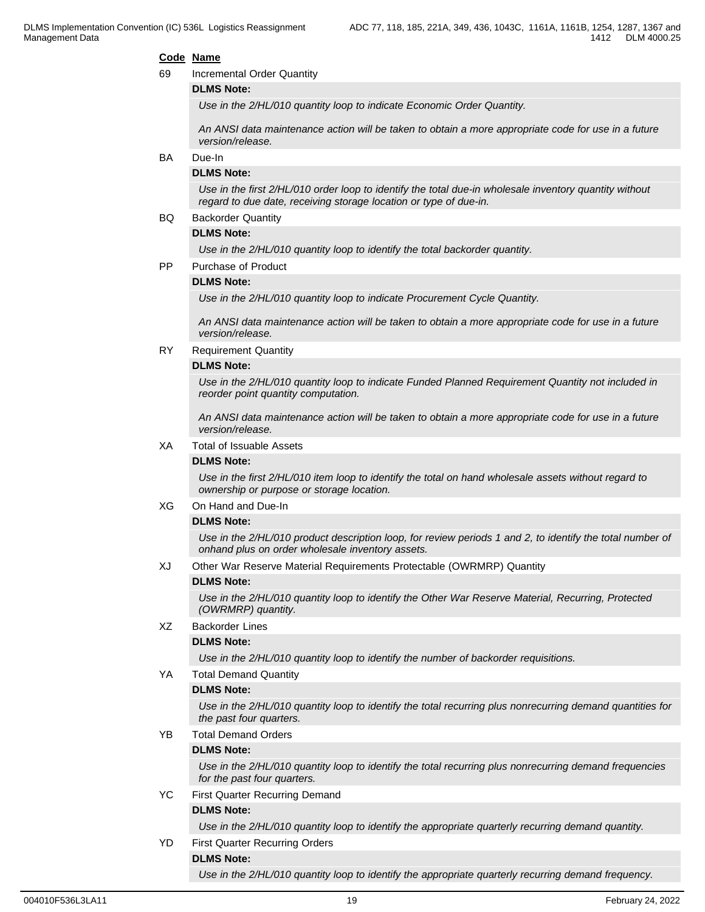#### **Code Name**

69 Incremental Order Quantity

#### **DLMS Note:**

*Use in the 2/HL/010 quantity loop to indicate Economic Order Quantity.*

*An ANSI data maintenance action will be taken to obtain a more appropriate code for use in a future version/release.*

#### BA Due-In

#### **DLMS Note:**

*Use in the first 2/HL/010 order loop to identify the total due-in wholesale inventory quantity without regard to due date, receiving storage location or type of due-in.*

#### BQ Backorder Quantity

#### **DLMS Note:**

*Use in the 2/HL/010 quantity loop to identify the total backorder quantity.*

PP Purchase of Product

#### **DLMS Note:**

*Use in the 2/HL/010 quantity loop to indicate Procurement Cycle Quantity.*

*An ANSI data maintenance action will be taken to obtain a more appropriate code for use in a future version/release.*

RY Requirement Quantity

#### **DLMS Note:**

*Use in the 2/HL/010 quantity loop to indicate Funded Planned Requirement Quantity not included in reorder point quantity computation.*

*An ANSI data maintenance action will be taken to obtain a more appropriate code for use in a future version/release.*

#### XA Total of Issuable Assets

#### **DLMS Note:**

*Use in the first 2/HL/010 item loop to identify the total on hand wholesale assets without regard to ownership or purpose or storage location.*

#### XG On Hand and Due-In

#### **DLMS Note:**

*Use in the 2/HL/010 product description loop, for review periods 1 and 2, to identify the total number of onhand plus on order wholesale inventory assets.*

#### XJ Other War Reserve Material Requirements Protectable (OWRMRP) Quantity

#### **DLMS Note:**

*Use in the 2/HL/010 quantity loop to identify the Other War Reserve Material, Recurring, Protected (OWRMRP) quantity.*

#### XZ Backorder Lines

#### **DLMS Note:**

*Use in the 2/HL/010 quantity loop to identify the number of backorder requisitions.*

#### YA Total Demand Quantity

#### **DLMS Note:**

*Use in the 2/HL/010 quantity loop to identify the total recurring plus nonrecurring demand quantities for the past four quarters.*

YB Total Demand Orders

#### **DLMS Note:**

*Use in the 2/HL/010 quantity loop to identify the total recurring plus nonrecurring demand frequencies for the past four quarters.*

YC First Quarter Recurring Demand **DLMS Note:**

*Use in the 2/HL/010 quantity loop to identify the appropriate quarterly recurring demand quantity.*

YD First Quarter Recurring Orders

## **DLMS Note:**

*Use in the 2/HL/010 quantity loop to identify the appropriate quarterly recurring demand frequency.*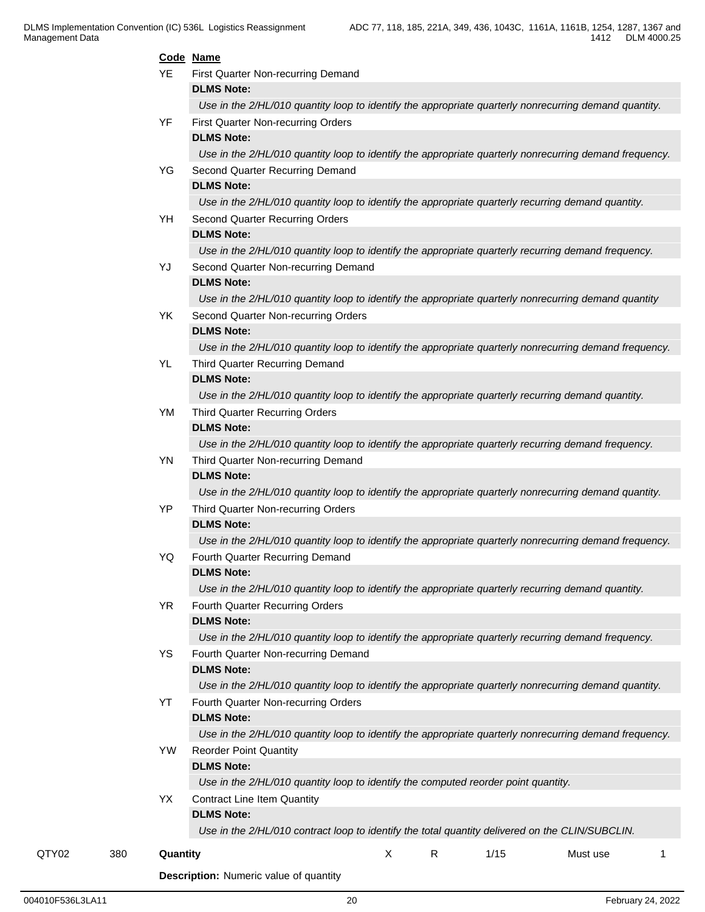|       |     |           | Code Name                                                                                              |
|-------|-----|-----------|--------------------------------------------------------------------------------------------------------|
|       |     | <b>YE</b> | First Quarter Non-recurring Demand                                                                     |
|       |     |           | <b>DLMS Note:</b>                                                                                      |
|       |     |           | Use in the 2/HL/010 quantity loop to identify the appropriate quarterly nonrecurring demand quantity.  |
|       |     | YF        | First Quarter Non-recurring Orders                                                                     |
|       |     |           | <b>DLMS Note:</b>                                                                                      |
|       |     |           | Use in the 2/HL/010 quantity loop to identify the appropriate quarterly nonrecurring demand frequency. |
|       |     | YG        | Second Quarter Recurring Demand                                                                        |
|       |     |           | <b>DLMS Note:</b>                                                                                      |
|       |     |           | Use in the 2/HL/010 quantity loop to identify the appropriate quarterly recurring demand quantity.     |
|       |     | YH        | Second Quarter Recurring Orders                                                                        |
|       |     |           | <b>DLMS Note:</b>                                                                                      |
|       |     |           | Use in the 2/HL/010 quantity loop to identify the appropriate quarterly recurring demand frequency.    |
|       |     | YJ        | Second Quarter Non-recurring Demand                                                                    |
|       |     |           | <b>DLMS Note:</b>                                                                                      |
|       |     |           | Use in the 2/HL/010 quantity loop to identify the appropriate quarterly nonrecurring demand quantity   |
|       |     | YK        | Second Quarter Non-recurring Orders                                                                    |
|       |     |           | <b>DLMS Note:</b>                                                                                      |
|       |     |           | Use in the 2/HL/010 quantity loop to identify the appropriate quarterly nonrecurring demand frequency. |
|       |     | YL        | Third Quarter Recurring Demand                                                                         |
|       |     |           | <b>DLMS Note:</b>                                                                                      |
|       |     |           | Use in the 2/HL/010 quantity loop to identify the appropriate quarterly recurring demand quantity.     |
|       |     | YM        | Third Quarter Recurring Orders                                                                         |
|       |     |           | <b>DLMS Note:</b>                                                                                      |
|       |     |           | Use in the 2/HL/010 quantity loop to identify the appropriate quarterly recurring demand frequency.    |
|       |     | YN        | Third Quarter Non-recurring Demand                                                                     |
|       |     |           | <b>DLMS Note:</b>                                                                                      |
|       |     |           | Use in the 2/HL/010 quantity loop to identify the appropriate quarterly nonrecurring demand quantity.  |
|       |     | YP        | Third Quarter Non-recurring Orders                                                                     |
|       |     |           | <b>DLMS Note:</b>                                                                                      |
|       |     |           | Use in the 2/HL/010 quantity loop to identify the appropriate quarterly nonrecurring demand frequency. |
|       |     | YQ        | Fourth Quarter Recurring Demand                                                                        |
|       |     |           | <b>DLMS Note:</b>                                                                                      |
|       |     |           | Use in the 2/HL/010 quantity loop to identify the appropriate quarterly recurring demand quantity.     |
|       |     | <b>YR</b> | Fourth Quarter Recurring Orders                                                                        |
|       |     |           | <b>DLMS Note:</b>                                                                                      |
|       |     |           | Use in the 2/HL/010 quantity loop to identify the appropriate quarterly recurring demand frequency.    |
|       |     | YS        | Fourth Quarter Non-recurring Demand                                                                    |
|       |     |           | <b>DLMS Note:</b>                                                                                      |
|       |     |           | Use in the 2/HL/010 quantity loop to identify the appropriate quarterly nonrecurring demand quantity.  |
|       |     | YT        | Fourth Quarter Non-recurring Orders                                                                    |
|       |     |           | <b>DLMS Note:</b>                                                                                      |
|       |     |           | Use in the 2/HL/010 quantity loop to identify the appropriate quarterly nonrecurring demand frequency. |
|       |     | YW        | <b>Reorder Point Quantity</b>                                                                          |
|       |     |           | <b>DLMS Note:</b>                                                                                      |
|       |     |           | Use in the 2/HL/010 quantity loop to identify the computed reorder point quantity.                     |
|       |     | YX        | <b>Contract Line Item Quantity</b>                                                                     |
|       |     |           | <b>DLMS Note:</b>                                                                                      |
|       |     |           | Use in the 2/HL/010 contract loop to identify the total quantity delivered on the CLIN/SUBCLIN.        |
|       | 380 | Quantity  | $\boldsymbol{\mathsf{X}}$<br>R<br>1/15<br>Must use<br>-1                                               |
| QTY02 |     |           |                                                                                                        |
|       |     |           | <b>Description:</b> Numeric value of quantity                                                          |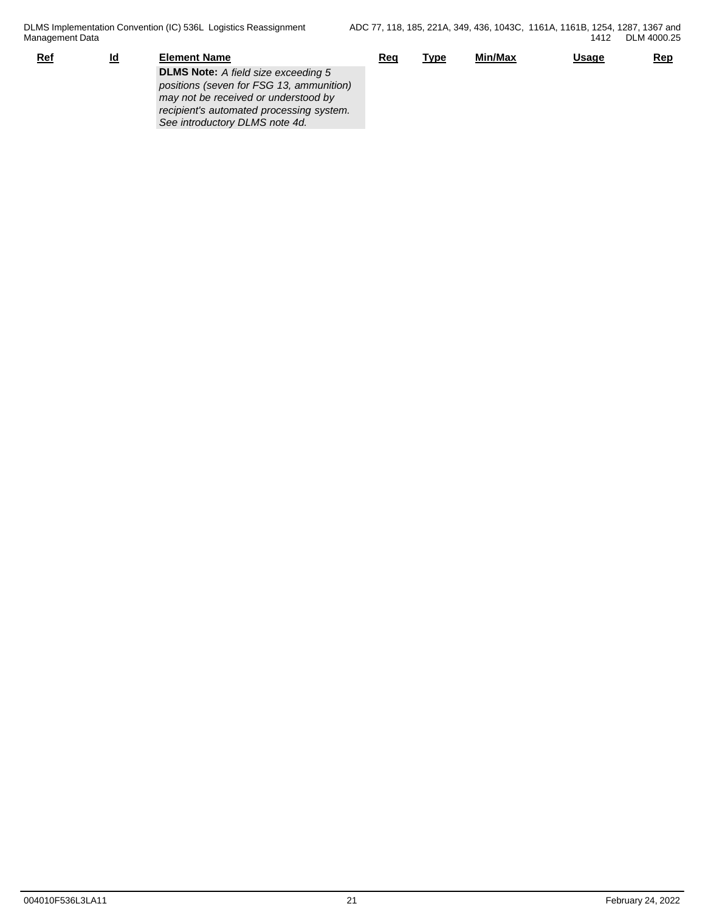| Ref | <u>ld</u> | Element Name                               | Reg | <u>Type</u> | <u>Min/Max</u> | <b>Usage</b> | <b>Rep</b> |
|-----|-----------|--------------------------------------------|-----|-------------|----------------|--------------|------------|
|     |           | <b>DLMS Note:</b> A field size exceeding 5 |     |             |                |              |            |
|     |           | positions (seven for FSG 13, ammunition)   |     |             |                |              |            |
|     |           | may not be received or understood by       |     |             |                |              |            |
|     |           | recipient's automated processing system.   |     |             |                |              |            |
|     |           | See introductory DLMS note 4d.             |     |             |                |              |            |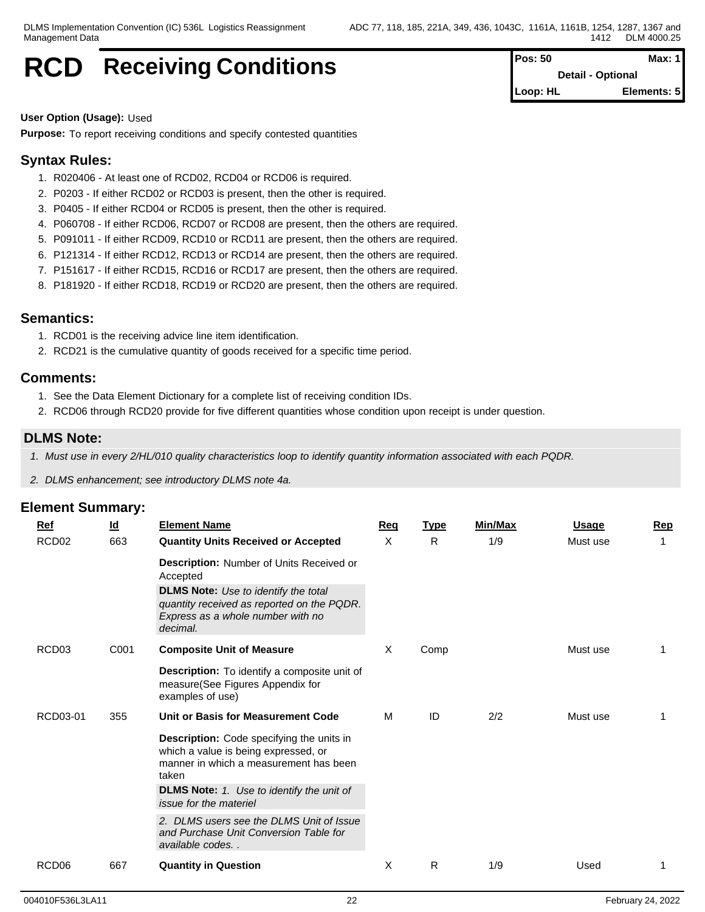## **RCD** Receiving Conditions

| Pos: 50  | Max: $1$                 |
|----------|--------------------------|
|          | <b>Detail - Optional</b> |
| Loop: HL | Elements: 5              |

#### **User Option (Usage):** Used

**Purpose:** To report receiving conditions and specify contested quantities

## **Syntax Rules:**

- 1. R020406 At least one of RCD02, RCD04 or RCD06 is required.
- 2. P0203 If either RCD02 or RCD03 is present, then the other is required.
- 3. P0405 If either RCD04 or RCD05 is present, then the other is required.
- 4. P060708 If either RCD06, RCD07 or RCD08 are present, then the others are required.
- 5. P091011 If either RCD09, RCD10 or RCD11 are present, then the others are required.
- 6. P121314 If either RCD12, RCD13 or RCD14 are present, then the others are required.
- 7. P151617 If either RCD15, RCD16 or RCD17 are present, then the others are required.
- 8. P181920 If either RCD18, RCD19 or RCD20 are present, then the others are required.

## **Semantics:**

- 1. RCD01 is the receiving advice line item identification.
- 2. RCD21 is the cumulative quantity of goods received for a specific time period.

### **Comments:**

- 1. See the Data Element Dictionary for a complete list of receiving condition IDs.
- 2. RCD06 through RCD20 provide for five different quantities whose condition upon receipt is under question.

### **DLMS Note:**

- *1. Must use in every 2/HL/010 quality characteristics loop to identify quantity information associated with each PQDR.*
- *2. DLMS enhancement; see introductory DLMS note 4a.*

| Ref               | $\underline{\mathsf{Id}}$ | <b>Element Name</b>                                                                                                                                                                      | Req | <b>Type</b> | Min/Max | <b>Usage</b> | Rep |
|-------------------|---------------------------|------------------------------------------------------------------------------------------------------------------------------------------------------------------------------------------|-----|-------------|---------|--------------|-----|
| RCD <sub>02</sub> | 663                       | <b>Quantity Units Received or Accepted</b>                                                                                                                                               | X   | R           | 1/9     | Must use     |     |
|                   |                           | Description: Number of Units Received or<br>Accepted                                                                                                                                     |     |             |         |              |     |
|                   |                           | <b>DLMS Note:</b> Use to identify the total<br>quantity received as reported on the PQDR.<br>Express as a whole number with no<br>decimal.                                               |     |             |         |              |     |
| RCD <sub>03</sub> | C001                      | <b>Composite Unit of Measure</b>                                                                                                                                                         | х   | Comp        |         | Must use     |     |
|                   |                           | Description: To identify a composite unit of<br>measure(See Figures Appendix for<br>examples of use)                                                                                     |     |             |         |              |     |
| RCD03-01          | 355                       | Unit or Basis for Measurement Code                                                                                                                                                       | M   | ID          | 2/2     | Must use     |     |
|                   |                           | Description: Code specifying the units in<br>which a value is being expressed, or<br>manner in which a measurement has been<br>taken<br><b>DLMS Note:</b> 1. Use to identify the unit of |     |             |         |              |     |
|                   |                           | <i>issue for the materiel</i>                                                                                                                                                            |     |             |         |              |     |
|                   |                           | 2. DLMS users see the DLMS Unit of Issue<br>and Purchase Unit Conversion Table for<br>available codes                                                                                    |     |             |         |              |     |
| RCD <sub>06</sub> | 667                       | <b>Quantity in Question</b>                                                                                                                                                              | X   | R           | 1/9     | Used         |     |
|                   |                           |                                                                                                                                                                                          |     |             |         |              |     |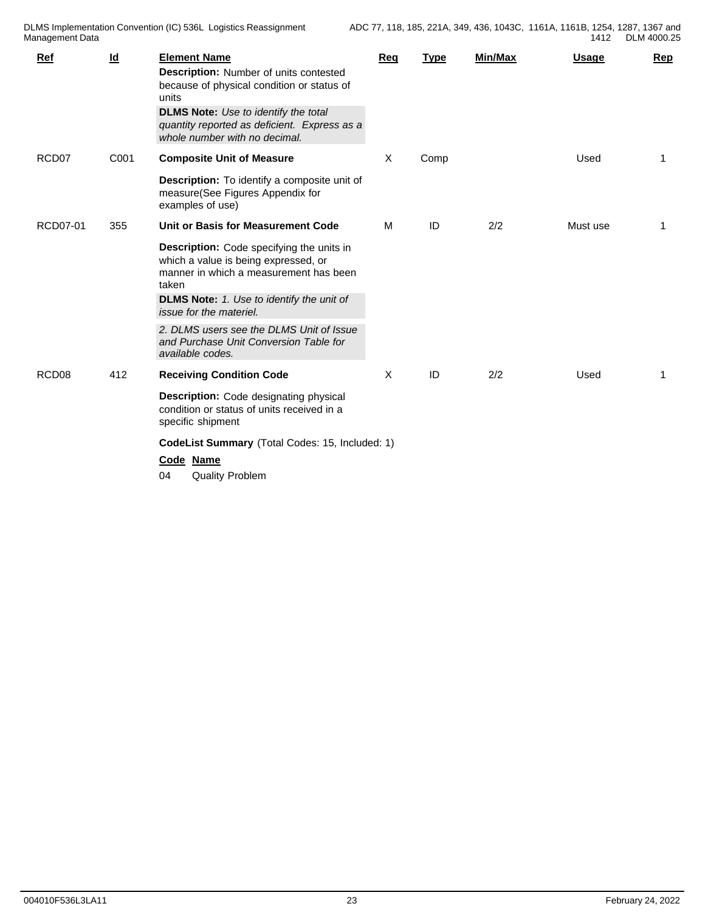| Ref               | $\underline{\mathsf{Id}}$ | <b>Element Name</b><br>Description: Number of units contested<br>because of physical condition or status of<br>units<br><b>DLMS Note:</b> Use to identify the total<br>quantity reported as deficient. Express as a<br>whole number with no decimal.                                                                                                                | <b>Reg</b> | <b>Type</b> | Min/Max | <b>Usage</b> | Rep |
|-------------------|---------------------------|---------------------------------------------------------------------------------------------------------------------------------------------------------------------------------------------------------------------------------------------------------------------------------------------------------------------------------------------------------------------|------------|-------------|---------|--------------|-----|
| RCD07             | C001                      | <b>Composite Unit of Measure</b><br>Description: To identify a composite unit of<br>measure(See Figures Appendix for<br>examples of use)                                                                                                                                                                                                                            | X          | Comp        |         | Used         | 1   |
| RCD07-01          | 355                       | Unit or Basis for Measurement Code<br>Description: Code specifying the units in<br>which a value is being expressed, or<br>manner in which a measurement has been<br>taken<br><b>DLMS Note:</b> 1. Use to identify the unit of<br>issue for the materiel.<br>2. DLMS users see the DLMS Unit of Issue<br>and Purchase Unit Conversion Table for<br>available codes. | M          | ID          | 2/2     | Must use     | 1   |
| RCD <sub>08</sub> | 412                       | <b>Receiving Condition Code</b><br><b>Description:</b> Code designating physical<br>condition or status of units received in a<br>specific shipment<br>CodeList Summary (Total Codes: 15, Included: 1)<br>Code Name<br><b>Quality Problem</b><br>04                                                                                                                 | X          | ID          | 2/2     | Used         | 1   |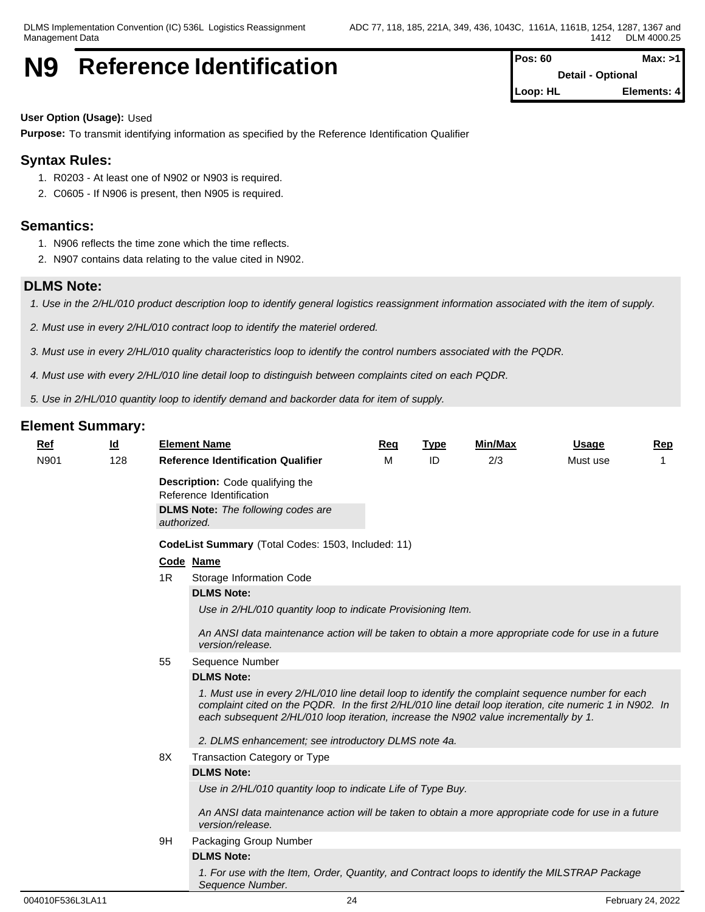## **N9** Reference Identification **Posision Posision** Max: >1

**Detail - Optional Loop: HL Elements: 4**

### **User Option (Usage):** Used

**Purpose:** To transmit identifying information as specified by the Reference Identification Qualifier

## **Syntax Rules:**

- 1. R0203 At least one of N902 or N903 is required.
- 2. C0605 If N906 is present, then N905 is required.

## **Semantics:**

- 1. N906 reflects the time zone which the time reflects.
- 2. N907 contains data relating to the value cited in N902.

## **DLMS Note:**

- *1. Use in the 2/HL/010 product description loop to identify general logistics reassignment information associated with the item of supply.*
- *2. Must use in every 2/HL/010 contract loop to identify the materiel ordered.*
- *3. Must use in every 2/HL/010 quality characteristics loop to identify the control numbers associated with the PQDR.*
- *4. Must use with every 2/HL/010 line detail loop to distinguish between complaints cited on each PQDR.*

*5. Use in 2/HL/010 quantity loop to identify demand and backorder data for item of supply.* 

| Ref  | $\underline{\mathsf{Id}}$ |    | <b>Element Name</b>                                                                                                                                                                                                                                                                                    | Req | <b>Type</b> | <b>Min/Max</b> | <b>Usage</b> | Rep |
|------|---------------------------|----|--------------------------------------------------------------------------------------------------------------------------------------------------------------------------------------------------------------------------------------------------------------------------------------------------------|-----|-------------|----------------|--------------|-----|
| N901 | 128                       |    | <b>Reference Identification Qualifier</b>                                                                                                                                                                                                                                                              | м   | ID          | 2/3            | Must use     | 1   |
|      |                           |    | Description: Code qualifying the<br>Reference Identification<br><b>DLMS Note:</b> The following codes are<br>authorized.                                                                                                                                                                               |     |             |                |              |     |
|      |                           |    | CodeList Summary (Total Codes: 1503, Included: 11)                                                                                                                                                                                                                                                     |     |             |                |              |     |
|      |                           |    | Code Name                                                                                                                                                                                                                                                                                              |     |             |                |              |     |
|      |                           | 1R | Storage Information Code                                                                                                                                                                                                                                                                               |     |             |                |              |     |
|      |                           |    | <b>DLMS Note:</b>                                                                                                                                                                                                                                                                                      |     |             |                |              |     |
|      |                           |    | Use in 2/HL/010 quantity loop to indicate Provisioning Item.                                                                                                                                                                                                                                           |     |             |                |              |     |
|      |                           |    | An ANSI data maintenance action will be taken to obtain a more appropriate code for use in a future<br>version/release.                                                                                                                                                                                |     |             |                |              |     |
|      |                           | 55 | Sequence Number                                                                                                                                                                                                                                                                                        |     |             |                |              |     |
|      |                           |    | <b>DLMS Note:</b>                                                                                                                                                                                                                                                                                      |     |             |                |              |     |
|      |                           |    | 1. Must use in every 2/HL/010 line detail loop to identify the complaint sequence number for each<br>complaint cited on the PQDR. In the first 2/HL/010 line detail loop iteration, cite numeric 1 in N902. In<br>each subsequent 2/HL/010 loop iteration, increase the N902 value incrementally by 1. |     |             |                |              |     |
|      |                           |    | 2. DLMS enhancement; see introductory DLMS note 4a.                                                                                                                                                                                                                                                    |     |             |                |              |     |
|      |                           | 8X | Transaction Category or Type                                                                                                                                                                                                                                                                           |     |             |                |              |     |
|      |                           |    | <b>DLMS Note:</b>                                                                                                                                                                                                                                                                                      |     |             |                |              |     |
|      |                           |    | Use in 2/HL/010 quantity loop to indicate Life of Type Buy.                                                                                                                                                                                                                                            |     |             |                |              |     |
|      |                           |    | An ANSI data maintenance action will be taken to obtain a more appropriate code for use in a future<br>version/release.                                                                                                                                                                                |     |             |                |              |     |
|      |                           | 9H | Packaging Group Number                                                                                                                                                                                                                                                                                 |     |             |                |              |     |
|      |                           |    | <b>DLMS Note:</b>                                                                                                                                                                                                                                                                                      |     |             |                |              |     |
|      |                           |    | 1. For use with the Item, Order, Quantity, and Contract loops to identify the MILSTRAP Package<br>Sequence Number.                                                                                                                                                                                     |     |             |                |              |     |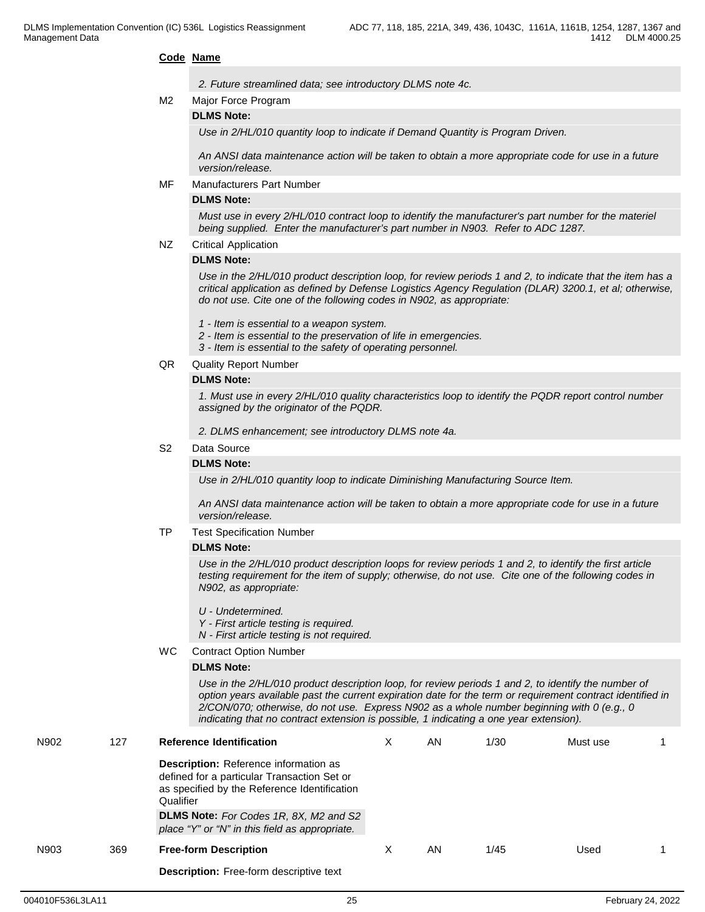#### **Code Name**

| 2. Future streamlined data; see introductory DLMS note 4c. |  |
|------------------------------------------------------------|--|
|                                                            |  |

M2 Major Force Program

#### **DLMS Note:**

*Use in 2/HL/010 quantity loop to indicate if Demand Quantity is Program Driven.*

*An ANSI data maintenance action will be taken to obtain a more appropriate code for use in a future version/release.*

MF Manufacturers Part Number

#### **DLMS Note:**

*Must use in every 2/HL/010 contract loop to identify the manufacturer's part number for the materiel being supplied. Enter the manufacturer's part number in N903. Refer to ADC 1287.*

NZ Critical Application

#### **DLMS Note:**

*Use in the 2/HL/010 product description loop, for review periods 1 and 2, to indicate that the item has a critical application as defined by Defense Logistics Agency Regulation (DLAR) 3200.1, et al; otherwise, do not use. Cite one of the following codes in N902, as appropriate:*

- *1 Item is essential to a weapon system.*
- *2 Item is essential to the preservation of life in emergencies.*
- *3 Item is essential to the safety of operating personnel.*
- QR Quality Report Number

#### **DLMS Note:**

*1. Must use in every 2/HL/010 quality characteristics loop to identify the PQDR report control number assigned by the originator of the PQDR.*

*2. DLMS enhancement; see introductory DLMS note 4a.*

#### S2 Data Source

#### **DLMS Note:**

*Use in 2/HL/010 quantity loop to indicate Diminishing Manufacturing Source Item.*

*An ANSI data maintenance action will be taken to obtain a more appropriate code for use in a future version/release.*

TP Test Specification Number

#### **DLMS Note:**

*Use in the 2/HL/010 product description loops for review periods 1 and 2, to identify the first article testing requirement for the item of supply; otherwise, do not use. Cite one of the following codes in N902, as appropriate:*

- *U Undetermined.*
- *Y First article testing is required.*
- *N First article testing is not required.*
- WC Contract Option Number

#### **DLMS Note:**

*Use in the 2/HL/010 product description loop, for review periods 1 and 2, to identify the number of option years available past the current expiration date for the term or requirement contract identified in 2/CON/070; otherwise, do not use. Express N902 as a whole number beginning with 0 (e.g., 0 indicating that no contract extension is possible, 1 indicating a one year extension).*

| N902 | 127 | <b>Reference Identification</b>                                                                                                                          | AN | 1/30 | Must use |  |
|------|-----|----------------------------------------------------------------------------------------------------------------------------------------------------------|----|------|----------|--|
|      |     | <b>Description:</b> Reference information as<br>defined for a particular Transaction Set or<br>as specified by the Reference Identification<br>Qualifier |    |      |          |  |
|      |     | <b>DLMS Note:</b> For Codes 1R, 8X, M2 and S2<br>place "Y" or "N" in this field as appropriate.                                                          |    |      |          |  |
| N903 | 369 | <b>Free-form Description</b>                                                                                                                             | AN | 1/45 | Used     |  |
|      |     | <b>Description:</b> Free-form descriptive text                                                                                                           |    |      |          |  |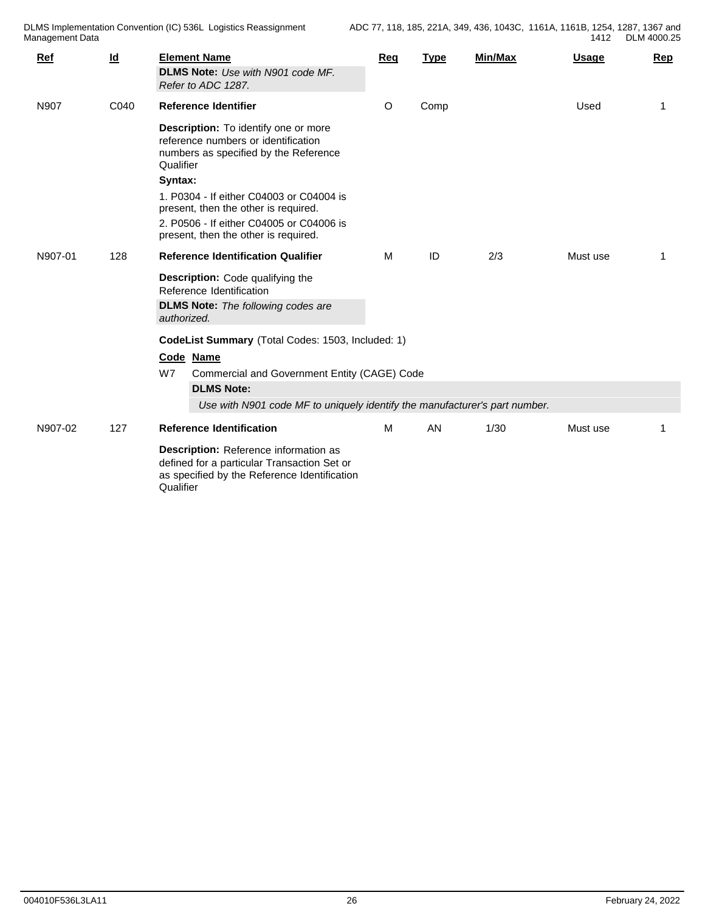| Ref     | $\underline{\mathsf{Id}}$ | <b>Element Name</b>                                                                                                                               | Req | <b>Type</b> | <b>Min/Max</b> | <b>Usage</b> | <u>Rep</u> |
|---------|---------------------------|---------------------------------------------------------------------------------------------------------------------------------------------------|-----|-------------|----------------|--------------|------------|
|         |                           | DLMS Note: Use with N901 code MF.<br>Refer to ADC 1287.                                                                                           |     |             |                |              |            |
| N907    | C040                      | <b>Reference Identifier</b>                                                                                                                       | O   | Comp        |                | Used         | 1          |
|         |                           | Description: To identify one or more<br>reference numbers or identification<br>numbers as specified by the Reference<br>Qualifier<br>Syntax:      |     |             |                |              |            |
|         |                           | 1. P0304 - If either C04003 or C04004 is<br>present, then the other is required.                                                                  |     |             |                |              |            |
|         |                           | 2. P0506 - If either C04005 or C04006 is<br>present, then the other is required.                                                                  |     |             |                |              |            |
| N907-01 | 128                       | <b>Reference Identification Qualifier</b>                                                                                                         | М   | ID          | 2/3            | Must use     | 1          |
|         |                           | Description: Code qualifying the<br>Reference Identification                                                                                      |     |             |                |              |            |
|         |                           | <b>DLMS Note:</b> The following codes are<br>authorized.                                                                                          |     |             |                |              |            |
|         |                           | CodeList Summary (Total Codes: 1503, Included: 1)<br>Code Name                                                                                    |     |             |                |              |            |
|         |                           | W7<br>Commercial and Government Entity (CAGE) Code                                                                                                |     |             |                |              |            |
|         |                           | <b>DLMS Note:</b><br>Use with N901 code MF to uniquely identify the manufacturer's part number.                                                   |     |             |                |              |            |
| N907-02 | 127                       | <b>Reference Identification</b>                                                                                                                   | M   | AN          | 1/30           | Must use     | 1          |
|         |                           | Description: Reference information as<br>defined for a particular Transaction Set or<br>as specified by the Reference Identification<br>Qualifier |     |             |                |              |            |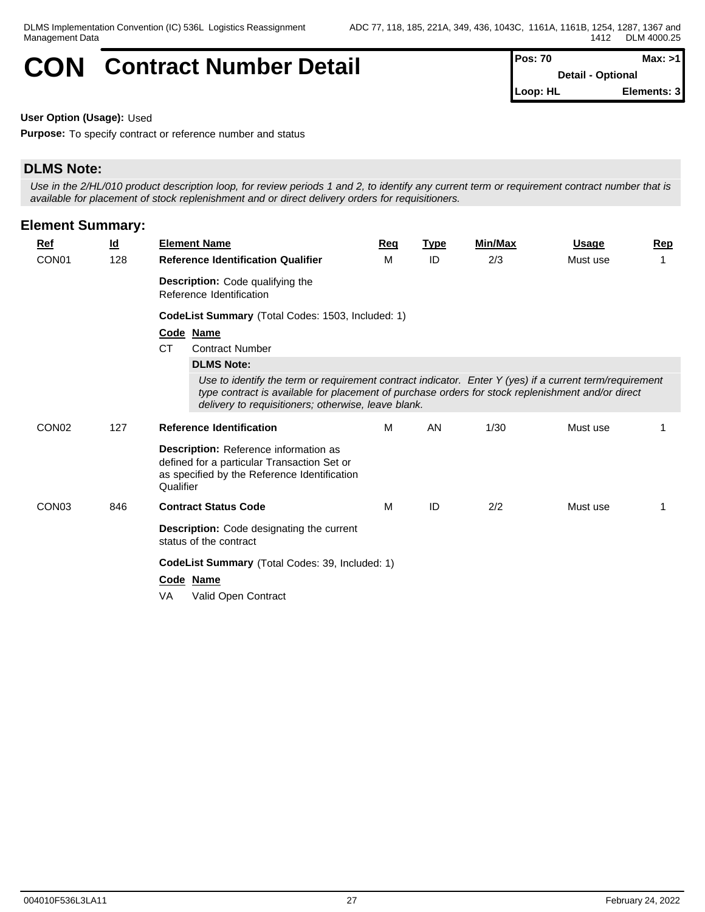## **CON** Contract Number Detail Pos: 70 Max: >1

**Detail - Optional Loop: HL Elements: 3**

**User Option (Usage):** Used

**Purpose:** To specify contract or reference number and status

## **DLMS Note:**

*Use in the 2/HL/010 product description loop, for review periods 1 and 2, to identify any current term or requirement contract number that is available for placement of stock replenishment and or direct delivery orders for requisitioners.*

| <b>Element Summary:</b> |           |                                                                                                                                                                                                                                                                     |     |             |         |              |                |
|-------------------------|-----------|---------------------------------------------------------------------------------------------------------------------------------------------------------------------------------------------------------------------------------------------------------------------|-----|-------------|---------|--------------|----------------|
| <b>Ref</b>              | <u>ld</u> | <b>Element Name</b>                                                                                                                                                                                                                                                 | Req | <b>Type</b> | Min/Max | <u>Usage</u> | Rep            |
| CON <sub>01</sub>       | 128       | <b>Reference Identification Qualifier</b>                                                                                                                                                                                                                           | M   | ID          | 2/3     | Must use     | $\overline{1}$ |
|                         |           | Description: Code qualifying the<br>Reference Identification                                                                                                                                                                                                        |     |             |         |              |                |
|                         |           | CodeList Summary (Total Codes: 1503, Included: 1)                                                                                                                                                                                                                   |     |             |         |              |                |
|                         |           | Code Name<br><b>CT</b><br><b>Contract Number</b><br><b>DLMS Note:</b>                                                                                                                                                                                               |     |             |         |              |                |
|                         |           | Use to identify the term or requirement contract indicator. Enter Y (yes) if a current term/requirement<br>type contract is available for placement of purchase orders for stock replenishment and/or direct<br>delivery to requisitioners; otherwise, leave blank. |     |             |         |              |                |
| CON <sub>02</sub>       | 127       | <b>Reference Identification</b>                                                                                                                                                                                                                                     | M   | <b>AN</b>   | 1/30    | Must use     |                |
|                         |           | <b>Description:</b> Reference information as<br>defined for a particular Transaction Set or<br>as specified by the Reference Identification<br>Qualifier                                                                                                            |     |             |         |              |                |
| CON <sub>03</sub>       | 846       | <b>Contract Status Code</b>                                                                                                                                                                                                                                         | M   | ID          | 2/2     | Must use     | 1              |
|                         |           | <b>Description:</b> Code designating the current<br>status of the contract                                                                                                                                                                                          |     |             |         |              |                |
|                         |           | <b>CodeList Summary</b> (Total Codes: 39, Included: 1)<br>Code Name<br>VA<br>Valid Open Contract                                                                                                                                                                    |     |             |         |              |                |
|                         |           |                                                                                                                                                                                                                                                                     |     |             |         |              |                |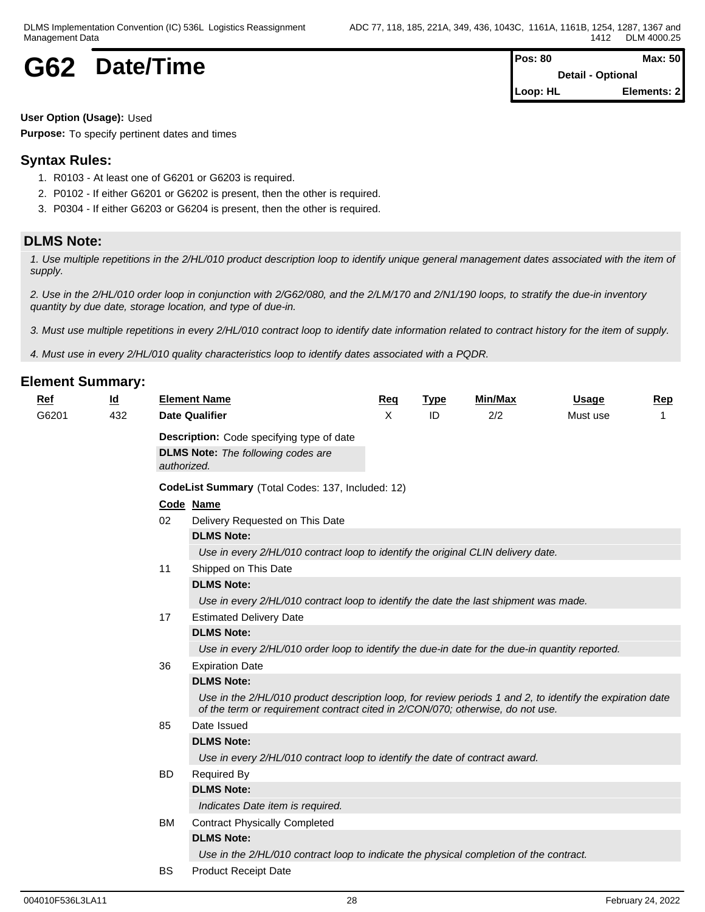## **G62** Date/Time

| Pos: 80  | Max: $50$                |
|----------|--------------------------|
|          | <b>Detail - Optional</b> |
| Loop: HL | Elements: 2              |

**User Option (Usage):** Used

**Purpose:** To specify pertinent dates and times

## **Syntax Rules:**

- 1. R0103 At least one of G6201 or G6203 is required.
- 2. P0102 If either G6201 or G6202 is present, then the other is required.
- 3. P0304 If either G6203 or G6204 is present, then the other is required.

## **DLMS Note:**

*1. Use multiple repetitions in the 2/HL/010 product description loop to identify unique general management dates associated with the item of supply.*

*2. Use in the 2/HL/010 order loop in conjunction with 2/G62/080, and the 2/LM/170 and 2/N1/190 loops, to stratify the due-in inventory quantity by due date, storage location, and type of due-in.*

*3. Must use multiple repetitions in every 2/HL/010 contract loop to identify date information related to contract history for the item of supply.*

*4. Must use in every 2/HL/010 quality characteristics loop to identify dates associated with a PQDR.*

| <b>Ref</b> | $\underline{\mathsf{Id}}$ |             | <b>Element Name</b>                                                                                                                                                                         | Req | <b>Type</b> | Min/Max | <b>Usage</b> | Rep |
|------------|---------------------------|-------------|---------------------------------------------------------------------------------------------------------------------------------------------------------------------------------------------|-----|-------------|---------|--------------|-----|
| G6201      | 432                       |             | <b>Date Qualifier</b>                                                                                                                                                                       | X   | ID          | 2/2     | Must use     |     |
|            |                           |             | Description: Code specifying type of date                                                                                                                                                   |     |             |         |              |     |
|            |                           |             | <b>DLMS Note:</b> The following codes are                                                                                                                                                   |     |             |         |              |     |
|            |                           | authorized. |                                                                                                                                                                                             |     |             |         |              |     |
|            |                           |             | CodeList Summary (Total Codes: 137, Included: 12)                                                                                                                                           |     |             |         |              |     |
|            |                           |             | Code Name                                                                                                                                                                                   |     |             |         |              |     |
|            |                           | 02          | Delivery Requested on This Date                                                                                                                                                             |     |             |         |              |     |
|            |                           |             | <b>DLMS Note:</b>                                                                                                                                                                           |     |             |         |              |     |
|            |                           |             | Use in every 2/HL/010 contract loop to identify the original CLIN delivery date.                                                                                                            |     |             |         |              |     |
|            |                           | 11          | Shipped on This Date                                                                                                                                                                        |     |             |         |              |     |
|            |                           |             | <b>DLMS Note:</b>                                                                                                                                                                           |     |             |         |              |     |
|            |                           |             | Use in every 2/HL/010 contract loop to identify the date the last shipment was made.                                                                                                        |     |             |         |              |     |
|            |                           | 17          | <b>Estimated Delivery Date</b>                                                                                                                                                              |     |             |         |              |     |
|            |                           |             | <b>DLMS Note:</b>                                                                                                                                                                           |     |             |         |              |     |
|            |                           |             | Use in every 2/HL/010 order loop to identify the due-in date for the due-in quantity reported.                                                                                              |     |             |         |              |     |
|            |                           | 36          | <b>Expiration Date</b>                                                                                                                                                                      |     |             |         |              |     |
|            |                           |             | <b>DLMS Note:</b>                                                                                                                                                                           |     |             |         |              |     |
|            |                           |             | Use in the 2/HL/010 product description loop, for review periods 1 and 2, to identify the expiration date<br>of the term or requirement contract cited in 2/CON/070; otherwise, do not use. |     |             |         |              |     |
|            |                           | 85          | Date Issued                                                                                                                                                                                 |     |             |         |              |     |
|            |                           |             | <b>DLMS Note:</b>                                                                                                                                                                           |     |             |         |              |     |
|            |                           |             | Use in every 2/HL/010 contract loop to identify the date of contract award.                                                                                                                 |     |             |         |              |     |
|            |                           | <b>BD</b>   | <b>Required By</b>                                                                                                                                                                          |     |             |         |              |     |
|            |                           |             | <b>DLMS Note:</b>                                                                                                                                                                           |     |             |         |              |     |
|            |                           |             | Indicates Date item is required.                                                                                                                                                            |     |             |         |              |     |
|            |                           | <b>BM</b>   | <b>Contract Physically Completed</b>                                                                                                                                                        |     |             |         |              |     |
|            |                           |             | <b>DLMS Note:</b>                                                                                                                                                                           |     |             |         |              |     |
|            |                           |             | Use in the 2/HL/010 contract loop to indicate the physical completion of the contract.                                                                                                      |     |             |         |              |     |
|            |                           | BS          | <b>Product Receipt Date</b>                                                                                                                                                                 |     |             |         |              |     |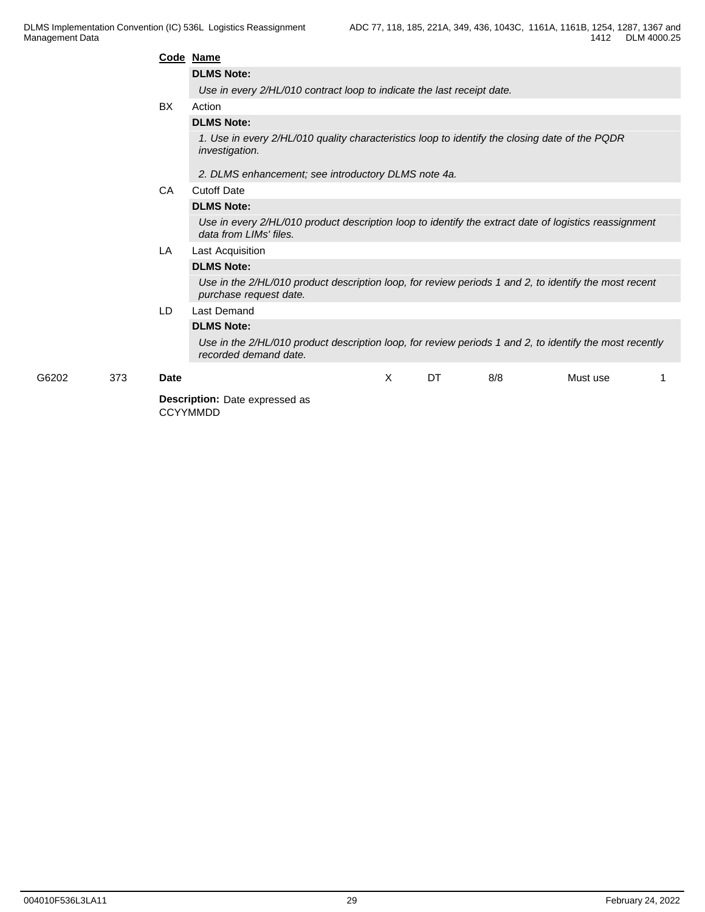|       |     |             | Code Name                                                                                                                        |   |           |     |          |  |  |  |
|-------|-----|-------------|----------------------------------------------------------------------------------------------------------------------------------|---|-----------|-----|----------|--|--|--|
|       |     |             | <b>DLMS Note:</b>                                                                                                                |   |           |     |          |  |  |  |
|       |     |             | Use in every 2/HL/010 contract loop to indicate the last receipt date.                                                           |   |           |     |          |  |  |  |
|       |     | <b>BX</b>   | Action                                                                                                                           |   |           |     |          |  |  |  |
|       |     |             | <b>DLMS Note:</b>                                                                                                                |   |           |     |          |  |  |  |
|       |     |             | 1. Use in every 2/HL/010 quality characteristics loop to identify the closing date of the PQDR<br>investigation.                 |   |           |     |          |  |  |  |
|       |     |             | 2. DLMS enhancement; see introductory DLMS note 4a.                                                                              |   |           |     |          |  |  |  |
|       |     | CA          | <b>Cutoff Date</b>                                                                                                               |   |           |     |          |  |  |  |
|       |     |             | <b>DLMS Note:</b>                                                                                                                |   |           |     |          |  |  |  |
|       |     |             | Use in every 2/HL/010 product description loop to identify the extract date of logistics reassignment<br>data from LIMs' files.  |   |           |     |          |  |  |  |
|       |     | LA          | Last Acquisition                                                                                                                 |   |           |     |          |  |  |  |
|       |     |             | <b>DLMS Note:</b>                                                                                                                |   |           |     |          |  |  |  |
|       |     |             | Use in the 2/HL/010 product description loop, for review periods 1 and 2, to identify the most recent<br>purchase request date.  |   |           |     |          |  |  |  |
|       |     | LD.         | Last Demand                                                                                                                      |   |           |     |          |  |  |  |
|       |     |             | <b>DLMS Note:</b>                                                                                                                |   |           |     |          |  |  |  |
|       |     |             | Use in the 2/HL/010 product description loop, for review periods 1 and 2, to identify the most recently<br>recorded demand date. |   |           |     |          |  |  |  |
| G6202 | 373 | <b>Date</b> |                                                                                                                                  | X | <b>DT</b> | 8/8 | Must use |  |  |  |
|       |     |             | Description: Date expressed as<br><b>CCYYMMDD</b>                                                                                |   |           |     |          |  |  |  |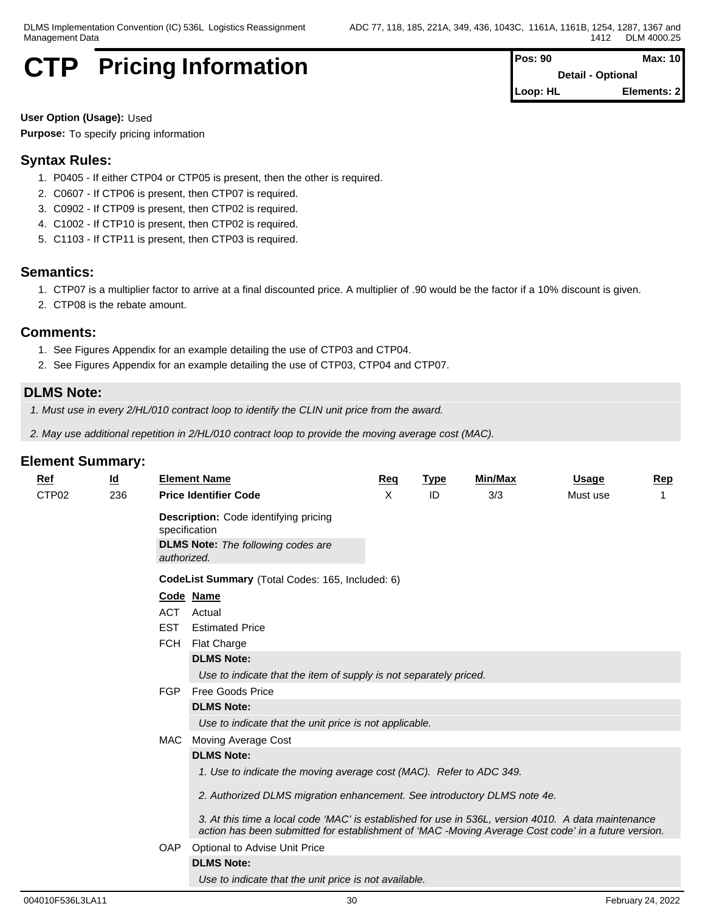## **CTP** Pricing Information  $\vert \vert^{\mathsf{p}}$

| Pos: 90  | Max: 10                  |
|----------|--------------------------|
|          | <b>Detail - Optional</b> |
| Loop: HL | Elements: 2              |

**User Option (Usage):** Used **Purpose:** To specify pricing information

## **Syntax Rules:**

- 1. P0405 If either CTP04 or CTP05 is present, then the other is required.
- 2. C0607 If CTP06 is present, then CTP07 is required.
- 3. C0902 If CTP09 is present, then CTP02 is required.
- 4. C1002 If CTP10 is present, then CTP02 is required.
- 5. C1103 If CTP11 is present, then CTP03 is required.

## **Semantics:**

- 1. CTP07 is a multiplier factor to arrive at a final discounted price. A multiplier of .90 would be the factor if a 10% discount is given.
- 2. CTP08 is the rebate amount.

## **Comments:**

- 1. See Figures Appendix for an example detailing the use of CTP03 and CTP04.
- 2. See Figures Appendix for an example detailing the use of CTP03, CTP04 and CTP07.

## **DLMS Note:**

- *1. Must use in every 2/HL/010 contract loop to identify the CLIN unit price from the award.*
- *2. May use additional repetition in 2/HL/010 contract loop to provide the moving average cost (MAC).*

| <b>Ref</b>        | $\underline{\mathsf{Id}}$ |                                                  | <b>Element Name</b>                                                                                                                                                                                        | Req | <b>Type</b> | <b>Min/Max</b> | <b>Usage</b> | Rep |  |  |  |  |  |
|-------------------|---------------------------|--------------------------------------------------|------------------------------------------------------------------------------------------------------------------------------------------------------------------------------------------------------------|-----|-------------|----------------|--------------|-----|--|--|--|--|--|
| CTP <sub>02</sub> | 236                       |                                                  | <b>Price Identifier Code</b>                                                                                                                                                                               | X   | ID          | 3/3            | Must use     |     |  |  |  |  |  |
|                   |                           | authorized.                                      | <b>Description:</b> Code identifying pricing<br>specification<br><b>DLMS Note:</b> The following codes are                                                                                                 |     |             |                |              |     |  |  |  |  |  |
|                   |                           | CodeList Summary (Total Codes: 165, Included: 6) |                                                                                                                                                                                                            |     |             |                |              |     |  |  |  |  |  |
|                   |                           |                                                  | Code Name                                                                                                                                                                                                  |     |             |                |              |     |  |  |  |  |  |
|                   |                           | ACT                                              | Actual                                                                                                                                                                                                     |     |             |                |              |     |  |  |  |  |  |
|                   |                           | <b>EST</b><br><b>FCH</b>                         | <b>Estimated Price</b>                                                                                                                                                                                     |     |             |                |              |     |  |  |  |  |  |
|                   |                           |                                                  | <b>Flat Charge</b>                                                                                                                                                                                         |     |             |                |              |     |  |  |  |  |  |
|                   |                           |                                                  | <b>DLMS Note:</b>                                                                                                                                                                                          |     |             |                |              |     |  |  |  |  |  |
|                   |                           |                                                  | Use to indicate that the item of supply is not separately priced.                                                                                                                                          |     |             |                |              |     |  |  |  |  |  |
|                   |                           | <b>FGP</b>                                       | <b>Free Goods Price</b>                                                                                                                                                                                    |     |             |                |              |     |  |  |  |  |  |
|                   |                           |                                                  | <b>DLMS Note:</b>                                                                                                                                                                                          |     |             |                |              |     |  |  |  |  |  |
|                   |                           |                                                  | Use to indicate that the unit price is not applicable.                                                                                                                                                     |     |             |                |              |     |  |  |  |  |  |
|                   |                           | MAC                                              | Moving Average Cost                                                                                                                                                                                        |     |             |                |              |     |  |  |  |  |  |
|                   |                           |                                                  | <b>DLMS Note:</b>                                                                                                                                                                                          |     |             |                |              |     |  |  |  |  |  |
|                   |                           |                                                  | 1. Use to indicate the moving average cost (MAC). Refer to ADC 349.                                                                                                                                        |     |             |                |              |     |  |  |  |  |  |
|                   |                           |                                                  | 2. Authorized DLMS migration enhancement. See introductory DLMS note 4e.                                                                                                                                   |     |             |                |              |     |  |  |  |  |  |
|                   |                           |                                                  | 3. At this time a local code 'MAC' is established for use in 536L, version 4010. A data maintenance<br>action has been submitted for establishment of 'MAC -Moving Average Cost code' in a future version. |     |             |                |              |     |  |  |  |  |  |
|                   |                           | OAP                                              | Optional to Advise Unit Price                                                                                                                                                                              |     |             |                |              |     |  |  |  |  |  |
|                   |                           |                                                  | <b>DLMS Note:</b>                                                                                                                                                                                          |     |             |                |              |     |  |  |  |  |  |
|                   |                           |                                                  | Use to indicate that the unit price is not available.                                                                                                                                                      |     |             |                |              |     |  |  |  |  |  |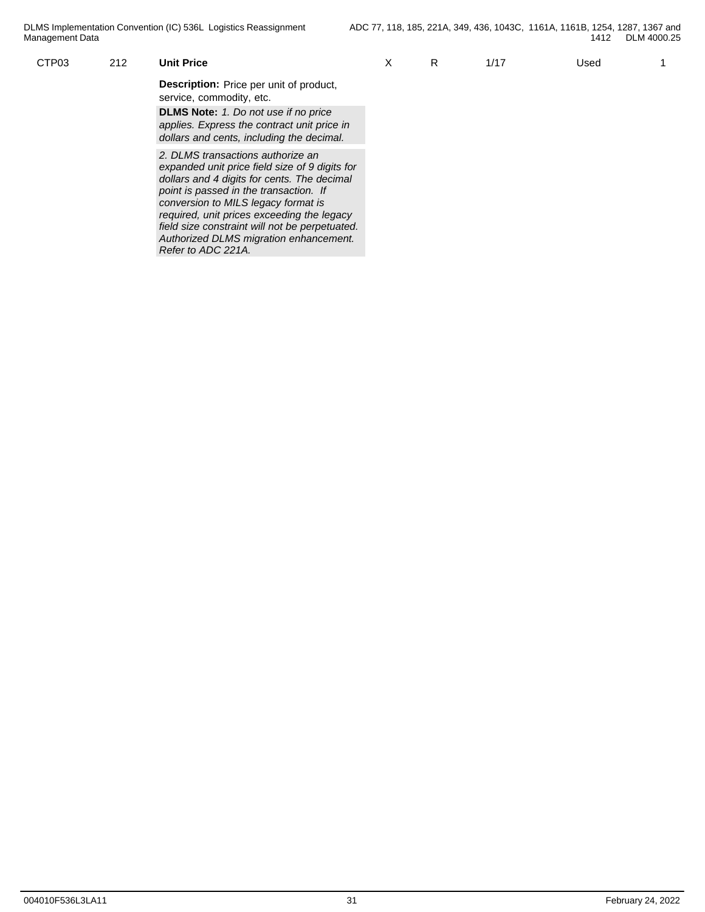| CTP <sub>03</sub> | 212 | <b>Unit Price</b>                                                                                                                                                                                                                                                                                                   | ∧ | R | 1/17 | Used |  |
|-------------------|-----|---------------------------------------------------------------------------------------------------------------------------------------------------------------------------------------------------------------------------------------------------------------------------------------------------------------------|---|---|------|------|--|
|                   |     | <b>Description:</b> Price per unit of product,<br>service, commodity, etc.                                                                                                                                                                                                                                          |   |   |      |      |  |
|                   |     | <b>DLMS Note:</b> 1. Do not use if no price<br>applies. Express the contract unit price in<br>dollars and cents, including the decimal.                                                                                                                                                                             |   |   |      |      |  |
|                   |     | 2. DLMS transactions authorize an<br>expanded unit price field size of 9 digits for<br>dollars and 4 digits for cents. The decimal<br>point is passed in the transaction. If<br>conversion to MILS legacy format is<br>required, unit prices exceeding the legacy<br>field size constraint will not be perpetuated. |   |   |      |      |  |
|                   |     | Authorized DLMS migration enhancement.                                                                                                                                                                                                                                                                              |   |   |      |      |  |

*Refer to ADC 221A.*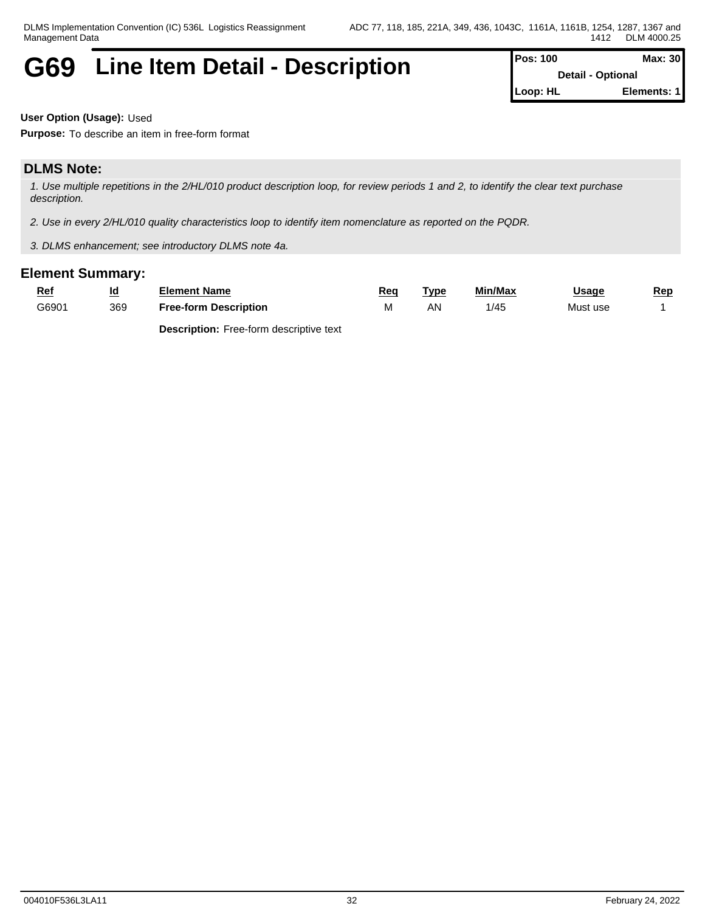# G69 Line Item Detail - Description **Position Pos: 100** Max: 30

**Detail - Optional Loop: HL Elements: 1**

**User Option (Usage):** Used

**Purpose:** To describe an item in free-form format

## **DLMS Note:**

*1. Use multiple repetitions in the 2/HL/010 product description loop, for review periods 1 and 2, to identify the clear text purchase description.*

*2. Use in every 2/HL/010 quality characteristics loop to identify item nomenclature as reported on the PQDR.*

*3. DLMS enhancement; see introductory DLMS note 4a.*

## **Element Summary:**

| <u>Ref</u> | <u>ld</u> | Element Name                 | Req   | . vpc<br>the contract of the contract of the contract of | Min/Max | <b>Usage</b> | Rep |
|------------|-----------|------------------------------|-------|----------------------------------------------------------|---------|--------------|-----|
| G6901      | 369       | <b>Free-form Description</b> | 1 V I | AN                                                       | 1/45    | Must use     |     |

**Description:** Free-form descriptive text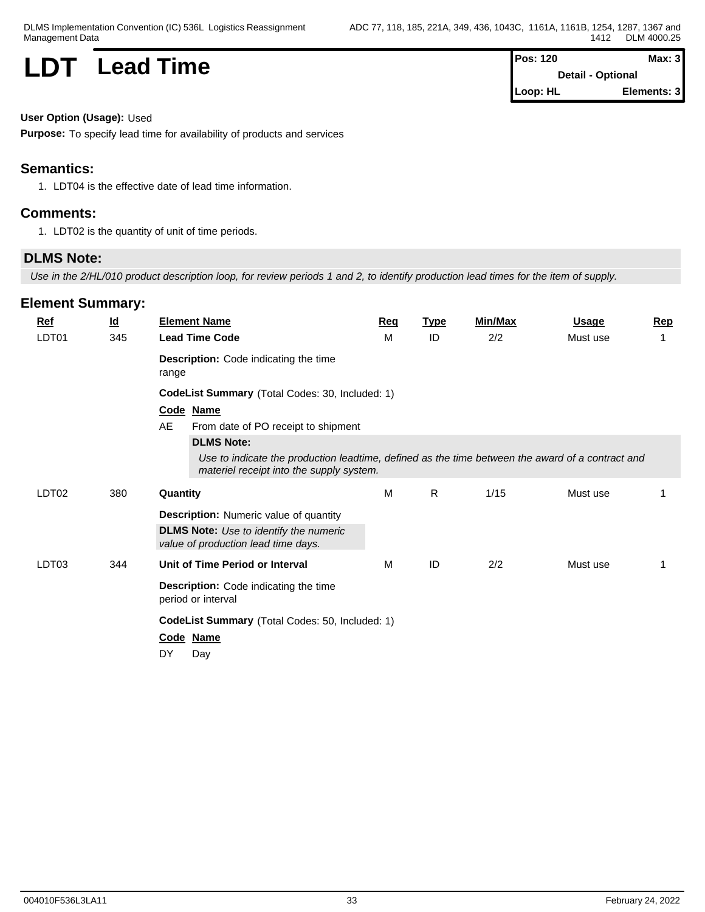## **LDT** Lead Time

| Pos: 120 | Max: 3                   |  |
|----------|--------------------------|--|
|          | <b>Detail - Optional</b> |  |
| Loop: HL | Elements: 3              |  |

### **User Option (Usage):** Used

**Purpose:** To specify lead time for availability of products and services

## **Semantics:**

1. LDT04 is the effective date of lead time information.

## **Comments:**

1. LDT02 is the quantity of unit of time periods.

## **DLMS Note:**

*Use in the 2/HL/010 product description loop, for review periods 1 and 2, to identify production lead times for the item of supply.*

| $Ref$             | $\underline{\mathsf{Id}}$ | <b>Element Name</b>                                                                                                                          | Req | <b>Type</b>  | Min/Max | <b>Usage</b> | <b>Rep</b> |  |  |  |
|-------------------|---------------------------|----------------------------------------------------------------------------------------------------------------------------------------------|-----|--------------|---------|--------------|------------|--|--|--|
| LDT01             | 345                       | <b>Lead Time Code</b>                                                                                                                        | M   | ID           | 2/2     | Must use     | 1          |  |  |  |
|                   |                           | <b>Description:</b> Code indicating the time<br>range                                                                                        |     |              |         |              |            |  |  |  |
|                   |                           | CodeList Summary (Total Codes: 30, Included: 1)                                                                                              |     |              |         |              |            |  |  |  |
|                   |                           | Code Name                                                                                                                                    |     |              |         |              |            |  |  |  |
|                   |                           | AE<br>From date of PO receipt to shipment                                                                                                    |     |              |         |              |            |  |  |  |
|                   |                           | <b>DLMS Note:</b>                                                                                                                            |     |              |         |              |            |  |  |  |
|                   |                           | Use to indicate the production leadtime, defined as the time between the award of a contract and<br>materiel receipt into the supply system. |     |              |         |              |            |  |  |  |
| LDT <sub>02</sub> | 380                       | Quantity                                                                                                                                     | M   | $\mathsf{R}$ | 1/15    | Must use     |            |  |  |  |
|                   |                           | <b>Description:</b> Numeric value of quantity                                                                                                |     |              |         |              |            |  |  |  |
|                   |                           | <b>DLMS Note:</b> Use to identify the numeric<br>value of production lead time days.                                                         |     |              |         |              |            |  |  |  |
| LDT03             | 344                       | Unit of Time Period or Interval                                                                                                              | M   | ID           | 2/2     | Must use     | 1          |  |  |  |
|                   |                           | <b>Description:</b> Code indicating the time<br>period or interval                                                                           |     |              |         |              |            |  |  |  |
|                   |                           | CodeList Summary (Total Codes: 50, Included: 1)                                                                                              |     |              |         |              |            |  |  |  |
|                   |                           | Code Name                                                                                                                                    |     |              |         |              |            |  |  |  |
|                   |                           | DY<br>Day                                                                                                                                    |     |              |         |              |            |  |  |  |
|                   |                           |                                                                                                                                              |     |              |         |              |            |  |  |  |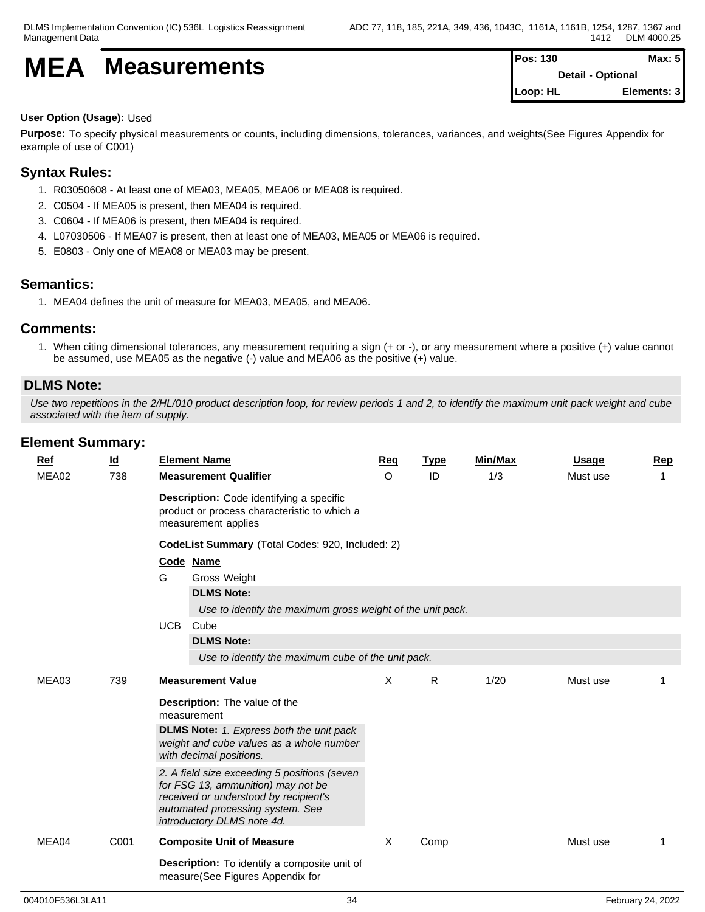# **MEA** Measurements **Pos:** 130 **Max:** 5

**Detail - Optional Loop: HL Elements: 3**

### **User Option (Usage):** Used

**Purpose:** To specify physical measurements or counts, including dimensions, tolerances, variances, and weights(See Figures Appendix for example of use of C001)

## **Syntax Rules:**

- 1. R03050608 At least one of MEA03, MEA05, MEA06 or MEA08 is required.
- 2. C0504 If MEA05 is present, then MEA04 is required.
- 3. C0604 If MEA06 is present, then MEA04 is required.
- 4. L07030506 If MEA07 is present, then at least one of MEA03, MEA05 or MEA06 is required.
- 5. E0803 Only one of MEA08 or MEA03 may be present.

## **Semantics:**

1. MEA04 defines the unit of measure for MEA03, MEA05, and MEA06.

## **Comments:**

1. When citing dimensional tolerances, any measurement requiring a sign (+ or -), or any measurement where a positive (+) value cannot be assumed, use MEA05 as the negative (-) value and MEA06 as the positive (+) value.

## **DLMS Note:**

*Use two repetitions in the 2/HL/010 product description loop, for review periods 1 and 2, to identify the maximum unit pack weight and cube associated with the item of supply.*

| <b>Ref</b> | <u>ld</u> | <b>Element Name</b>                                                                                                                                                                           | Req     | <b>Type</b> | Min/Max | Usage    | <b>Rep</b> |  |  |  |
|------------|-----------|-----------------------------------------------------------------------------------------------------------------------------------------------------------------------------------------------|---------|-------------|---------|----------|------------|--|--|--|
| MEA02      | 738       | <b>Measurement Qualifier</b>                                                                                                                                                                  | $\circ$ | ID          | 1/3     | Must use | 1          |  |  |  |
|            |           | Description: Code identifying a specific<br>product or process characteristic to which a<br>measurement applies                                                                               |         |             |         |          |            |  |  |  |
|            |           | CodeList Summary (Total Codes: 920, Included: 2)                                                                                                                                              |         |             |         |          |            |  |  |  |
|            |           | Code Name                                                                                                                                                                                     |         |             |         |          |            |  |  |  |
|            |           | G<br>Gross Weight                                                                                                                                                                             |         |             |         |          |            |  |  |  |
|            |           | <b>DLMS Note:</b>                                                                                                                                                                             |         |             |         |          |            |  |  |  |
|            |           | Use to identify the maximum gross weight of the unit pack.                                                                                                                                    |         |             |         |          |            |  |  |  |
|            |           | <b>UCB</b><br>Cube                                                                                                                                                                            |         |             |         |          |            |  |  |  |
|            |           | <b>DLMS Note:</b>                                                                                                                                                                             |         |             |         |          |            |  |  |  |
|            |           | Use to identify the maximum cube of the unit pack.                                                                                                                                            |         |             |         |          |            |  |  |  |
| MEA03      | 739       | <b>Measurement Value</b>                                                                                                                                                                      | X       | R           | 1/20    | Must use |            |  |  |  |
|            |           | Description: The value of the                                                                                                                                                                 |         |             |         |          |            |  |  |  |
|            |           | measurement                                                                                                                                                                                   |         |             |         |          |            |  |  |  |
|            |           | <b>DLMS Note:</b> 1. Express both the unit pack<br>weight and cube values as a whole number<br>with decimal positions.                                                                        |         |             |         |          |            |  |  |  |
|            |           | 2. A field size exceeding 5 positions (seven<br>for FSG 13, ammunition) may not be<br>received or understood by recipient's<br>automated processing system. See<br>introductory DLMS note 4d. |         |             |         |          |            |  |  |  |
| MEA04      | C001      | <b>Composite Unit of Measure</b>                                                                                                                                                              | X       | Comp        |         | Must use |            |  |  |  |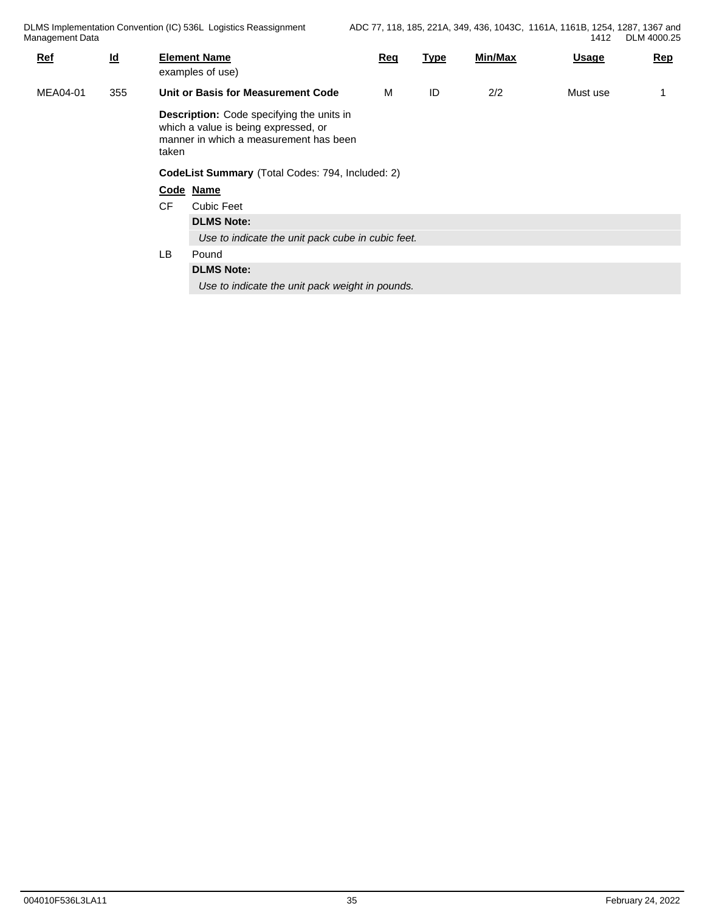| $Ref$    | $\underline{\mathsf{Id}}$ |           | <b>Element Name</b><br>examples of use)                                                                                                                                                             | Req | <b>Type</b> | Min/Max | <b>Usage</b> | <b>Rep</b> |
|----------|---------------------------|-----------|-----------------------------------------------------------------------------------------------------------------------------------------------------------------------------------------------------|-----|-------------|---------|--------------|------------|
| MEA04-01 | 355                       |           | Unit or Basis for Measurement Code                                                                                                                                                                  | М   | ID          | 2/2     | Must use     |            |
|          |                           | taken     | <b>Description:</b> Code specifying the units in<br>which a value is being expressed, or<br>manner in which a measurement has been<br>CodeList Summary (Total Codes: 794, Included: 2)<br>Code Name |     |             |         |              |            |
|          |                           | CF<br>LB. | <b>Cubic Feet</b><br><b>DLMS Note:</b><br>Use to indicate the unit pack cube in cubic feet.<br>Pound<br><b>DLMS Note:</b><br>Use to indicate the unit pack weight in pounds.                        |     |             |         |              |            |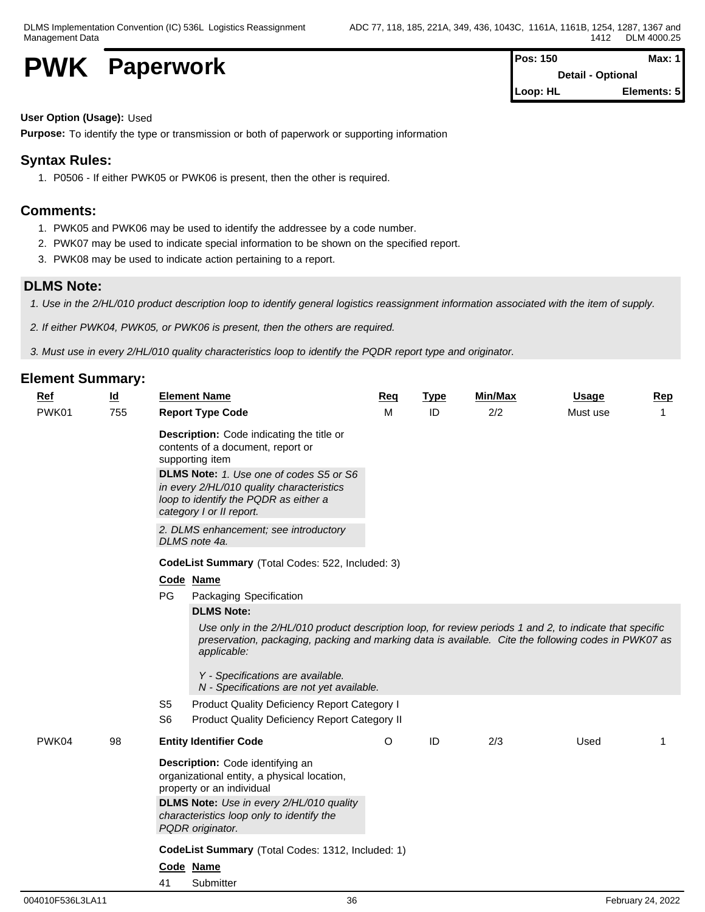**PWK** Paperwork **PWK Paperwork PWK Paperwork** 

**Loop: HL Elements: 5**

**User Option (Usage):** Used

**Purpose:** To identify the type or transmission or both of paperwork or supporting information

## **Syntax Rules:**

1. P0506 - If either PWK05 or PWK06 is present, then the other is required.

### **Comments:**

- 1. PWK05 and PWK06 may be used to identify the addressee by a code number.
- 2. PWK07 may be used to indicate special information to be shown on the specified report.
- 3. PWK08 may be used to indicate action pertaining to a report.

### **DLMS Note:**

*1. Use in the 2/HL/010 product description loop to identify general logistics reassignment information associated with the item of supply.*

- *2. If either PWK04, PWK05, or PWK06 is present, then the others are required.*
- *3. Must use in every 2/HL/010 quality characteristics loop to identify the PQDR report type and originator.*

| <b>Element Summary:</b> |                           |                                                                                                                                                                                                                                 |         |             |         |              |                |  |  |  |  |  |
|-------------------------|---------------------------|---------------------------------------------------------------------------------------------------------------------------------------------------------------------------------------------------------------------------------|---------|-------------|---------|--------------|----------------|--|--|--|--|--|
| Ref                     | $\underline{\mathsf{Id}}$ | <b>Element Name</b>                                                                                                                                                                                                             | Req     | <b>Type</b> | Min/Max | <b>Usage</b> | <b>Rep</b>     |  |  |  |  |  |
| PWK01                   | 755                       | <b>Report Type Code</b>                                                                                                                                                                                                         | M       | ID          | 2/2     | Must use     | $\overline{1}$ |  |  |  |  |  |
|                         |                           | Description: Code indicating the title or<br>contents of a document, report or<br>supporting item<br><b>DLMS Note:</b> 1. Use one of codes S5 or S6                                                                             |         |             |         |              |                |  |  |  |  |  |
|                         |                           | in every 2/HL/010 quality characteristics<br>loop to identify the PQDR as either a<br>category I or II report.                                                                                                                  |         |             |         |              |                |  |  |  |  |  |
|                         |                           | 2. DLMS enhancement; see introductory<br>DLMS note 4a.                                                                                                                                                                          |         |             |         |              |                |  |  |  |  |  |
|                         |                           | CodeList Summary (Total Codes: 522, Included: 3)                                                                                                                                                                                |         |             |         |              |                |  |  |  |  |  |
|                         |                           | Code Name                                                                                                                                                                                                                       |         |             |         |              |                |  |  |  |  |  |
|                         |                           | PG<br>Packaging Specification                                                                                                                                                                                                   |         |             |         |              |                |  |  |  |  |  |
|                         |                           | <b>DLMS Note:</b>                                                                                                                                                                                                               |         |             |         |              |                |  |  |  |  |  |
|                         |                           | Use only in the 2/HL/010 product description loop, for review periods 1 and 2, to indicate that specific<br>preservation, packaging, packing and marking data is available. Cite the following codes in PWK07 as<br>applicable: |         |             |         |              |                |  |  |  |  |  |
|                         |                           | Y - Specifications are available.<br>N - Specifications are not yet available.                                                                                                                                                  |         |             |         |              |                |  |  |  |  |  |
|                         |                           | S <sub>5</sub><br>Product Quality Deficiency Report Category I                                                                                                                                                                  |         |             |         |              |                |  |  |  |  |  |
|                         |                           | S <sub>6</sub><br>Product Quality Deficiency Report Category II                                                                                                                                                                 |         |             |         |              |                |  |  |  |  |  |
| PWK04                   | 98                        | <b>Entity Identifier Code</b>                                                                                                                                                                                                   | $\circ$ | ID          | 2/3     | Used         | 1              |  |  |  |  |  |
|                         |                           | Description: Code identifying an<br>organizational entity, a physical location,<br>property or an individual                                                                                                                    |         |             |         |              |                |  |  |  |  |  |
|                         |                           | DLMS Note: Use in every 2/HL/010 quality<br>characteristics loop only to identify the<br>PQDR originator.                                                                                                                       |         |             |         |              |                |  |  |  |  |  |
|                         |                           | CodeList Summary (Total Codes: 1312, Included: 1)                                                                                                                                                                               |         |             |         |              |                |  |  |  |  |  |
|                         |                           | Code Name                                                                                                                                                                                                                       |         |             |         |              |                |  |  |  |  |  |
|                         |                           | 41<br>Submitter                                                                                                                                                                                                                 |         |             |         |              |                |  |  |  |  |  |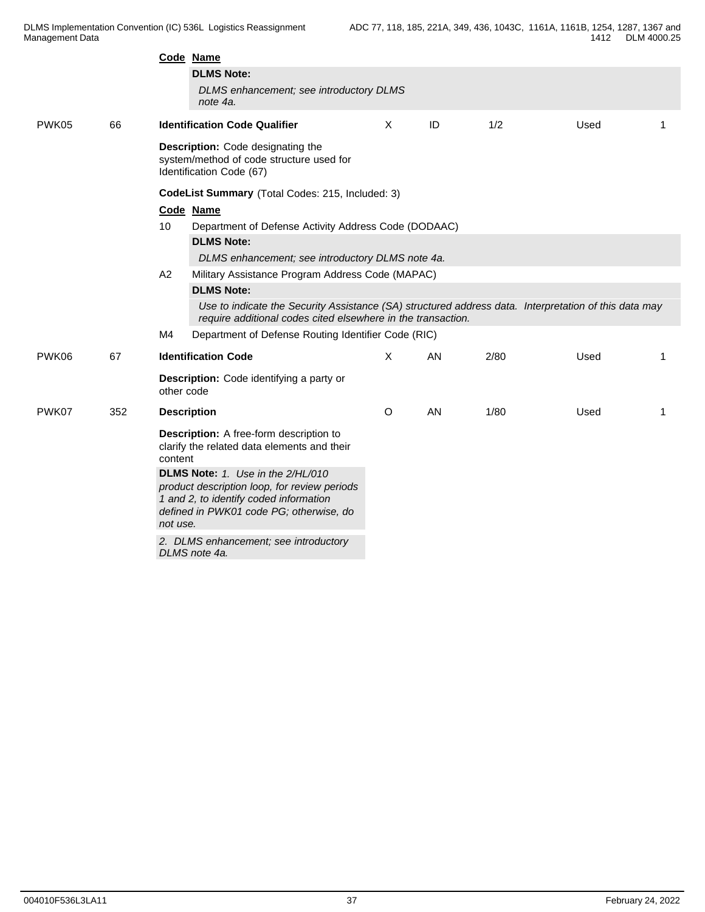|       |     | Code Name                                                                                                                                                                          |                                                                                                                                                                       |    |      |      |   |  |  |  |  |
|-------|-----|------------------------------------------------------------------------------------------------------------------------------------------------------------------------------------|-----------------------------------------------------------------------------------------------------------------------------------------------------------------------|----|------|------|---|--|--|--|--|
|       |     | <b>DLMS Note:</b>                                                                                                                                                                  |                                                                                                                                                                       |    |      |      |   |  |  |  |  |
|       |     | DLMS enhancement; see introductory DLMS<br>note 4a.                                                                                                                                |                                                                                                                                                                       |    |      |      |   |  |  |  |  |
| PWK05 | 66  | <b>Identification Code Qualifier</b>                                                                                                                                               | X                                                                                                                                                                     | ID | 1/2  | Used | 1 |  |  |  |  |
|       |     | Description: Code designating the<br>system/method of code structure used for<br>Identification Code (67)                                                                          |                                                                                                                                                                       |    |      |      |   |  |  |  |  |
|       |     | CodeList Summary (Total Codes: 215, Included: 3)                                                                                                                                   |                                                                                                                                                                       |    |      |      |   |  |  |  |  |
|       |     | Code Name                                                                                                                                                                          |                                                                                                                                                                       |    |      |      |   |  |  |  |  |
|       |     | 10<br>Department of Defense Activity Address Code (DODAAC)                                                                                                                         |                                                                                                                                                                       |    |      |      |   |  |  |  |  |
|       |     | <b>DLMS Note:</b>                                                                                                                                                                  |                                                                                                                                                                       |    |      |      |   |  |  |  |  |
|       |     | DLMS enhancement; see introductory DLMS note 4a.                                                                                                                                   |                                                                                                                                                                       |    |      |      |   |  |  |  |  |
|       |     | A2<br>Military Assistance Program Address Code (MAPAC)                                                                                                                             |                                                                                                                                                                       |    |      |      |   |  |  |  |  |
|       |     | <b>DLMS Note:</b>                                                                                                                                                                  |                                                                                                                                                                       |    |      |      |   |  |  |  |  |
|       |     |                                                                                                                                                                                    | Use to indicate the Security Assistance (SA) structured address data. Interpretation of this data may<br>require additional codes cited elsewhere in the transaction. |    |      |      |   |  |  |  |  |
|       |     | Department of Defense Routing Identifier Code (RIC)<br>M4                                                                                                                          |                                                                                                                                                                       |    |      |      |   |  |  |  |  |
| PWK06 | 67  | <b>Identification Code</b>                                                                                                                                                         | X                                                                                                                                                                     | AN | 2/80 | Used | 1 |  |  |  |  |
|       |     | <b>Description:</b> Code identifying a party or<br>other code                                                                                                                      |                                                                                                                                                                       |    |      |      |   |  |  |  |  |
| PWK07 | 352 | <b>Description</b>                                                                                                                                                                 | $\circ$                                                                                                                                                               | AN | 1/80 | Used | 1 |  |  |  |  |
|       |     | <b>Description:</b> A free-form description to<br>clarify the related data elements and their<br>content                                                                           |                                                                                                                                                                       |    |      |      |   |  |  |  |  |
|       |     | DLMS Note: 1. Use in the 2/HL/010<br>product description loop, for review periods<br>1 and 2, to identify coded information<br>defined in PWK01 code PG; otherwise, do<br>not use. |                                                                                                                                                                       |    |      |      |   |  |  |  |  |
|       |     | 2. DLMS enhancement; see introductory<br>DLMS note 4a.                                                                                                                             |                                                                                                                                                                       |    |      |      |   |  |  |  |  |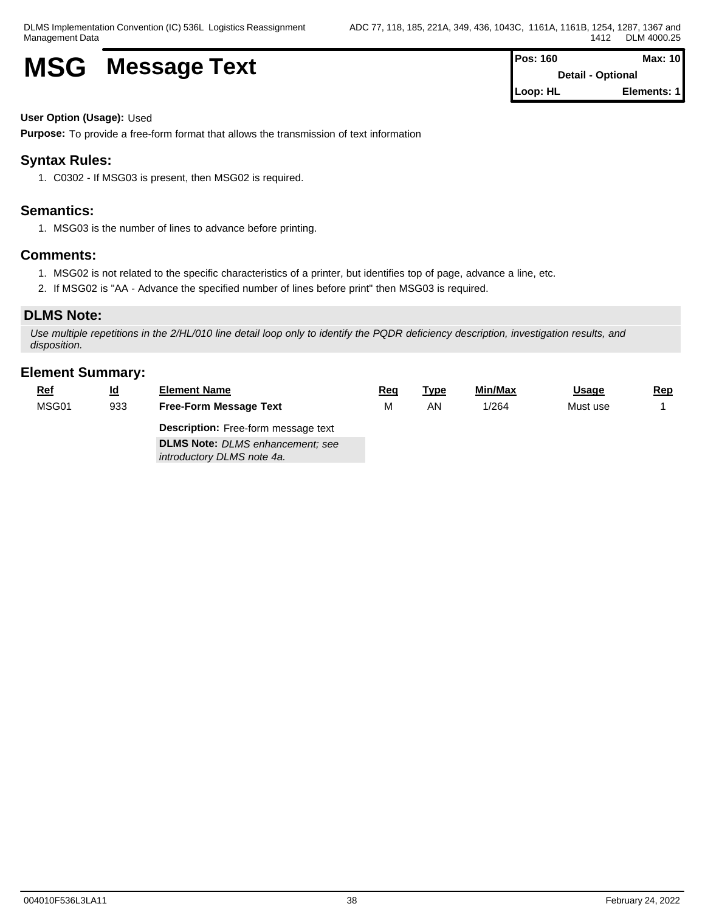# **MSG** Message Text **Pos: 160 Max: 10 Max: 10**

**Detail - Optional Loop: HL Elements: 1**

### **User Option (Usage):** Used

**Purpose:** To provide a free-form format that allows the transmission of text information

## **Syntax Rules:**

1. C0302 - If MSG03 is present, then MSG02 is required.

## **Semantics:**

1. MSG03 is the number of lines to advance before printing.

## **Comments:**

- 1. MSG02 is not related to the specific characteristics of a printer, but identifies top of page, advance a line, etc.
- 2. If MSG02 is "AA Advance the specified number of lines before print" then MSG03 is required.

## **DLMS Note:**

*Use multiple repetitions in the 2/HL/010 line detail loop only to identify the PQDR deficiency description, investigation results, and disposition.*

| <u>Ref</u> | <u>ld</u> | <b>Element Name</b>                                                   | <u>Req</u> | <u>Type</u> | Min/Max | <u>Usage</u> | <u>Rep</u> |
|------------|-----------|-----------------------------------------------------------------------|------------|-------------|---------|--------------|------------|
| MSG01      | 933       | <b>Free-Form Message Text</b>                                         | м          | ΑN          | 1/264   | Must use     |            |
|            |           | <b>Description:</b> Free-form message text                            |            |             |         |              |            |
|            |           | <b>DLMS Note:</b> DLMS enhancement; see<br>introductory DLMS note 4a. |            |             |         |              |            |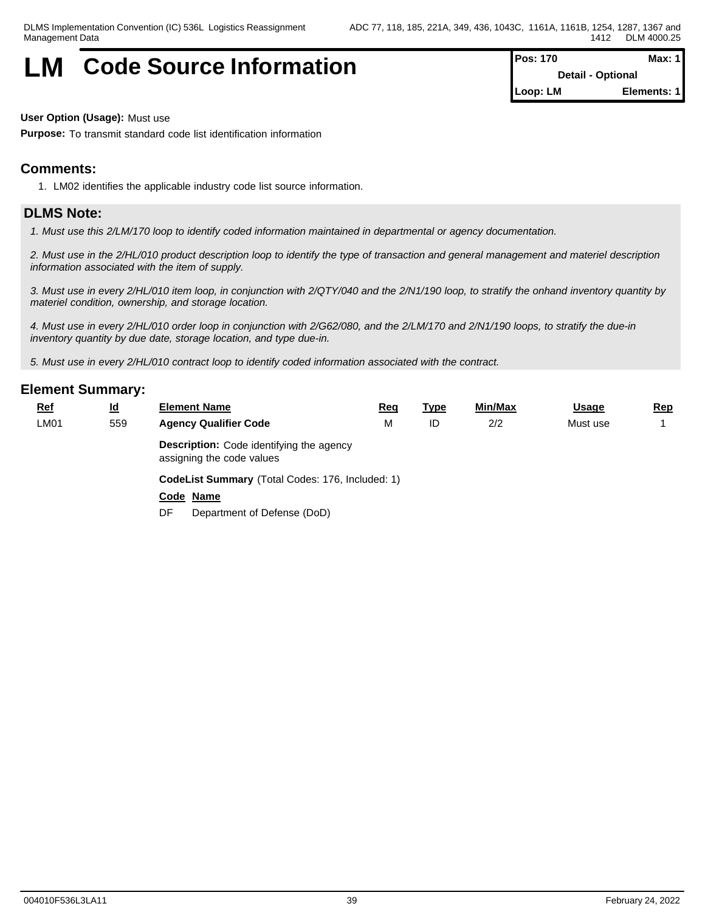## **LM** Code Source Information **Pos: 170** Max: 1

**Detail - Optional Loop: LM Elements: 1**

**User Option (Usage):** Must use

**Purpose:** To transmit standard code list identification information

## **Comments:**

1. LM02 identifies the applicable industry code list source information.

## **DLMS Note:**

*1. Must use this 2/LM/170 loop to identify coded information maintained in departmental or agency documentation.*

*2. Must use in the 2/HL/010 product description loop to identify the type of transaction and general management and materiel description information associated with the item of supply.*

*3. Must use in every 2/HL/010 item loop, in conjunction with 2/QTY/040 and the 2/N1/190 loop, to stratify the onhand inventory quantity by materiel condition, ownership, and storage location.*

*4. Must use in every 2/HL/010 order loop in conjunction with 2/G62/080, and the 2/LM/170 and 2/N1/190 loops, to stratify the due-in inventory quantity by due date, storage location, and type due-in.*

*5. Must use in every 2/HL/010 contract loop to identify coded information associated with the contract.*

| $Ref$ | $\underline{\mathsf{Id}}$ | <b>Element Name</b>                                                          | <u>Req</u> | <u>Type</u> | Min/Max | <b>Usage</b> | <u>Rep</u> |  |  |  |  |
|-------|---------------------------|------------------------------------------------------------------------------|------------|-------------|---------|--------------|------------|--|--|--|--|
| LM01  | 559                       | <b>Agency Qualifier Code</b>                                                 | М          | ID          | 2/2     | Must use     |            |  |  |  |  |
|       |                           | <b>Description:</b> Code identifying the agency<br>assigning the code values |            |             |         |              |            |  |  |  |  |
|       |                           | CodeList Summary (Total Codes: 176, Included: 1)                             |            |             |         |              |            |  |  |  |  |
|       |                           | Code Name                                                                    |            |             |         |              |            |  |  |  |  |
|       |                           | Department of Defense (DoD)<br>DF                                            |            |             |         |              |            |  |  |  |  |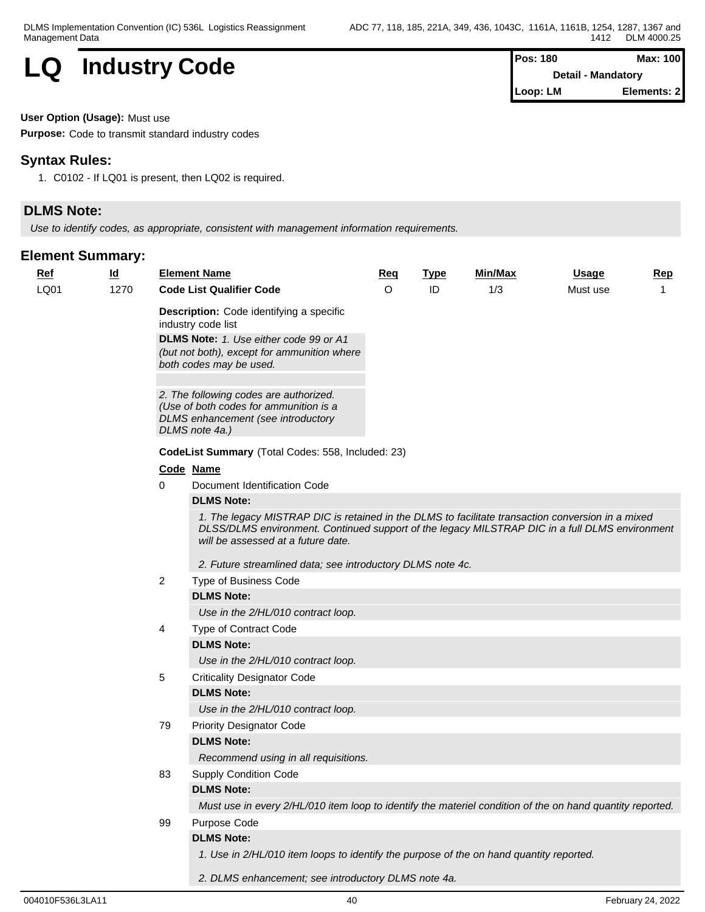

| Pos: 180                  | Max: 100    |
|---------------------------|-------------|
| <b>Detail - Mandatory</b> |             |
| Loop: LM                  | Elements: 2 |

**User Option (Usage):** Must use

**Purpose:** Code to transmit standard industry codes

## **Syntax Rules:**

1. C0102 - If LQ01 is present, then LQ02 is required.

## **DLMS Note:**

*Use to identify codes, as appropriate, consistent with management information requirements.*

|  | <b>Ref</b> | <u>ld</u> |                                                                                                                                                                                                                                                                        | <b>Element Name</b>                                                                                                                                                                                                                       | <b>Req</b> | <u>Type</u> | Min/Max | <b>Usage</b> | <b>Rep</b> |
|--|------------|-----------|------------------------------------------------------------------------------------------------------------------------------------------------------------------------------------------------------------------------------------------------------------------------|-------------------------------------------------------------------------------------------------------------------------------------------------------------------------------------------------------------------------------------------|------------|-------------|---------|--------------|------------|
|  | LQ01       | 1270      |                                                                                                                                                                                                                                                                        | <b>Code List Qualifier Code</b>                                                                                                                                                                                                           | $\circ$    | ID          | 1/3     | Must use     | 1          |
|  |            |           | Description: Code identifying a specific<br>industry code list<br>DLMS Note: 1. Use either code 99 or A1<br>(but not both), except for ammunition where<br>both codes may be used.<br>2. The following codes are authorized.<br>(Use of both codes for ammunition is a |                                                                                                                                                                                                                                           |            |             |         |              |            |
|  |            |           |                                                                                                                                                                                                                                                                        | DLMS enhancement (see introductory<br>DLMS note 4a.)                                                                                                                                                                                      |            |             |         |              |            |
|  |            |           |                                                                                                                                                                                                                                                                        | CodeList Summary (Total Codes: 558, Included: 23)                                                                                                                                                                                         |            |             |         |              |            |
|  |            |           |                                                                                                                                                                                                                                                                        | Code Name                                                                                                                                                                                                                                 |            |             |         |              |            |
|  |            |           | 0                                                                                                                                                                                                                                                                      | Document Identification Code                                                                                                                                                                                                              |            |             |         |              |            |
|  |            |           |                                                                                                                                                                                                                                                                        | <b>DLMS Note:</b>                                                                                                                                                                                                                         |            |             |         |              |            |
|  |            |           |                                                                                                                                                                                                                                                                        | 1. The legacy MISTRAP DIC is retained in the DLMS to facilitate transaction conversion in a mixed<br>DLSS/DLMS environment. Continued support of the legacy MILSTRAP DIC in a full DLMS environment<br>will be assessed at a future date. |            |             |         |              |            |
|  |            |           |                                                                                                                                                                                                                                                                        | 2. Future streamlined data; see introductory DLMS note 4c.                                                                                                                                                                                |            |             |         |              |            |
|  |            |           | $\overline{2}$                                                                                                                                                                                                                                                         | Type of Business Code                                                                                                                                                                                                                     |            |             |         |              |            |
|  |            |           |                                                                                                                                                                                                                                                                        | <b>DLMS Note:</b>                                                                                                                                                                                                                         |            |             |         |              |            |
|  |            |           |                                                                                                                                                                                                                                                                        | Use in the 2/HL/010 contract loop.                                                                                                                                                                                                        |            |             |         |              |            |
|  |            |           | 4                                                                                                                                                                                                                                                                      | Type of Contract Code                                                                                                                                                                                                                     |            |             |         |              |            |
|  |            |           |                                                                                                                                                                                                                                                                        | <b>DLMS Note:</b>                                                                                                                                                                                                                         |            |             |         |              |            |
|  |            |           |                                                                                                                                                                                                                                                                        | Use in the 2/HL/010 contract loop.                                                                                                                                                                                                        |            |             |         |              |            |
|  |            |           | 5                                                                                                                                                                                                                                                                      | <b>Criticality Designator Code</b>                                                                                                                                                                                                        |            |             |         |              |            |
|  |            |           |                                                                                                                                                                                                                                                                        | <b>DLMS Note:</b>                                                                                                                                                                                                                         |            |             |         |              |            |
|  |            |           |                                                                                                                                                                                                                                                                        | Use in the 2/HL/010 contract loop.                                                                                                                                                                                                        |            |             |         |              |            |
|  |            |           | 79                                                                                                                                                                                                                                                                     | <b>Priority Designator Code</b>                                                                                                                                                                                                           |            |             |         |              |            |
|  |            |           |                                                                                                                                                                                                                                                                        | <b>DLMS Note:</b>                                                                                                                                                                                                                         |            |             |         |              |            |
|  |            |           |                                                                                                                                                                                                                                                                        | Recommend using in all requisitions.                                                                                                                                                                                                      |            |             |         |              |            |
|  |            |           | 83                                                                                                                                                                                                                                                                     | <b>Supply Condition Code</b>                                                                                                                                                                                                              |            |             |         |              |            |
|  |            |           |                                                                                                                                                                                                                                                                        | <b>DLMS Note:</b>                                                                                                                                                                                                                         |            |             |         |              |            |
|  |            |           |                                                                                                                                                                                                                                                                        | Must use in every 2/HL/010 item loop to identify the materiel condition of the on hand quantity reported.                                                                                                                                 |            |             |         |              |            |
|  |            |           | 99                                                                                                                                                                                                                                                                     | Purpose Code<br><b>DLMS Note:</b>                                                                                                                                                                                                         |            |             |         |              |            |
|  |            |           |                                                                                                                                                                                                                                                                        | 1. Use in 2/HL/010 item loops to identify the purpose of the on hand quantity reported.                                                                                                                                                   |            |             |         |              |            |
|  |            |           |                                                                                                                                                                                                                                                                        |                                                                                                                                                                                                                                           |            |             |         |              |            |
|  |            |           |                                                                                                                                                                                                                                                                        | 2. DLMS enhancement; see introductory DLMS note 4a.                                                                                                                                                                                       |            |             |         |              |            |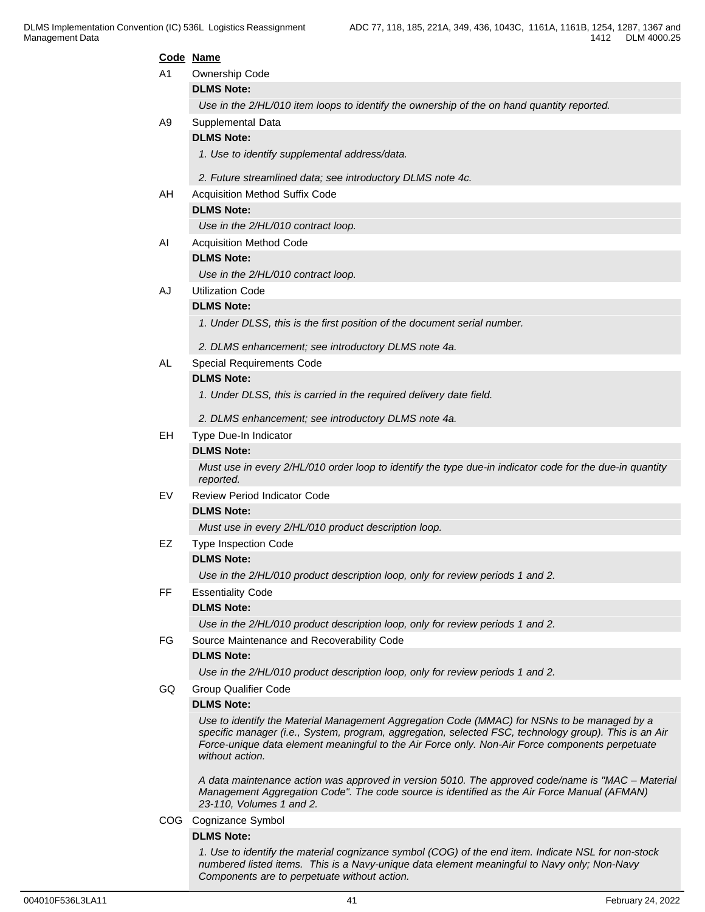|     | Code Name                                                                                                                                                                                            |
|-----|------------------------------------------------------------------------------------------------------------------------------------------------------------------------------------------------------|
| A1  | Ownership Code                                                                                                                                                                                       |
|     | <b>DLMS Note:</b>                                                                                                                                                                                    |
|     | Use in the 2/HL/010 item loops to identify the ownership of the on hand quantity reported.                                                                                                           |
| A9  | Supplemental Data                                                                                                                                                                                    |
|     | <b>DLMS Note:</b>                                                                                                                                                                                    |
|     | 1. Use to identify supplemental address/data.                                                                                                                                                        |
|     | 2. Future streamlined data; see introductory DLMS note 4c.                                                                                                                                           |
| AH  | <b>Acquisition Method Suffix Code</b>                                                                                                                                                                |
|     | <b>DLMS Note:</b>                                                                                                                                                                                    |
|     | Use in the 2/HL/010 contract loop.                                                                                                                                                                   |
| AI  | <b>Acquisition Method Code</b>                                                                                                                                                                       |
|     | <b>DLMS Note:</b>                                                                                                                                                                                    |
|     | Use in the 2/HL/010 contract loop.                                                                                                                                                                   |
| AJ  | <b>Utilization Code</b>                                                                                                                                                                              |
|     | <b>DLMS Note:</b>                                                                                                                                                                                    |
|     | 1. Under DLSS, this is the first position of the document serial number.                                                                                                                             |
|     | 2. DLMS enhancement; see introductory DLMS note 4a.                                                                                                                                                  |
| AL  | Special Requirements Code                                                                                                                                                                            |
|     | <b>DLMS Note:</b>                                                                                                                                                                                    |
|     | 1. Under DLSS, this is carried in the required delivery date field.                                                                                                                                  |
|     | 2. DLMS enhancement; see introductory DLMS note 4a.                                                                                                                                                  |
| EH. | Type Due-In Indicator                                                                                                                                                                                |
|     | <b>DLMS Note:</b>                                                                                                                                                                                    |
|     | Must use in every 2/HL/010 order loop to identify the type due-in indicator code for the due-in quantity<br>reported.                                                                                |
| EV  | <b>Review Period Indicator Code</b>                                                                                                                                                                  |
|     | <b>DLMS Note:</b>                                                                                                                                                                                    |
|     | Must use in every 2/HL/010 product description loop.                                                                                                                                                 |
| EZ  | <b>Type Inspection Code</b>                                                                                                                                                                          |
|     | <b>DLMS Note:</b>                                                                                                                                                                                    |
|     | Use in the 2/HL/010 product description loop, only for review periods 1 and 2.                                                                                                                       |
| FF. | <b>Essentiality Code</b>                                                                                                                                                                             |
|     | <b>DLMS Note:</b>                                                                                                                                                                                    |
|     | Use in the 2/HL/010 product description loop, only for review periods 1 and 2.                                                                                                                       |
| FG  | Source Maintenance and Recoverability Code                                                                                                                                                           |
|     | <b>DLMS Note:</b>                                                                                                                                                                                    |
|     | Use in the 2/HL/010 product description loop, only for review periods 1 and 2.                                                                                                                       |
| GQ. | <b>Group Qualifier Code</b>                                                                                                                                                                          |
|     | <b>DLMS Note:</b>                                                                                                                                                                                    |
|     | Use to identify the Material Management Aggregation Code (MMAC) for NSNs to be managed by a<br>specific manager (i.e., System, program, aggregation, selected FSC, technology group). This is an Air |
|     | Force-unique data element meaningful to the Air Force only. Non-Air Force components perpetuate<br>without action.                                                                                   |
|     |                                                                                                                                                                                                      |
|     | A data maintenance action was approved in version 5010. The approved code/name is "MAC - Material                                                                                                    |
|     | Management Aggregation Code". The code source is identified as the Air Force Manual (AFMAN)<br>23-110, Volumes 1 and 2.                                                                              |
|     | COG Cognizance Symbol                                                                                                                                                                                |
|     | <b>DLMS Note:</b>                                                                                                                                                                                    |

*1. Use to identify the material cognizance symbol (COG) of the end item. Indicate NSL for non-stock numbered listed items. This is a Navy-unique data element meaningful to Navy only; Non-Navy Components are to perpetuate without action.*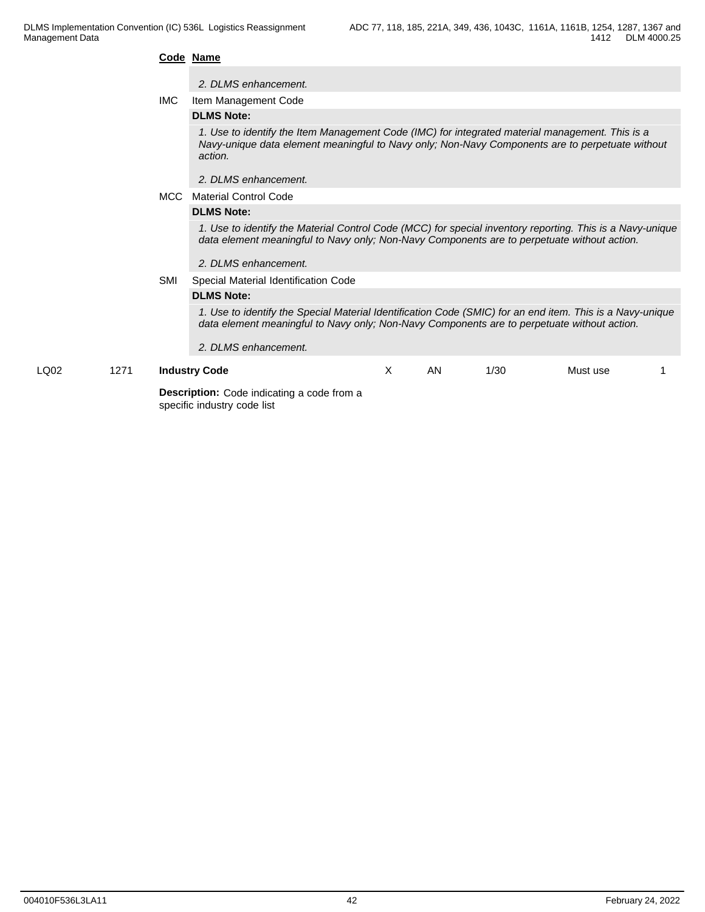#### **Code Name**

#### *2. DLMS enhancement.*

IMC Item Management Code

#### **DLMS Note:**

*1. Use to identify the Item Management Code (IMC) for integrated material management. This is a Navy-unique data element meaningful to Navy only; Non-Navy Components are to perpetuate without action.*

*2. DLMS enhancement.*

#### MCC Material Control Code

### **DLMS Note:**

*1. Use to identify the Material Control Code (MCC) for special inventory reporting. This is a Navy-unique data element meaningful to Navy only; Non-Navy Components are to perpetuate without action.*

#### *2. DLMS enhancement.*

SMI Special Material Identification Code

*2. DLMS enhancement.*

#### **DLMS Note:**

*1. Use to identify the Special Material Identification Code (SMIC) for an end item. This is a Navy-unique data element meaningful to Navy only; Non-Navy Components are to perpetuate without action.*

| LQ02 | 1271 | <b>Industry Code</b>                              | AN | 1/30 | Must use |  |
|------|------|---------------------------------------------------|----|------|----------|--|
|      |      | <b>Description:</b> Code indicating a code from a |    |      |          |  |

specific industry code list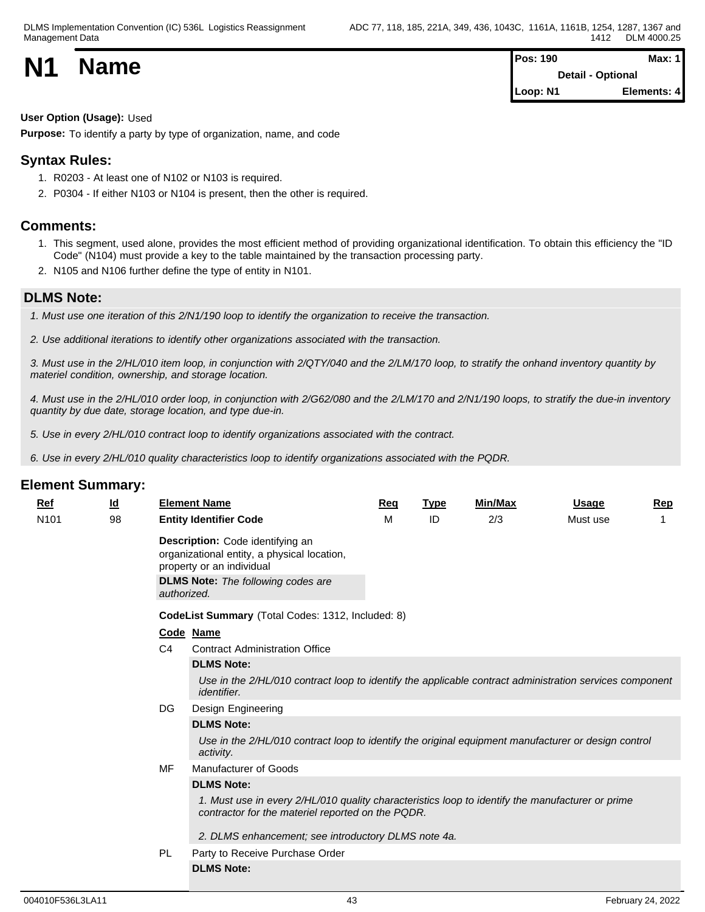| <b>N1</b> | <b>Name</b> | <b>Pos: 190</b>          | <b>Max: 1</b> |  |
|-----------|-------------|--------------------------|---------------|--|
|           |             | <b>Detail - Optional</b> |               |  |
|           |             | Loop: N1                 | Elements: 4   |  |

**User Option (Usage):** Used

**Purpose:** To identify a party by type of organization, name, and code

## **Syntax Rules:**

- 1. R0203 At least one of N102 or N103 is required.
- 2. P0304 If either N103 or N104 is present, then the other is required.

## **Comments:**

- 1. This segment, used alone, provides the most efficient method of providing organizational identification. To obtain this efficiency the "ID Code" (N104) must provide a key to the table maintained by the transaction processing party.
- 2. N105 and N106 further define the type of entity in N101.

## **DLMS Note:**

- *1. Must use one iteration of this 2/N1/190 loop to identify the organization to receive the transaction.*
- *2. Use additional iterations to identify other organizations associated with the transaction.*

*3. Must use in the 2/HL/010 item loop, in conjunction with 2/QTY/040 and the 2/LM/170 loop, to stratify the onhand inventory quantity by materiel condition, ownership, and storage location.*

*4. Must use in the 2/HL/010 order loop, in conjunction with 2/G62/080 and the 2/LM/170 and 2/N1/190 loops, to stratify the due-in inventory quantity by due date, storage location, and type due-in.* 

*5. Use in every 2/HL/010 contract loop to identify organizations associated with the contract.*

*6. Use in every 2/HL/010 quality characteristics loop to identify organizations associated with the PQDR.*

| Ref              | <u>ld</u> |                | <b>Element Name</b>                                                                                                                                       | <b>Reg</b> | <b>Type</b> | Min/Max | Usage    | Rep |
|------------------|-----------|----------------|-----------------------------------------------------------------------------------------------------------------------------------------------------------|------------|-------------|---------|----------|-----|
| N <sub>101</sub> | 98        |                | <b>Entity Identifier Code</b>                                                                                                                             | м          | ID          | 2/3     | Must use |     |
|                  |           | authorized.    | Description: Code identifying an<br>organizational entity, a physical location,<br>property or an individual<br><b>DLMS Note:</b> The following codes are |            |             |         |          |     |
|                  |           |                | CodeList Summary (Total Codes: 1312, Included: 8)                                                                                                         |            |             |         |          |     |
|                  |           |                | Code Name                                                                                                                                                 |            |             |         |          |     |
|                  |           | C <sub>4</sub> | <b>Contract Administration Office</b>                                                                                                                     |            |             |         |          |     |
|                  |           |                | <b>DLMS Note:</b>                                                                                                                                         |            |             |         |          |     |
|                  |           |                | Use in the 2/HL/010 contract loop to identify the applicable contract administration services component<br><i>identifier.</i>                             |            |             |         |          |     |
|                  | DG        |                | Design Engineering                                                                                                                                        |            |             |         |          |     |
|                  |           |                | <b>DLMS Note:</b>                                                                                                                                         |            |             |         |          |     |
|                  |           |                | Use in the 2/HL/010 contract loop to identify the original equipment manufacturer or design control<br>activity.                                          |            |             |         |          |     |
|                  |           | MF             | Manufacturer of Goods                                                                                                                                     |            |             |         |          |     |
|                  |           |                | <b>DLMS Note:</b>                                                                                                                                         |            |             |         |          |     |
|                  |           |                | 1. Must use in every 2/HL/010 quality characteristics loop to identify the manufacturer or prime<br>contractor for the materiel reported on the PQDR.     |            |             |         |          |     |
|                  |           |                | 2. DLMS enhancement; see introductory DLMS note 4a.                                                                                                       |            |             |         |          |     |
|                  |           | <b>PL</b>      | Party to Receive Purchase Order                                                                                                                           |            |             |         |          |     |
|                  |           |                | <b>DLMS Note:</b>                                                                                                                                         |            |             |         |          |     |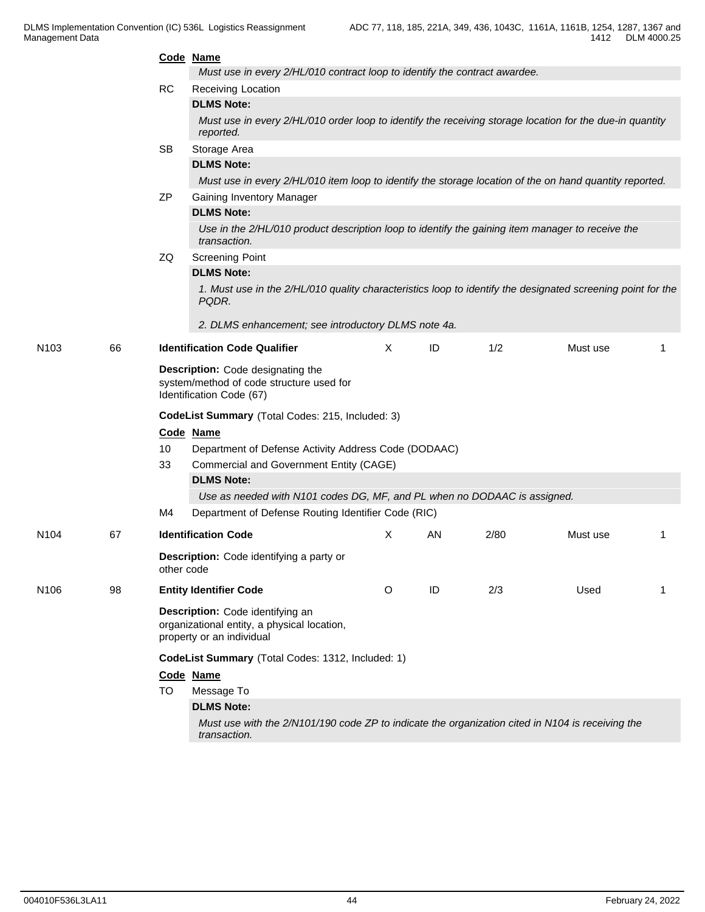|                  |    |                                                  | Code Name                                                                                                             |   |    |      |          |   |  |  |
|------------------|----|--------------------------------------------------|-----------------------------------------------------------------------------------------------------------------------|---|----|------|----------|---|--|--|
|                  |    |                                                  | Must use in every 2/HL/010 contract loop to identify the contract awardee.                                            |   |    |      |          |   |  |  |
|                  |    | RC                                               | Receiving Location                                                                                                    |   |    |      |          |   |  |  |
|                  |    |                                                  | <b>DLMS Note:</b>                                                                                                     |   |    |      |          |   |  |  |
|                  |    |                                                  | Must use in every 2/HL/010 order loop to identify the receiving storage location for the due-in quantity<br>reported. |   |    |      |          |   |  |  |
|                  |    | <b>SB</b>                                        | Storage Area                                                                                                          |   |    |      |          |   |  |  |
|                  |    |                                                  | <b>DLMS Note:</b>                                                                                                     |   |    |      |          |   |  |  |
|                  |    |                                                  | Must use in every 2/HL/010 item loop to identify the storage location of the on hand quantity reported.               |   |    |      |          |   |  |  |
|                  |    | <b>ZP</b>                                        | <b>Gaining Inventory Manager</b>                                                                                      |   |    |      |          |   |  |  |
|                  |    |                                                  | <b>DLMS Note:</b>                                                                                                     |   |    |      |          |   |  |  |
|                  |    |                                                  | Use in the 2/HL/010 product description loop to identify the gaining item manager to receive the<br>transaction.      |   |    |      |          |   |  |  |
|                  |    | ZQ                                               | <b>Screening Point</b>                                                                                                |   |    |      |          |   |  |  |
|                  |    |                                                  | <b>DLMS Note:</b>                                                                                                     |   |    |      |          |   |  |  |
|                  |    |                                                  | 1. Must use in the 2/HL/010 quality characteristics loop to identify the designated screening point for the<br>PQDR.  |   |    |      |          |   |  |  |
|                  |    |                                                  | 2. DLMS enhancement; see introductory DLMS note 4a.                                                                   |   |    |      |          |   |  |  |
| N <sub>103</sub> | 66 |                                                  | <b>Identification Code Qualifier</b>                                                                                  | X | ID | 1/2  | Must use | 1 |  |  |
|                  |    |                                                  | Description: Code designating the<br>system/method of code structure used for<br>Identification Code (67)             |   |    |      |          |   |  |  |
|                  |    | CodeList Summary (Total Codes: 215, Included: 3) |                                                                                                                       |   |    |      |          |   |  |  |
|                  |    |                                                  | Code Name                                                                                                             |   |    |      |          |   |  |  |
|                  |    | 10                                               | Department of Defense Activity Address Code (DODAAC)                                                                  |   |    |      |          |   |  |  |
|                  |    | 33                                               | Commercial and Government Entity (CAGE)                                                                               |   |    |      |          |   |  |  |
|                  |    |                                                  | <b>DLMS Note:</b>                                                                                                     |   |    |      |          |   |  |  |
|                  |    |                                                  | Use as needed with N101 codes DG, MF, and PL when no DODAAC is assigned.                                              |   |    |      |          |   |  |  |
|                  |    | M4                                               | Department of Defense Routing Identifier Code (RIC)                                                                   |   |    |      |          |   |  |  |
| N <sub>104</sub> | 67 |                                                  | <b>Identification Code</b>                                                                                            | Χ | AN | 2/80 | Must use | 1 |  |  |
|                  |    | other code                                       | <b>Description:</b> Code identifying a party or                                                                       |   |    |      |          |   |  |  |
| N <sub>106</sub> | 98 |                                                  | <b>Entity Identifier Code</b>                                                                                         | O | ID | 2/3  | Used     | 1 |  |  |
|                  |    |                                                  | Description: Code identifying an<br>organizational entity, a physical location,<br>property or an individual          |   |    |      |          |   |  |  |
|                  |    |                                                  | CodeList Summary (Total Codes: 1312, Included: 1)                                                                     |   |    |      |          |   |  |  |
|                  |    |                                                  | Code Name                                                                                                             |   |    |      |          |   |  |  |
|                  |    | TO                                               | Message To                                                                                                            |   |    |      |          |   |  |  |
|                  |    |                                                  | <b>DLMS Note:</b>                                                                                                     |   |    |      |          |   |  |  |
|                  |    |                                                  | Must use with the 2/N101/190 code ZP to indicate the organization cited in N104 is receiving the<br>transaction.      |   |    |      |          |   |  |  |
|                  |    |                                                  |                                                                                                                       |   |    |      |          |   |  |  |